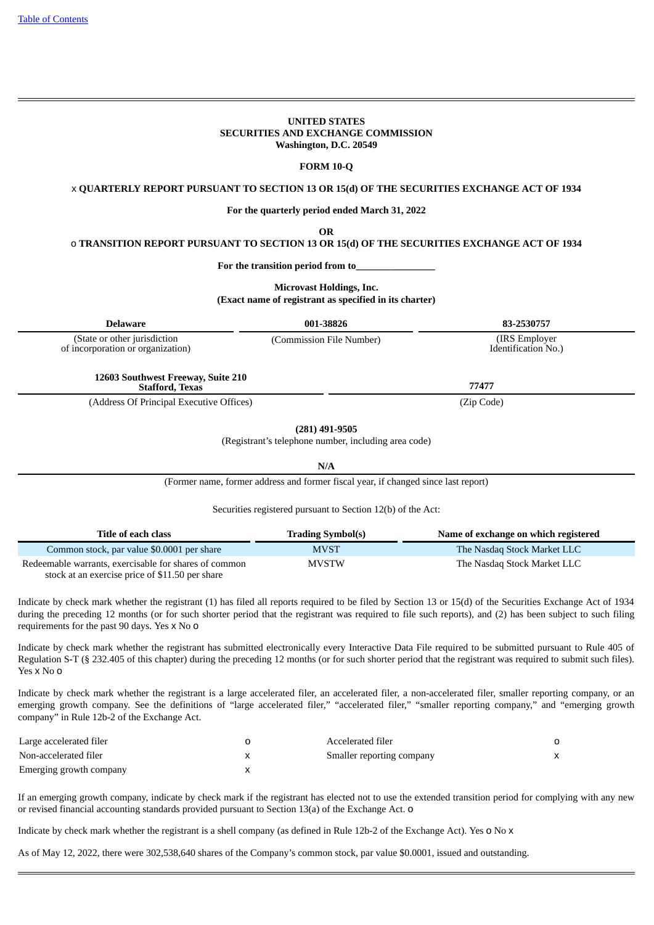### **UNITED STATES SECURITIES AND EXCHANGE COMMISSION Washington, D.C. 20549**

#### **FORM 10-Q**

### x **QUARTERLY REPORT PURSUANT TO SECTION 13 OR 15(d) OF THE SECURITIES EXCHANGE ACT OF 1934**

### **For the quarterly period ended March 31, 2022**

**OR**

o **TRANSITION REPORT PURSUANT TO SECTION 13 OR 15(d) OF THE SECURITIES EXCHANGE ACT OF 1934**

**For the transition period from to\_\_\_\_\_\_\_\_\_\_\_\_\_\_\_\_**

**Microvast Holdings, Inc.**

**(Exact name of registrant as specified in its charter)**

**Delaware 001-38826 83-2530757**

(State or other jurisdiction of incorporation or organization)

**12603 Southwest Freeway, Suite 210**

**Stafford, Texas 77477**

(Address Of Principal Executive Offices) (Zip Code)

**(281) 491-9505**

(Registrant's telephone number, including area code)

**N/A**

(Former name, former address and former fiscal year, if changed since last report)

Securities registered pursuant to Section 12(b) of the Act:

| Title of each class                                                                                      | <b>Trading Symbol(s)</b> | Name of exchange on which registered |
|----------------------------------------------------------------------------------------------------------|--------------------------|--------------------------------------|
| Common stock, par value \$0.0001 per share                                                               | <b>MVST</b>              | The Nasdaq Stock Market LLC          |
| Redeemable warrants, exercisable for shares of common<br>stock at an exercise price of \$11.50 per share | <b>MVSTW</b>             | The Nasdag Stock Market LLC          |

Indicate by check mark whether the registrant (1) has filed all reports required to be filed by Section 13 or 15(d) of the Securities Exchange Act of 1934 during the preceding 12 months (or for such shorter period that the registrant was required to file such reports), and (2) has been subject to such filing requirements for the past 90 days. Yes x No o

Indicate by check mark whether the registrant has submitted electronically every Interactive Data File required to be submitted pursuant to Rule 405 of Regulation S-T (§ 232.405 of this chapter) during the preceding 12 months (or for such shorter period that the registrant was required to submit such files). Yes x No o

Indicate by check mark whether the registrant is a large accelerated filer, an accelerated filer, a non-accelerated filer, smaller reporting company, or an emerging growth company. See the definitions of "large accelerated filer," "accelerated filer," "smaller reporting company," and "emerging growth company" in Rule 12b-2 of the Exchange Act.

| Large accelerated filer | Accelerated filer         |  |
|-------------------------|---------------------------|--|
| Non-accelerated filer   | Smaller reporting company |  |
| Emerging growth company |                           |  |

If an emerging growth company, indicate by check mark if the registrant has elected not to use the extended transition period for complying with any new or revised financial accounting standards provided pursuant to Section 13(a) of the Exchange Act. o

Indicate by check mark whether the registrant is a shell company (as defined in Rule 12b-2 of the Exchange Act). Yes o No x

As of May 12, 2022, there were 302,538,640 shares of the Company's common stock, par value \$0.0001, issued and outstanding.

(Commission File Number) (IRS Employer

Identification No.)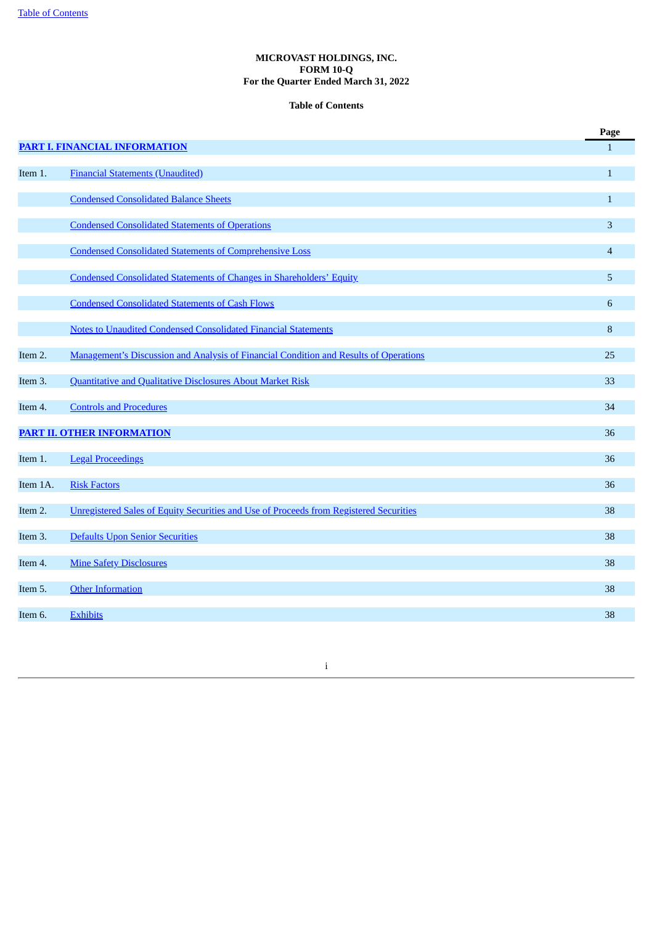## **MICROVAST HOLDINGS, INC. FORM 10-Q For the Quarter Ended March 31, 2022**

## **Table of Contents**

|          |                                                                                                      | Page           |
|----------|------------------------------------------------------------------------------------------------------|----------------|
|          | <b>PART I. FINANCIAL INFORMATION</b>                                                                 | $\mathbf{1}$   |
|          |                                                                                                      |                |
| Item 1.  | <b>Financial Statements (Unaudited)</b>                                                              | $\mathbf{1}$   |
|          | <b>Condensed Consolidated Balance Sheets</b>                                                         | $\mathbf{1}$   |
|          |                                                                                                      |                |
|          | <b>Condensed Consolidated Statements of Operations</b>                                               | 3              |
|          |                                                                                                      |                |
|          | <b>Condensed Consolidated Statements of Comprehensive Loss</b>                                       | $\overline{4}$ |
|          | <b>Condensed Consolidated Statements of Changes in Shareholders' Equity</b>                          | 5              |
|          |                                                                                                      |                |
|          | <b>Condensed Consolidated Statements of Cash Flows</b>                                               | 6              |
|          |                                                                                                      |                |
|          | Notes to Unaudited Condensed Consolidated Financial Statements                                       | 8              |
| Item 2.  | Management's Discussion and Analysis of Financial Condition and Results of Operations                | 25             |
|          |                                                                                                      |                |
| Item 3.  | <b>Quantitative and Qualitative Disclosures About Market Risk</b>                                    | 33             |
|          |                                                                                                      |                |
| Item 4.  | <b>Controls and Procedures</b>                                                                       | 34             |
|          | <b>PART II. OTHER INFORMATION</b>                                                                    | 36             |
|          |                                                                                                      |                |
| Item 1.  | <b>Legal Proceedings</b>                                                                             | 36             |
|          |                                                                                                      |                |
| Item 1A. | <b>Risk Factors</b>                                                                                  | 36             |
| Item 2.  | <u><b>Unregistered Sales of Equity Securities and Use of Proceeds from Registered Securities</b></u> | 38             |
|          |                                                                                                      |                |
| Item 3.  | <b>Defaults Upon Senior Securities</b>                                                               | 38             |
|          |                                                                                                      |                |
| Item 4.  | <b>Mine Safety Disclosures</b>                                                                       | 38             |
| Item 5.  | <b>Other Information</b>                                                                             | 38             |
|          |                                                                                                      |                |
| Item 6.  | <b>Exhibits</b>                                                                                      | 38             |
|          |                                                                                                      |                |

i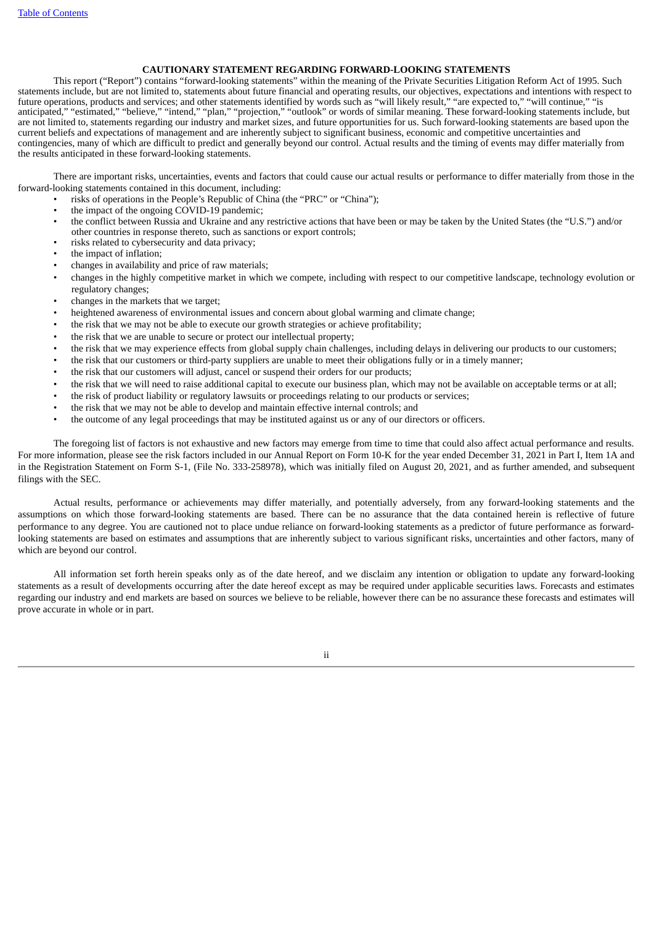### **CAUTIONARY STATEMENT REGARDING FORWARD-LOOKING STATEMENTS**

This report ("Report") contains "forward-looking statements" within the meaning of the Private Securities Litigation Reform Act of 1995. Such statements include, but are not limited to, statements about future financial and operating results, our objectives, expectations and intentions with respect to future operations, products and services; and other statements identified by words such as "will likely result," "are expected to," "will continue," "is anticipated," "estimated," "believe," "intend," "plan," "projection," "outlook" or words of similar meaning. These forward-looking statements include, but are not limited to, statements regarding our industry and market sizes, and future opportunities for us. Such forward-looking statements are based upon the current beliefs and expectations of management and are inherently subject to significant business, economic and competitive uncertainties and contingencies, many of which are difficult to predict and generally beyond our control. Actual results and the timing of events may differ materially from the results anticipated in these forward-looking statements.

There are important risks, uncertainties, events and factors that could cause our actual results or performance to differ materially from those in the forward-looking statements contained in this document, including:

- risks of operations in the People's Republic of China (the "PRC" or "China");
- the impact of the ongoing COVID-19 pandemic;
- the conflict between Russia and Ukraine and any restrictive actions that have been or may be taken by the United States (the "U.S.") and/or other countries in response thereto, such as sanctions or export controls;
- risks related to cybersecurity and data privacy;
- the impact of inflation;
- changes in availability and price of raw materials;
- changes in the highly competitive market in which we compete, including with respect to our competitive landscape, technology evolution or regulatory changes;
- changes in the markets that we target;
- heightened awareness of environmental issues and concern about global warming and climate change;
- the risk that we may not be able to execute our growth strategies or achieve profitability;
- the risk that we are unable to secure or protect our intellectual property;
- the risk that we may experience effects from global supply chain challenges, including delays in delivering our products to our customers;
- the risk that our customers or third-party suppliers are unable to meet their obligations fully or in a timely manner;
- the risk that our customers will adjust, cancel or suspend their orders for our products;
- the risk that we will need to raise additional capital to execute our business plan, which may not be available on acceptable terms or at all;
- the risk of product liability or regulatory lawsuits or proceedings relating to our products or services;
- the risk that we may not be able to develop and maintain effective internal controls; and
- the outcome of any legal proceedings that may be instituted against us or any of our directors or officers.

The foregoing list of factors is not exhaustive and new factors may emerge from time to time that could also affect actual performance and results. For more information, please see the risk factors included in our Annual Report on Form 10-K for the year ended December 31, 2021 in Part I, Item 1A and in the Registration Statement on Form S-1, (File No. 333-258978), which was initially filed on August 20, 2021, and as further amended, and subsequent filings with the SEC.

Actual results, performance or achievements may differ materially, and potentially adversely, from any forward-looking statements and the assumptions on which those forward-looking statements are based. There can be no assurance that the data contained herein is reflective of future performance to any degree. You are cautioned not to place undue reliance on forward-looking statements as a predictor of future performance as forwardlooking statements are based on estimates and assumptions that are inherently subject to various significant risks, uncertainties and other factors, many of which are beyond our control.

<span id="page-3-0"></span>All information set forth herein speaks only as of the date hereof, and we disclaim any intention or obligation to update any forward-looking statements as a result of developments occurring after the date hereof except as may be required under applicable securities laws. Forecasts and estimates regarding our industry and end markets are based on sources we believe to be reliable, however there can be no assurance these forecasts and estimates will prove accurate in whole or in part.

ii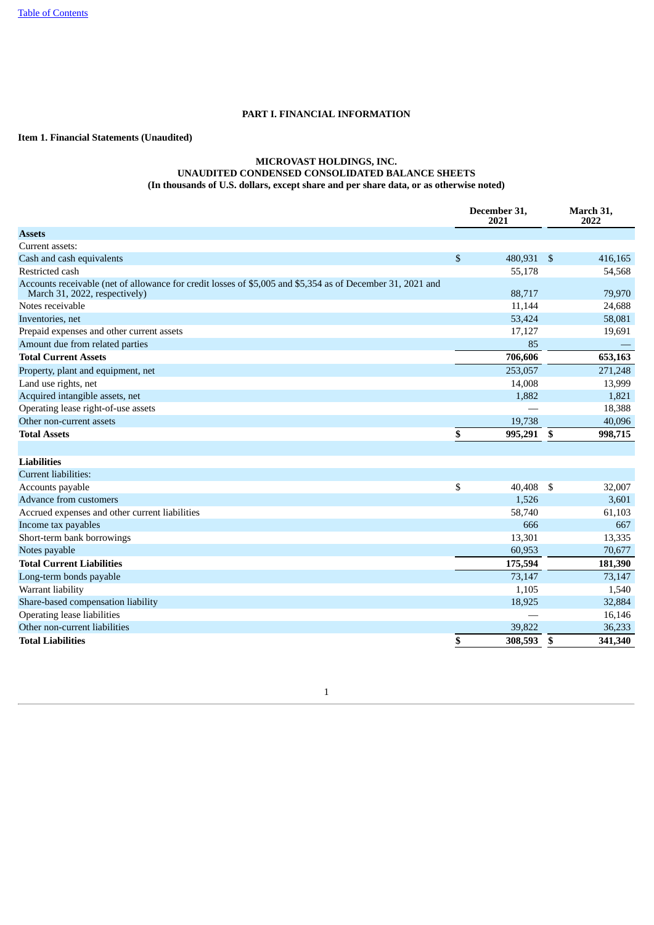# **PART I. FINANCIAL INFORMATION**

# <span id="page-4-1"></span><span id="page-4-0"></span>**Item 1. Financial Statements (Unaudited)**

## **MICROVAST HOLDINGS, INC. UNAUDITED CONDENSED CONSOLIDATED BALANCE SHEETS (In thousands of U.S. dollars, except share and per share data, or as otherwise noted)**

|                                                                                                                                             | December 31,<br>2021 |      | March 31,<br>2022 |
|---------------------------------------------------------------------------------------------------------------------------------------------|----------------------|------|-------------------|
| <b>Assets</b>                                                                                                                               |                      |      |                   |
| Current assets:                                                                                                                             |                      |      |                   |
| Cash and cash equivalents                                                                                                                   | \$<br>480,931 \$     |      | 416,165           |
| Restricted cash                                                                                                                             | 55,178               |      | 54,568            |
| Accounts receivable (net of allowance for credit losses of \$5,005 and \$5,354 as of December 31, 2021 and<br>March 31, 2022, respectively) | 88,717               |      | 79,970            |
| Notes receivable                                                                                                                            | 11,144               |      | 24,688            |
| Inventories, net                                                                                                                            | 53,424               |      | 58,081            |
| Prepaid expenses and other current assets                                                                                                   | 17,127               |      | 19,691            |
| Amount due from related parties                                                                                                             | 85                   |      |                   |
| <b>Total Current Assets</b>                                                                                                                 | 706,606              |      | 653,163           |
| Property, plant and equipment, net                                                                                                          | 253,057              |      | 271,248           |
| Land use rights, net                                                                                                                        | 14,008               |      | 13,999            |
| Acquired intangible assets, net                                                                                                             | 1,882                |      | 1,821             |
| Operating lease right-of-use assets                                                                                                         |                      |      | 18,388            |
| Other non-current assets                                                                                                                    | 19,738               |      | 40,096            |
| <b>Total Assets</b>                                                                                                                         | \$<br>995,291        | - \$ | 998,715           |
|                                                                                                                                             |                      |      |                   |
| <b>Liabilities</b>                                                                                                                          |                      |      |                   |
| Current liabilities:                                                                                                                        |                      |      |                   |
| Accounts payable                                                                                                                            | \$<br>40,408 \$      |      | 32,007            |
| Advance from customers                                                                                                                      | 1,526                |      | 3,601             |
| Accrued expenses and other current liabilities                                                                                              | 58,740               |      | 61,103            |
| Income tax payables                                                                                                                         | 666                  |      | 667               |
| Short-term bank borrowings                                                                                                                  | 13,301               |      | 13,335            |
| Notes payable                                                                                                                               | 60,953               |      | 70,677            |
| <b>Total Current Liabilities</b>                                                                                                            | 175,594              |      | 181,390           |
| Long-term bonds payable                                                                                                                     | 73,147               |      | 73,147            |
| Warrant liability                                                                                                                           | 1,105                |      | 1,540             |
| Share-based compensation liability                                                                                                          | 18,925               |      | 32,884            |
| <b>Operating lease liabilities</b>                                                                                                          |                      |      | 16,146            |
| Other non-current liabilities                                                                                                               | 39.822               |      | 36,233            |
| <b>Total Liabilities</b>                                                                                                                    | \$<br>308,593        | \$   | 341,340           |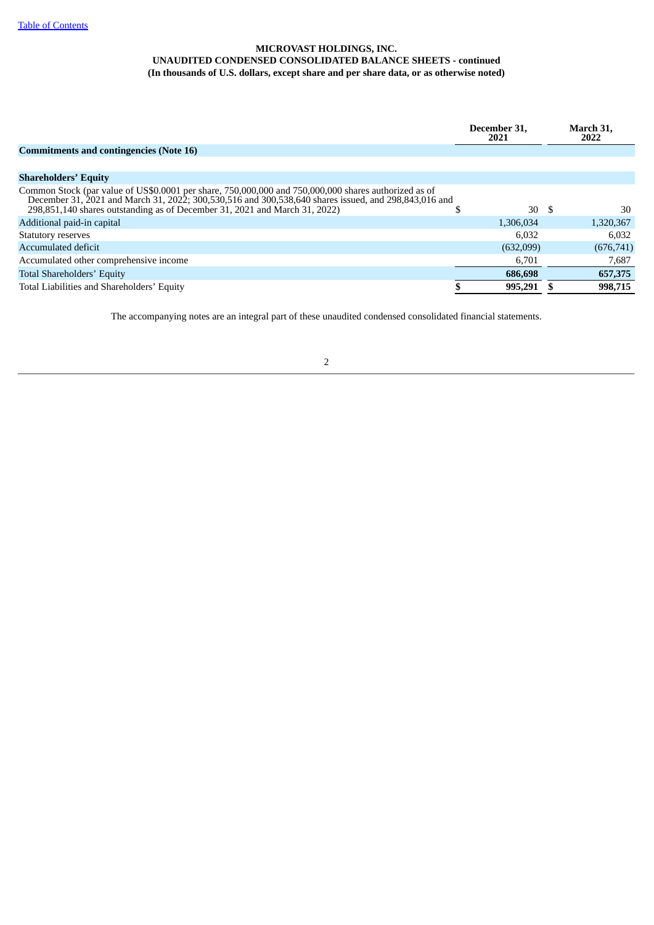## **MICROVAST HOLDINGS, INC. UNAUDITED CONDENSED CONSOLIDATED BALANCE SHEETS - continued (In thousands of U.S. dollars, except share and per share data, or as otherwise noted)**

|                                                                                                                                                                                                                                                                                            | December 31.<br>2021 |      | March 31,<br>2022 |
|--------------------------------------------------------------------------------------------------------------------------------------------------------------------------------------------------------------------------------------------------------------------------------------------|----------------------|------|-------------------|
| <b>Commitments and contingencies (Note 16)</b>                                                                                                                                                                                                                                             |                      |      |                   |
|                                                                                                                                                                                                                                                                                            |                      |      |                   |
| <b>Shareholders' Equity</b>                                                                                                                                                                                                                                                                |                      |      |                   |
| Common Stock (par value of US\$0.0001 per share, 750,000,000 and 750,000,000 shares authorized as of<br>December 31, 2021 and March 31, 2022; 300,530,516 and 300,538,640 shares issued, and 298,843,016 and<br>298,851,140 shares outstanding as of December 31, 2021 and March 31, 2022) | 30                   | - \$ | 30                |
| Additional paid-in capital                                                                                                                                                                                                                                                                 | 1,306,034            |      | 1,320,367         |
| Statutory reserves                                                                                                                                                                                                                                                                         | 6.032                |      | 6.032             |
| Accumulated deficit                                                                                                                                                                                                                                                                        | (632,099)            |      | (676, 741)        |
| Accumulated other comprehensive income                                                                                                                                                                                                                                                     | 6,701                |      | 7,687             |
| Total Shareholders' Equity                                                                                                                                                                                                                                                                 | 686.698              |      | 657,375           |
| Total Liabilities and Shareholders' Equity                                                                                                                                                                                                                                                 | 995.291              |      | 998,715           |

<span id="page-5-0"></span>The accompanying notes are an integral part of these unaudited condensed consolidated financial statements.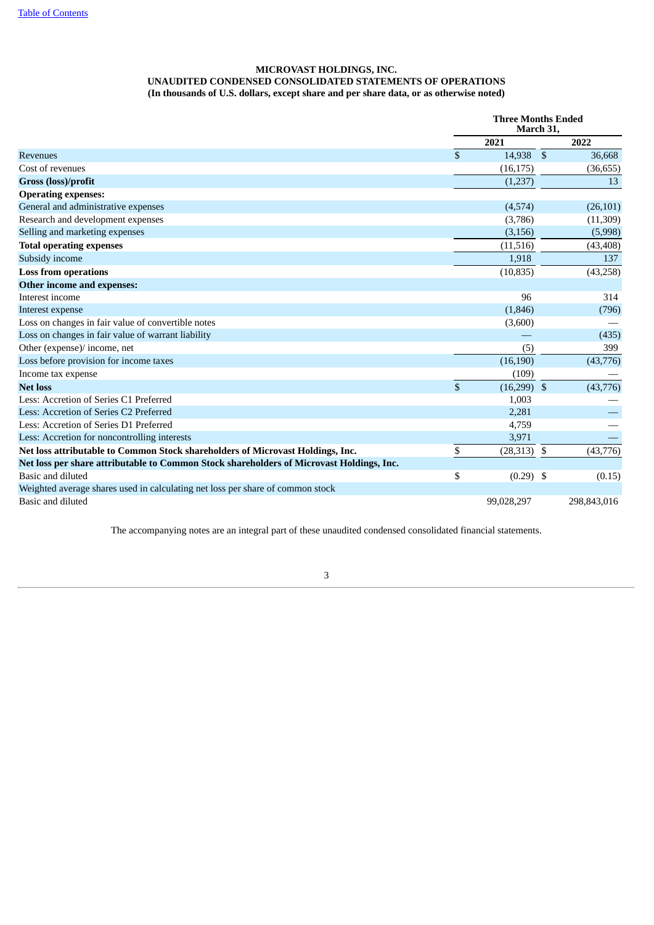# **MICROVAST HOLDINGS, INC.**

#### **UNAUDITED CONDENSED CONSOLIDATED STATEMENTS OF OPERATIONS (In thousands of U.S. dollars, except share and per share data, or as otherwise noted)**

|                                                                                          | <b>Three Months Ended</b><br>March 31, |               |  |             |
|------------------------------------------------------------------------------------------|----------------------------------------|---------------|--|-------------|
|                                                                                          |                                        | 2021          |  | 2022        |
| <b>Revenues</b>                                                                          | \$                                     | 14,938 \$     |  | 36,668      |
| Cost of revenues                                                                         |                                        | (16, 175)     |  | (36, 655)   |
| Gross (loss)/profit                                                                      |                                        | (1,237)       |  | 13          |
| <b>Operating expenses:</b>                                                               |                                        |               |  |             |
| General and administrative expenses                                                      |                                        | (4,574)       |  | (26, 101)   |
| Research and development expenses                                                        |                                        | (3,786)       |  | (11,309)    |
| Selling and marketing expenses                                                           |                                        | (3, 156)      |  | (5,998)     |
| <b>Total operating expenses</b>                                                          |                                        | (11, 516)     |  | (43, 408)   |
| Subsidy income                                                                           |                                        | 1,918         |  | 137         |
| <b>Loss from operations</b>                                                              |                                        | (10, 835)     |  | (43,258)    |
| Other income and expenses:                                                               |                                        |               |  |             |
| Interest income                                                                          |                                        | 96            |  | 314         |
| Interest expense                                                                         |                                        | (1,846)       |  | (796)       |
| Loss on changes in fair value of convertible notes                                       |                                        | (3,600)       |  |             |
| Loss on changes in fair value of warrant liability                                       |                                        |               |  | (435)       |
| Other (expense)/ income, net                                                             |                                        | (5)           |  | 399         |
| Loss before provision for income taxes                                                   |                                        | (16, 190)     |  | (43,776)    |
| Income tax expense                                                                       |                                        | (109)         |  |             |
| <b>Net loss</b>                                                                          | $\mathcal{S}$                          | $(16,299)$ \$ |  | (43,776)    |
| Less: Accretion of Series C1 Preferred                                                   |                                        | 1,003         |  |             |
| Less: Accretion of Series C2 Preferred                                                   |                                        | 2,281         |  |             |
| Less: Accretion of Series D1 Preferred                                                   |                                        | 4,759         |  |             |
| Less: Accretion for noncontrolling interests                                             |                                        | 3,971         |  |             |
| Net loss attributable to Common Stock shareholders of Microvast Holdings, Inc.           | \$                                     | $(28,313)$ \$ |  | (43,776)    |
| Net loss per share attributable to Common Stock shareholders of Microvast Holdings, Inc. |                                        |               |  |             |
| Basic and diluted                                                                        | \$                                     | $(0.29)$ \$   |  | (0.15)      |
| Weighted average shares used in calculating net loss per share of common stock           |                                        |               |  |             |
| Basic and diluted                                                                        |                                        | 99,028,297    |  | 298,843,016 |

<span id="page-6-0"></span>The accompanying notes are an integral part of these unaudited condensed consolidated financial statements.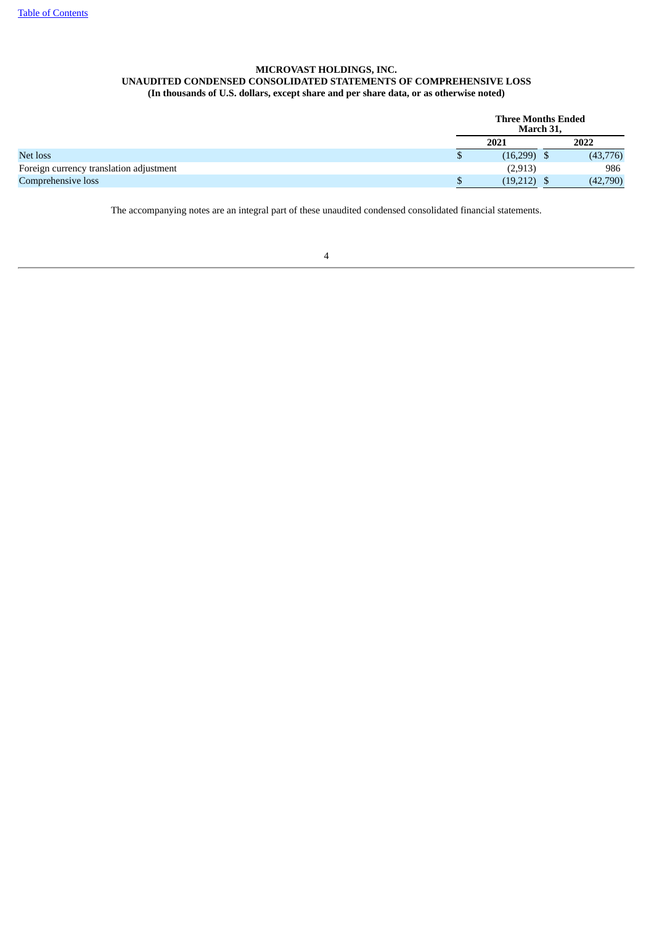## **MICROVAST HOLDINGS, INC. UNAUDITED CONDENSED CONSOLIDATED STATEMENTS OF COMPREHENSIVE LOSS (In thousands of U.S. dollars, except share and per share data, or as otherwise noted)**

|                                         |   | <b>Three Months Ended</b><br>March 31, |           |
|-----------------------------------------|---|----------------------------------------|-----------|
|                                         |   | 2021                                   | 2022      |
| Net loss                                | Φ | (16, 299)                              | (43, 776) |
| Foreign currency translation adjustment |   | (2,913)                                | 986       |
| Comprehensive loss                      |   | (19,212)                               | (42,790)  |

<span id="page-7-0"></span>The accompanying notes are an integral part of these unaudited condensed consolidated financial statements.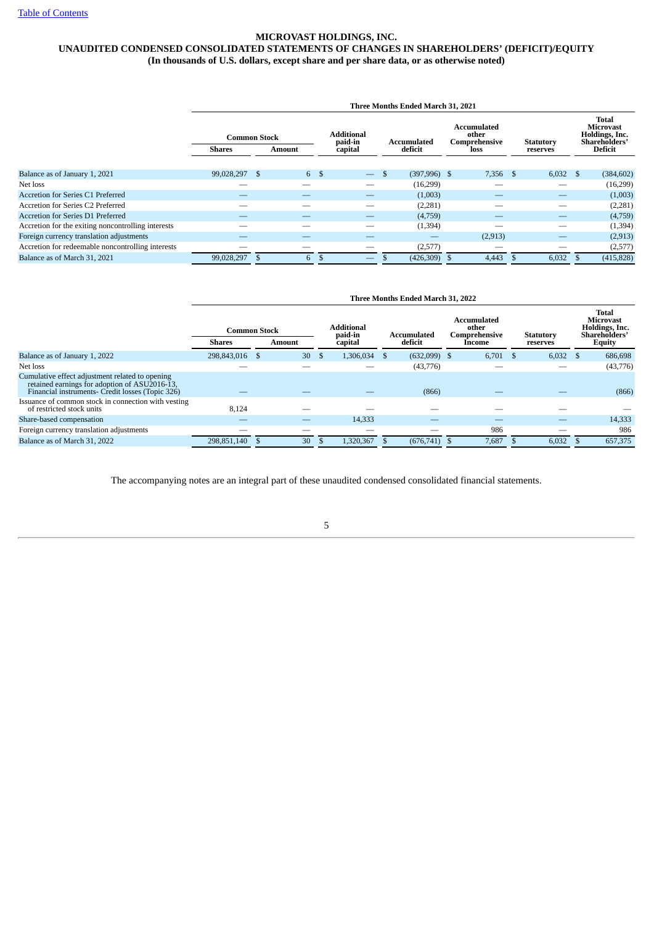## **MICROVAST HOLDINGS, INC. UNAUDITED CONDENSED CONSOLIDATED STATEMENTS OF CHANGES IN SHAREHOLDERS' (DEFICIT)/EQUITY (In thousands of U.S. dollars, except share and per share data, or as otherwise noted)**

|                                                    | Three Months Ended March 31, 2021       |    |                |              |                                                                   |    |                |                                                                               |          |  |            |                                                                                |            |
|----------------------------------------------------|-----------------------------------------|----|----------------|--------------|-------------------------------------------------------------------|----|----------------|-------------------------------------------------------------------------------|----------|--|------------|--------------------------------------------------------------------------------|------------|
|                                                    | <b>Common Stock</b><br>Shares<br>Amount |    |                |              | <b>Additional</b><br>paid-in<br>Accumulated<br>deficit<br>capital |    |                | Accumulated<br>other<br>Comprehensive<br><b>Statutory</b><br>loss<br>reserves |          |  |            | Total<br><b>Microvast</b><br>Holdings, Inc.<br>Shareholders'<br><b>Deficit</b> |            |
|                                                    |                                         |    |                |              |                                                                   |    |                |                                                                               |          |  |            |                                                                                |            |
| Balance as of January 1, 2021                      | 99,028,297                              | \$ | 6 <sup>5</sup> |              | $\overline{\phantom{m}}$                                          | -S | $(397,996)$ \$ |                                                                               | 7,356 \$ |  | $6,032$ \$ |                                                                                | (384, 602) |
| Net loss                                           |                                         |    |                |              |                                                                   |    | (16,299)       |                                                                               |          |  |            |                                                                                | (16,299)   |
| Accretion for Series C1 Preferred                  |                                         |    |                |              |                                                                   |    | (1,003)        |                                                                               |          |  |            |                                                                                | (1,003)    |
| Accretion for Series C2 Preferred                  |                                         |    |                |              |                                                                   |    | (2,281)        |                                                                               |          |  |            |                                                                                | (2, 281)   |
| Accretion for Series D1 Preferred                  | –                                       |    | –              |              |                                                                   |    | (4,759)        |                                                                               | __       |  | $-$        |                                                                                | (4,759)    |
| Accretion for the exiting noncontrolling interests |                                         |    |                |              |                                                                   |    | (1,394)        |                                                                               |          |  |            |                                                                                | (1, 394)   |
| Foreign currency translation adjustments           |                                         |    |                |              |                                                                   |    |                |                                                                               | (2,913)  |  | $-$        |                                                                                | (2,913)    |
| Accretion for redeemable noncontrolling interests  |                                         |    |                |              |                                                                   |    | (2,577)        |                                                                               |          |  |            |                                                                                | (2,577)    |
| Balance as of March 31, 2021                       | 99,028,297                              |    | 6              | $\mathbf{s}$ |                                                                   |    | $(426,309)$ \$ |                                                                               | 4,443    |  | 6,032      |                                                                                | (415, 828) |

|                                                                                                                                                      | Three Months Ended March 31, 2022                     |   |                 |              |                                         |     |                        |  |                                                 |  |                              |                                                                        |          |
|------------------------------------------------------------------------------------------------------------------------------------------------------|-------------------------------------------------------|---|-----------------|--------------|-----------------------------------------|-----|------------------------|--|-------------------------------------------------|--|------------------------------|------------------------------------------------------------------------|----------|
|                                                                                                                                                      | <b>Common Stock</b><br><b>Shares</b><br><b>Amount</b> |   |                 |              | <b>Additional</b><br>paid-in<br>capital |     | Accumulated<br>deficit |  | Accumulated<br>other<br>Comprehensive<br>Income |  | <b>Statutory</b><br>reserves | Total<br>Microvast<br>Holdings, Inc.<br>Shareholders'<br><b>Equity</b> |          |
| Balance as of January 1, 2022                                                                                                                        | 298,843,016                                           | Ъ | 30 <sup>°</sup> | $\mathbf{a}$ | 1,306,034                               | -\$ | $(632,099)$ \$         |  | $6,701$ \$                                      |  | $6,032$ \$                   |                                                                        | 686,698  |
| Net loss                                                                                                                                             |                                                       |   |                 |              |                                         |     | (43,776)               |  |                                                 |  |                              |                                                                        | (43,776) |
| Cumulative effect adjustment related to opening<br>retained earnings for adoption of ASU2016-13,<br>Financial instruments- Credit losses (Topic 326) |                                                       |   |                 |              |                                         |     | (866)                  |  |                                                 |  |                              |                                                                        | (866)    |
| Issuance of common stock in connection with vesting<br>of restricted stock units                                                                     | 8,124                                                 |   |                 |              |                                         |     |                        |  |                                                 |  |                              |                                                                        |          |
| Share-based compensation                                                                                                                             |                                                       |   |                 |              | 14,333                                  |     |                        |  | __                                              |  |                              |                                                                        | 14,333   |
| Foreign currency translation adjustments                                                                                                             |                                                       |   |                 |              |                                         |     |                        |  | 986                                             |  |                              |                                                                        | 986      |
| Balance as of March 31, 2022                                                                                                                         | 298,851,140                                           |   | 30              |              | 1,320,367                               |     | $(676, 741)$ \$        |  | 7,687                                           |  | 6,032                        |                                                                        | 657,375  |

<span id="page-8-0"></span>The accompanying notes are an integral part of these unaudited condensed consolidated financial statements.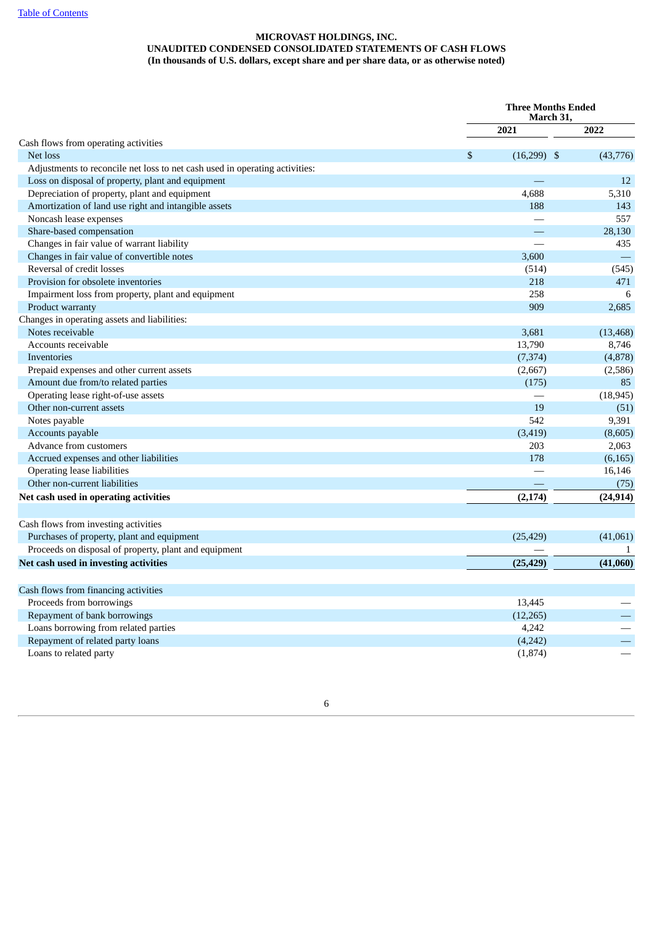## **MICROVAST HOLDINGS, INC. UNAUDITED CONDENSED CONSOLIDATED STATEMENTS OF CASH FLOWS (In thousands of U.S. dollars, except share and per share data, or as otherwise noted)**

| 2021<br>2022<br>Cash flows from operating activities<br>Net loss<br>\$<br>$(16,299)$ \$<br>(43,776)<br>Adjustments to reconcile net loss to net cash used in operating activities:<br>Loss on disposal of property, plant and equipment<br>12<br>Depreciation of property, plant and equipment<br>5,310<br>4,688<br>Amortization of land use right and intangible assets<br>143<br>188<br>557<br>Noncash lease expenses<br>Share-based compensation<br>28,130<br>Changes in fair value of warrant liability<br>435<br>$\equiv$<br>Changes in fair value of convertible notes<br>3,600<br>Reversal of credit losses<br>(545)<br>(514)<br>471<br>Provision for obsolete inventories<br>218<br>258<br>Impairment loss from property, plant and equipment<br>6<br>909<br>2,685<br>Product warranty<br>Changes in operating assets and liabilities:<br>Notes receivable<br>3,681<br>(13, 468)<br>13,790<br>8,746<br>Accounts receivable<br>(7, 374)<br>(4,878)<br>Inventories<br>Prepaid expenses and other current assets<br>(2,586)<br>(2,667)<br>Amount due from/to related parties<br>85<br>(175)<br>(18, 945)<br>Operating lease right-of-use assets<br>19<br>Other non-current assets<br>(51)<br>542<br>9,391<br>Notes payable<br>Accounts payable<br>(3, 419)<br>(8,605)<br>Advance from customers<br>203<br>2,063<br>Accrued expenses and other liabilities<br>178<br>(6, 165)<br>Operating lease liabilities<br>16,146<br>Other non-current liabilities<br>(75)<br>(2, 174)<br>Net cash used in operating activities<br>(24, 914)<br>Cash flows from investing activities<br>Purchases of property, plant and equipment<br>(25, 429)<br>(41,061)<br>Proceeds on disposal of property, plant and equipment<br>1<br>(41,060)<br>Net cash used in investing activities<br>(25, 429)<br>Cash flows from financing activities<br>Proceeds from borrowings<br>13,445<br>Repayment of bank borrowings<br>(12, 265)<br>Loans borrowing from related parties<br>4,242<br>Repayment of related party loans<br>(4,242)<br>Loans to related party<br>(1,874) |  | <b>Three Months Ended</b><br>March 31, |  |  |
|------------------------------------------------------------------------------------------------------------------------------------------------------------------------------------------------------------------------------------------------------------------------------------------------------------------------------------------------------------------------------------------------------------------------------------------------------------------------------------------------------------------------------------------------------------------------------------------------------------------------------------------------------------------------------------------------------------------------------------------------------------------------------------------------------------------------------------------------------------------------------------------------------------------------------------------------------------------------------------------------------------------------------------------------------------------------------------------------------------------------------------------------------------------------------------------------------------------------------------------------------------------------------------------------------------------------------------------------------------------------------------------------------------------------------------------------------------------------------------------------------------------------------------------------------------------------------------------------------------------------------------------------------------------------------------------------------------------------------------------------------------------------------------------------------------------------------------------------------------------------------------------------------------------------------------------------------------------------------------------------------------------------------------------------------|--|----------------------------------------|--|--|
|                                                                                                                                                                                                                                                                                                                                                                                                                                                                                                                                                                                                                                                                                                                                                                                                                                                                                                                                                                                                                                                                                                                                                                                                                                                                                                                                                                                                                                                                                                                                                                                                                                                                                                                                                                                                                                                                                                                                                                                                                                                      |  |                                        |  |  |
|                                                                                                                                                                                                                                                                                                                                                                                                                                                                                                                                                                                                                                                                                                                                                                                                                                                                                                                                                                                                                                                                                                                                                                                                                                                                                                                                                                                                                                                                                                                                                                                                                                                                                                                                                                                                                                                                                                                                                                                                                                                      |  |                                        |  |  |
|                                                                                                                                                                                                                                                                                                                                                                                                                                                                                                                                                                                                                                                                                                                                                                                                                                                                                                                                                                                                                                                                                                                                                                                                                                                                                                                                                                                                                                                                                                                                                                                                                                                                                                                                                                                                                                                                                                                                                                                                                                                      |  |                                        |  |  |
|                                                                                                                                                                                                                                                                                                                                                                                                                                                                                                                                                                                                                                                                                                                                                                                                                                                                                                                                                                                                                                                                                                                                                                                                                                                                                                                                                                                                                                                                                                                                                                                                                                                                                                                                                                                                                                                                                                                                                                                                                                                      |  |                                        |  |  |
|                                                                                                                                                                                                                                                                                                                                                                                                                                                                                                                                                                                                                                                                                                                                                                                                                                                                                                                                                                                                                                                                                                                                                                                                                                                                                                                                                                                                                                                                                                                                                                                                                                                                                                                                                                                                                                                                                                                                                                                                                                                      |  |                                        |  |  |
|                                                                                                                                                                                                                                                                                                                                                                                                                                                                                                                                                                                                                                                                                                                                                                                                                                                                                                                                                                                                                                                                                                                                                                                                                                                                                                                                                                                                                                                                                                                                                                                                                                                                                                                                                                                                                                                                                                                                                                                                                                                      |  |                                        |  |  |
|                                                                                                                                                                                                                                                                                                                                                                                                                                                                                                                                                                                                                                                                                                                                                                                                                                                                                                                                                                                                                                                                                                                                                                                                                                                                                                                                                                                                                                                                                                                                                                                                                                                                                                                                                                                                                                                                                                                                                                                                                                                      |  |                                        |  |  |
|                                                                                                                                                                                                                                                                                                                                                                                                                                                                                                                                                                                                                                                                                                                                                                                                                                                                                                                                                                                                                                                                                                                                                                                                                                                                                                                                                                                                                                                                                                                                                                                                                                                                                                                                                                                                                                                                                                                                                                                                                                                      |  |                                        |  |  |
|                                                                                                                                                                                                                                                                                                                                                                                                                                                                                                                                                                                                                                                                                                                                                                                                                                                                                                                                                                                                                                                                                                                                                                                                                                                                                                                                                                                                                                                                                                                                                                                                                                                                                                                                                                                                                                                                                                                                                                                                                                                      |  |                                        |  |  |
|                                                                                                                                                                                                                                                                                                                                                                                                                                                                                                                                                                                                                                                                                                                                                                                                                                                                                                                                                                                                                                                                                                                                                                                                                                                                                                                                                                                                                                                                                                                                                                                                                                                                                                                                                                                                                                                                                                                                                                                                                                                      |  |                                        |  |  |
|                                                                                                                                                                                                                                                                                                                                                                                                                                                                                                                                                                                                                                                                                                                                                                                                                                                                                                                                                                                                                                                                                                                                                                                                                                                                                                                                                                                                                                                                                                                                                                                                                                                                                                                                                                                                                                                                                                                                                                                                                                                      |  |                                        |  |  |
|                                                                                                                                                                                                                                                                                                                                                                                                                                                                                                                                                                                                                                                                                                                                                                                                                                                                                                                                                                                                                                                                                                                                                                                                                                                                                                                                                                                                                                                                                                                                                                                                                                                                                                                                                                                                                                                                                                                                                                                                                                                      |  |                                        |  |  |
|                                                                                                                                                                                                                                                                                                                                                                                                                                                                                                                                                                                                                                                                                                                                                                                                                                                                                                                                                                                                                                                                                                                                                                                                                                                                                                                                                                                                                                                                                                                                                                                                                                                                                                                                                                                                                                                                                                                                                                                                                                                      |  |                                        |  |  |
|                                                                                                                                                                                                                                                                                                                                                                                                                                                                                                                                                                                                                                                                                                                                                                                                                                                                                                                                                                                                                                                                                                                                                                                                                                                                                                                                                                                                                                                                                                                                                                                                                                                                                                                                                                                                                                                                                                                                                                                                                                                      |  |                                        |  |  |
|                                                                                                                                                                                                                                                                                                                                                                                                                                                                                                                                                                                                                                                                                                                                                                                                                                                                                                                                                                                                                                                                                                                                                                                                                                                                                                                                                                                                                                                                                                                                                                                                                                                                                                                                                                                                                                                                                                                                                                                                                                                      |  |                                        |  |  |
|                                                                                                                                                                                                                                                                                                                                                                                                                                                                                                                                                                                                                                                                                                                                                                                                                                                                                                                                                                                                                                                                                                                                                                                                                                                                                                                                                                                                                                                                                                                                                                                                                                                                                                                                                                                                                                                                                                                                                                                                                                                      |  |                                        |  |  |
|                                                                                                                                                                                                                                                                                                                                                                                                                                                                                                                                                                                                                                                                                                                                                                                                                                                                                                                                                                                                                                                                                                                                                                                                                                                                                                                                                                                                                                                                                                                                                                                                                                                                                                                                                                                                                                                                                                                                                                                                                                                      |  |                                        |  |  |
|                                                                                                                                                                                                                                                                                                                                                                                                                                                                                                                                                                                                                                                                                                                                                                                                                                                                                                                                                                                                                                                                                                                                                                                                                                                                                                                                                                                                                                                                                                                                                                                                                                                                                                                                                                                                                                                                                                                                                                                                                                                      |  |                                        |  |  |
|                                                                                                                                                                                                                                                                                                                                                                                                                                                                                                                                                                                                                                                                                                                                                                                                                                                                                                                                                                                                                                                                                                                                                                                                                                                                                                                                                                                                                                                                                                                                                                                                                                                                                                                                                                                                                                                                                                                                                                                                                                                      |  |                                        |  |  |
|                                                                                                                                                                                                                                                                                                                                                                                                                                                                                                                                                                                                                                                                                                                                                                                                                                                                                                                                                                                                                                                                                                                                                                                                                                                                                                                                                                                                                                                                                                                                                                                                                                                                                                                                                                                                                                                                                                                                                                                                                                                      |  |                                        |  |  |
|                                                                                                                                                                                                                                                                                                                                                                                                                                                                                                                                                                                                                                                                                                                                                                                                                                                                                                                                                                                                                                                                                                                                                                                                                                                                                                                                                                                                                                                                                                                                                                                                                                                                                                                                                                                                                                                                                                                                                                                                                                                      |  |                                        |  |  |
|                                                                                                                                                                                                                                                                                                                                                                                                                                                                                                                                                                                                                                                                                                                                                                                                                                                                                                                                                                                                                                                                                                                                                                                                                                                                                                                                                                                                                                                                                                                                                                                                                                                                                                                                                                                                                                                                                                                                                                                                                                                      |  |                                        |  |  |
|                                                                                                                                                                                                                                                                                                                                                                                                                                                                                                                                                                                                                                                                                                                                                                                                                                                                                                                                                                                                                                                                                                                                                                                                                                                                                                                                                                                                                                                                                                                                                                                                                                                                                                                                                                                                                                                                                                                                                                                                                                                      |  |                                        |  |  |
|                                                                                                                                                                                                                                                                                                                                                                                                                                                                                                                                                                                                                                                                                                                                                                                                                                                                                                                                                                                                                                                                                                                                                                                                                                                                                                                                                                                                                                                                                                                                                                                                                                                                                                                                                                                                                                                                                                                                                                                                                                                      |  |                                        |  |  |
|                                                                                                                                                                                                                                                                                                                                                                                                                                                                                                                                                                                                                                                                                                                                                                                                                                                                                                                                                                                                                                                                                                                                                                                                                                                                                                                                                                                                                                                                                                                                                                                                                                                                                                                                                                                                                                                                                                                                                                                                                                                      |  |                                        |  |  |
|                                                                                                                                                                                                                                                                                                                                                                                                                                                                                                                                                                                                                                                                                                                                                                                                                                                                                                                                                                                                                                                                                                                                                                                                                                                                                                                                                                                                                                                                                                                                                                                                                                                                                                                                                                                                                                                                                                                                                                                                                                                      |  |                                        |  |  |
|                                                                                                                                                                                                                                                                                                                                                                                                                                                                                                                                                                                                                                                                                                                                                                                                                                                                                                                                                                                                                                                                                                                                                                                                                                                                                                                                                                                                                                                                                                                                                                                                                                                                                                                                                                                                                                                                                                                                                                                                                                                      |  |                                        |  |  |
|                                                                                                                                                                                                                                                                                                                                                                                                                                                                                                                                                                                                                                                                                                                                                                                                                                                                                                                                                                                                                                                                                                                                                                                                                                                                                                                                                                                                                                                                                                                                                                                                                                                                                                                                                                                                                                                                                                                                                                                                                                                      |  |                                        |  |  |
|                                                                                                                                                                                                                                                                                                                                                                                                                                                                                                                                                                                                                                                                                                                                                                                                                                                                                                                                                                                                                                                                                                                                                                                                                                                                                                                                                                                                                                                                                                                                                                                                                                                                                                                                                                                                                                                                                                                                                                                                                                                      |  |                                        |  |  |
|                                                                                                                                                                                                                                                                                                                                                                                                                                                                                                                                                                                                                                                                                                                                                                                                                                                                                                                                                                                                                                                                                                                                                                                                                                                                                                                                                                                                                                                                                                                                                                                                                                                                                                                                                                                                                                                                                                                                                                                                                                                      |  |                                        |  |  |
|                                                                                                                                                                                                                                                                                                                                                                                                                                                                                                                                                                                                                                                                                                                                                                                                                                                                                                                                                                                                                                                                                                                                                                                                                                                                                                                                                                                                                                                                                                                                                                                                                                                                                                                                                                                                                                                                                                                                                                                                                                                      |  |                                        |  |  |
|                                                                                                                                                                                                                                                                                                                                                                                                                                                                                                                                                                                                                                                                                                                                                                                                                                                                                                                                                                                                                                                                                                                                                                                                                                                                                                                                                                                                                                                                                                                                                                                                                                                                                                                                                                                                                                                                                                                                                                                                                                                      |  |                                        |  |  |
|                                                                                                                                                                                                                                                                                                                                                                                                                                                                                                                                                                                                                                                                                                                                                                                                                                                                                                                                                                                                                                                                                                                                                                                                                                                                                                                                                                                                                                                                                                                                                                                                                                                                                                                                                                                                                                                                                                                                                                                                                                                      |  |                                        |  |  |
|                                                                                                                                                                                                                                                                                                                                                                                                                                                                                                                                                                                                                                                                                                                                                                                                                                                                                                                                                                                                                                                                                                                                                                                                                                                                                                                                                                                                                                                                                                                                                                                                                                                                                                                                                                                                                                                                                                                                                                                                                                                      |  |                                        |  |  |
|                                                                                                                                                                                                                                                                                                                                                                                                                                                                                                                                                                                                                                                                                                                                                                                                                                                                                                                                                                                                                                                                                                                                                                                                                                                                                                                                                                                                                                                                                                                                                                                                                                                                                                                                                                                                                                                                                                                                                                                                                                                      |  |                                        |  |  |
|                                                                                                                                                                                                                                                                                                                                                                                                                                                                                                                                                                                                                                                                                                                                                                                                                                                                                                                                                                                                                                                                                                                                                                                                                                                                                                                                                                                                                                                                                                                                                                                                                                                                                                                                                                                                                                                                                                                                                                                                                                                      |  |                                        |  |  |
|                                                                                                                                                                                                                                                                                                                                                                                                                                                                                                                                                                                                                                                                                                                                                                                                                                                                                                                                                                                                                                                                                                                                                                                                                                                                                                                                                                                                                                                                                                                                                                                                                                                                                                                                                                                                                                                                                                                                                                                                                                                      |  |                                        |  |  |
|                                                                                                                                                                                                                                                                                                                                                                                                                                                                                                                                                                                                                                                                                                                                                                                                                                                                                                                                                                                                                                                                                                                                                                                                                                                                                                                                                                                                                                                                                                                                                                                                                                                                                                                                                                                                                                                                                                                                                                                                                                                      |  |                                        |  |  |
|                                                                                                                                                                                                                                                                                                                                                                                                                                                                                                                                                                                                                                                                                                                                                                                                                                                                                                                                                                                                                                                                                                                                                                                                                                                                                                                                                                                                                                                                                                                                                                                                                                                                                                                                                                                                                                                                                                                                                                                                                                                      |  |                                        |  |  |
|                                                                                                                                                                                                                                                                                                                                                                                                                                                                                                                                                                                                                                                                                                                                                                                                                                                                                                                                                                                                                                                                                                                                                                                                                                                                                                                                                                                                                                                                                                                                                                                                                                                                                                                                                                                                                                                                                                                                                                                                                                                      |  |                                        |  |  |
|                                                                                                                                                                                                                                                                                                                                                                                                                                                                                                                                                                                                                                                                                                                                                                                                                                                                                                                                                                                                                                                                                                                                                                                                                                                                                                                                                                                                                                                                                                                                                                                                                                                                                                                                                                                                                                                                                                                                                                                                                                                      |  |                                        |  |  |
|                                                                                                                                                                                                                                                                                                                                                                                                                                                                                                                                                                                                                                                                                                                                                                                                                                                                                                                                                                                                                                                                                                                                                                                                                                                                                                                                                                                                                                                                                                                                                                                                                                                                                                                                                                                                                                                                                                                                                                                                                                                      |  |                                        |  |  |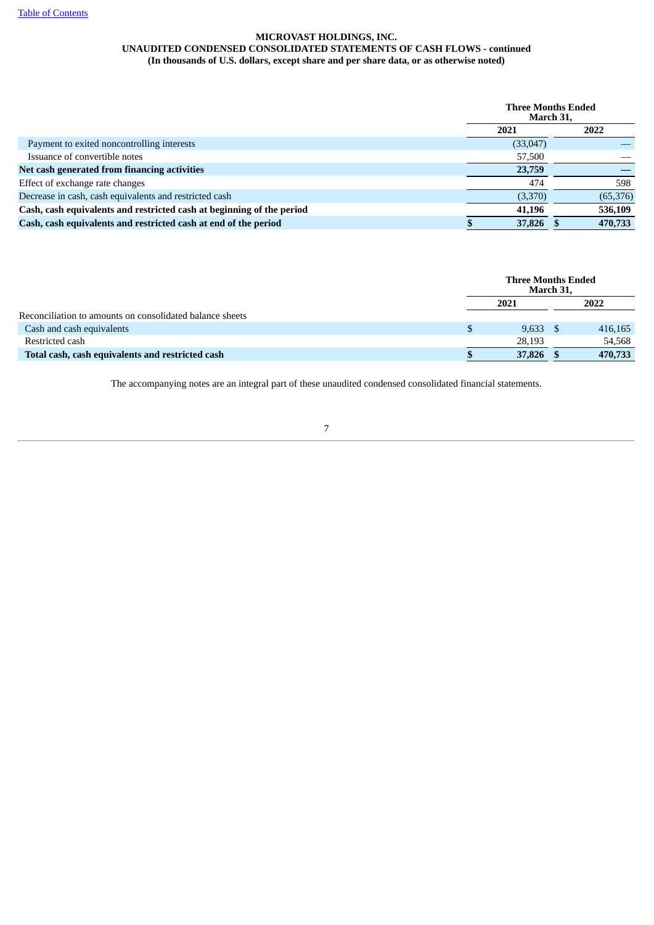## **MICROVAST HOLDINGS, INC. UNAUDITED CONDENSED CONSOLIDATED STATEMENTS OF CASH FLOWS - continued (In thousands of U.S. dollars, except share and per share data, or as otherwise noted)**

|                                                                       | <b>Three Months Ended</b><br>March 31, |  |           |
|-----------------------------------------------------------------------|----------------------------------------|--|-----------|
|                                                                       | 2021                                   |  | 2022      |
| Payment to exited noncontrolling interests                            | (33,047)                               |  |           |
| Issuance of convertible notes                                         | 57,500                                 |  |           |
| Net cash generated from financing activities                          | 23,759                                 |  |           |
| Effect of exchange rate changes                                       | 474                                    |  | 598       |
| Decrease in cash, cash equivalents and restricted cash                | (3,370)                                |  | (65, 376) |
| Cash, cash equivalents and restricted cash at beginning of the period | 41,196                                 |  | 536,109   |
| Cash, cash equivalents and restricted cash at end of the period       | 37,826                                 |  | 470,733   |

|                                                          | <b>Three Months Ended</b><br>March 31, |         |
|----------------------------------------------------------|----------------------------------------|---------|
|                                                          | 2021                                   | 2022    |
| Reconciliation to amounts on consolidated balance sheets |                                        |         |
| Cash and cash equivalents                                | 9,633                                  | 416,165 |
| Restricted cash                                          | 28.193                                 | 54,568  |
| Total cash, cash equivalents and restricted cash         | 37,826                                 | 470,733 |

<span id="page-10-0"></span>The accompanying notes are an integral part of these unaudited condensed consolidated financial statements.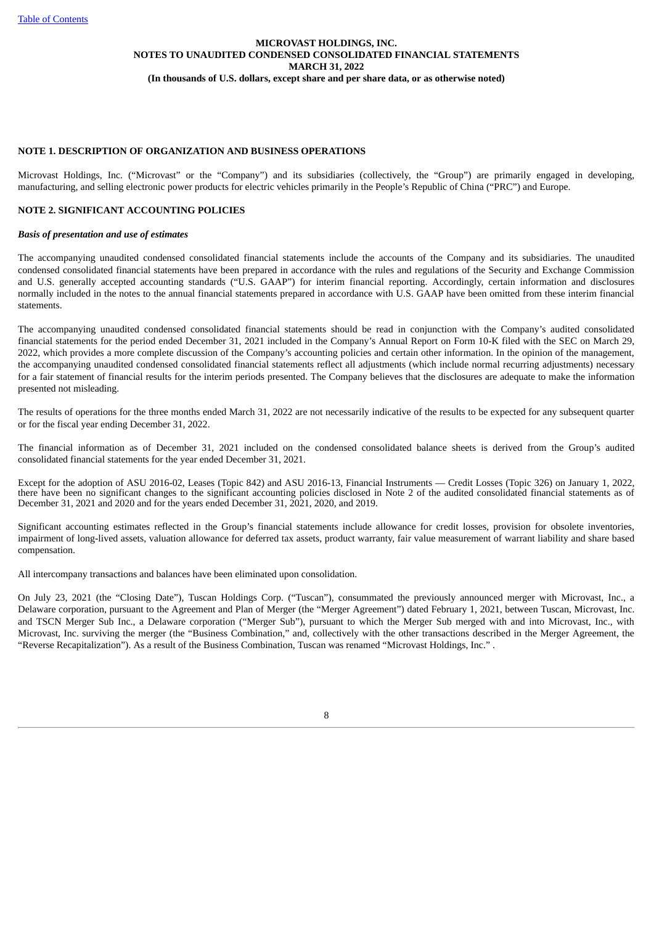## **NOTE 1. DESCRIPTION OF ORGANIZATION AND BUSINESS OPERATIONS**

Microvast Holdings, Inc. ("Microvast" or the "Company") and its subsidiaries (collectively, the "Group") are primarily engaged in developing, manufacturing, and selling electronic power products for electric vehicles primarily in the People's Republic of China ("PRC") and Europe.

## **NOTE 2. SIGNIFICANT ACCOUNTING POLICIES**

## *Basis of presentation and use of estimates*

The accompanying unaudited condensed consolidated financial statements include the accounts of the Company and its subsidiaries. The unaudited condensed consolidated financial statements have been prepared in accordance with the rules and regulations of the Security and Exchange Commission and U.S. generally accepted accounting standards ("U.S. GAAP") for interim financial reporting. Accordingly, certain information and disclosures normally included in the notes to the annual financial statements prepared in accordance with U.S. GAAP have been omitted from these interim financial statements.

The accompanying unaudited condensed consolidated financial statements should be read in conjunction with the Company's audited consolidated financial statements for the period ended December 31, 2021 included in the Company's Annual Report on Form 10-K filed with the SEC on March 29, 2022, which provides a more complete discussion of the Company's accounting policies and certain other information. In the opinion of the management, the accompanying unaudited condensed consolidated financial statements reflect all adjustments (which include normal recurring adjustments) necessary for a fair statement of financial results for the interim periods presented. The Company believes that the disclosures are adequate to make the information presented not misleading.

The results of operations for the three months ended March 31, 2022 are not necessarily indicative of the results to be expected for any subsequent quarter or for the fiscal year ending December 31, 2022.

The financial information as of December 31, 2021 included on the condensed consolidated balance sheets is derived from the Group's audited consolidated financial statements for the year ended December 31, 2021.

Except for the adoption of ASU 2016-02, Leases (Topic 842) and ASU 2016-13, Financial Instruments — Credit Losses (Topic 326) on January 1, 2022, there have been no significant changes to the significant accounting policies disclosed in Note 2 of the audited consolidated financial statements as of December 31, 2021 and 2020 and for the years ended December 31, 2021, 2020, and 2019.

Significant accounting estimates reflected in the Group's financial statements include allowance for credit losses, provision for obsolete inventories, impairment of long-lived assets, valuation allowance for deferred tax assets, product warranty, fair value measurement of warrant liability and share based compensation.

All intercompany transactions and balances have been eliminated upon consolidation.

On July 23, 2021 (the "Closing Date"), Tuscan Holdings Corp. ("Tuscan"), consummated the previously announced merger with Microvast, Inc., a Delaware corporation, pursuant to the Agreement and Plan of Merger (the "Merger Agreement") dated February 1, 2021, between Tuscan, Microvast, Inc. and TSCN Merger Sub Inc., a Delaware corporation ("Merger Sub"), pursuant to which the Merger Sub merged with and into Microvast, Inc., with Microvast, Inc. surviving the merger (the "Business Combination," and, collectively with the other transactions described in the Merger Agreement, the "Reverse Recapitalization"). As a result of the Business Combination, Tuscan was renamed "Microvast Holdings, Inc." .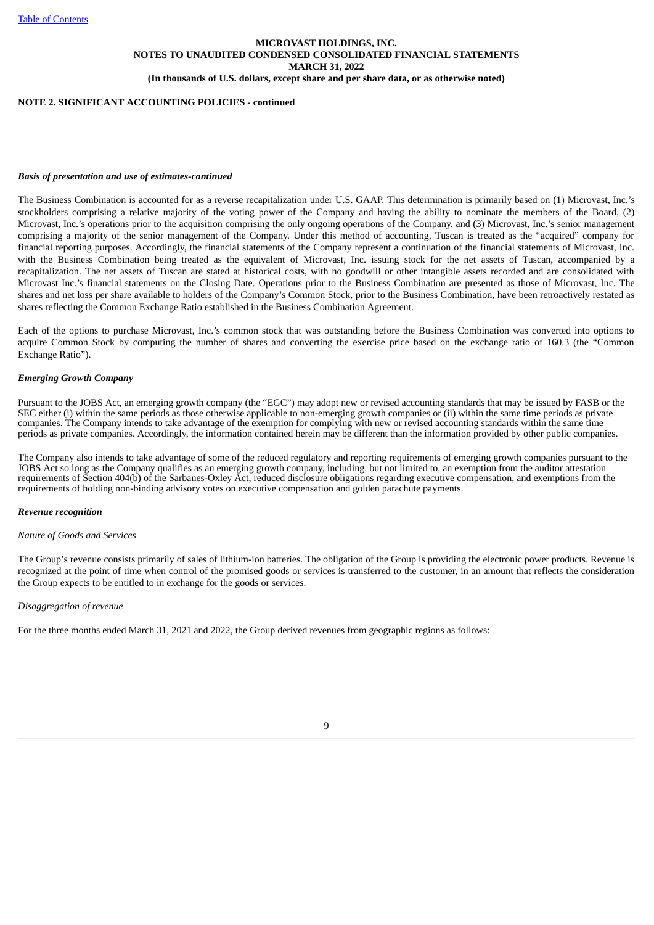## **NOTE 2. SIGNIFICANT ACCOUNTING POLICIES - continued**

### *Basis of presentation and use of estimates-continued*

The Business Combination is accounted for as a reverse recapitalization under U.S. GAAP. This determination is primarily based on (1) Microvast, Inc.'s stockholders comprising a relative majority of the voting power of the Company and having the ability to nominate the members of the Board, (2) Microvast, Inc.'s operations prior to the acquisition comprising the only ongoing operations of the Company, and (3) Microvast, Inc.'s senior management comprising a majority of the senior management of the Company. Under this method of accounting, Tuscan is treated as the "acquired" company for financial reporting purposes. Accordingly, the financial statements of the Company represent a continuation of the financial statements of Microvast, Inc. with the Business Combination being treated as the equivalent of Microvast, Inc. issuing stock for the net assets of Tuscan, accompanied by a recapitalization. The net assets of Tuscan are stated at historical costs, with no goodwill or other intangible assets recorded and are consolidated with Microvast Inc.'s financial statements on the Closing Date. Operations prior to the Business Combination are presented as those of Microvast, Inc. The shares and net loss per share available to holders of the Company's Common Stock, prior to the Business Combination, have been retroactively restated as shares reflecting the Common Exchange Ratio established in the Business Combination Agreement.

Each of the options to purchase Microvast, Inc.'s common stock that was outstanding before the Business Combination was converted into options to acquire Common Stock by computing the number of shares and converting the exercise price based on the exchange ratio of 160.3 (the "Common Exchange Ratio").

#### *Emerging Growth Company*

Pursuant to the JOBS Act, an emerging growth company (the "EGC") may adopt new or revised accounting standards that may be issued by FASB or the SEC either (i) within the same periods as those otherwise applicable to non-emerging growth companies or (ii) within the same time periods as private companies. The Company intends to take advantage of the exemption for complying with new or revised accounting standards within the same time periods as private companies. Accordingly, the information contained herein may be different than the information provided by other public companies.

The Company also intends to take advantage of some of the reduced regulatory and reporting requirements of emerging growth companies pursuant to the JOBS Act so long as the Company qualifies as an emerging growth company, including, but not limited to, an exemption from the auditor attestation requirements of Section 404(b) of the Sarbanes-Oxley Act, reduced disclosure obligations regarding executive compensation, and exemptions from the requirements of holding non-binding advisory votes on executive compensation and golden parachute payments.

#### *Revenue recognition*

#### *Nature of Goods and Services*

The Group's revenue consists primarily of sales of lithium-ion batteries. The obligation of the Group is providing the electronic power products. Revenue is recognized at the point of time when control of the promised goods or services is transferred to the customer, in an amount that reflects the consideration the Group expects to be entitled to in exchange for the goods or services.

#### *Disaggregation of revenue*

For the three months ended March 31, 2021 and 2022, the Group derived revenues from geographic regions as follows: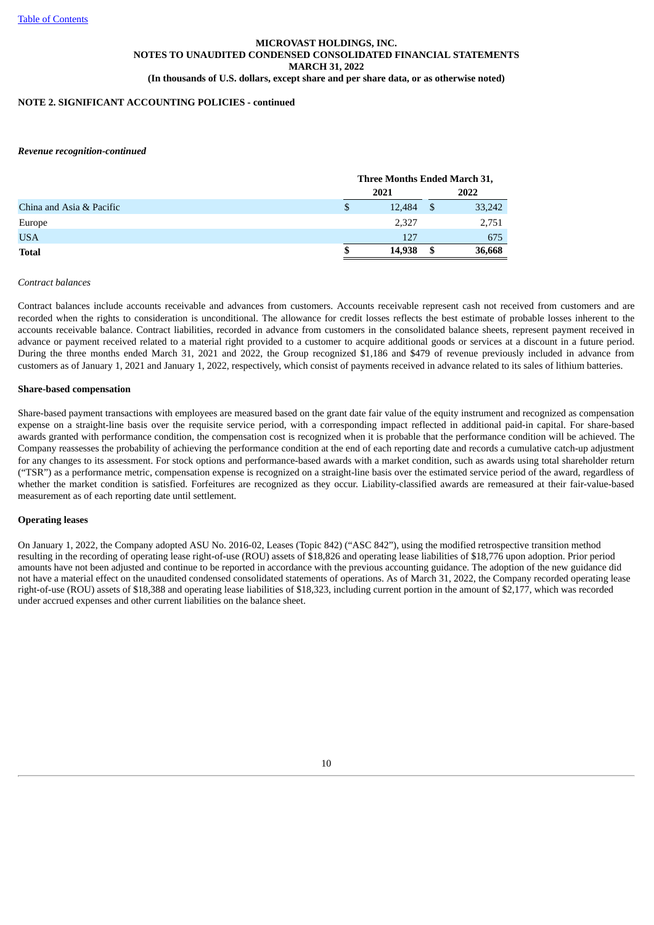### **NOTE 2. SIGNIFICANT ACCOUNTING POLICIES - continued**

#### *Revenue recognition-continued*

|                          |   | Three Months Ended March 31, |  |        |  |  |  |
|--------------------------|---|------------------------------|--|--------|--|--|--|
|                          |   | 2021                         |  | 2022   |  |  |  |
| China and Asia & Pacific | S | 12,484                       |  | 33,242 |  |  |  |
| Europe                   |   | 2,327                        |  | 2,751  |  |  |  |
| <b>USA</b>               |   | 127                          |  | 675    |  |  |  |
| <b>Total</b>             |   | 14,938                       |  | 36,668 |  |  |  |

#### *Contract balances*

Contract balances include accounts receivable and advances from customers. Accounts receivable represent cash not received from customers and are recorded when the rights to consideration is unconditional. The allowance for credit losses reflects the best estimate of probable losses inherent to the accounts receivable balance. Contract liabilities, recorded in advance from customers in the consolidated balance sheets, represent payment received in advance or payment received related to a material right provided to a customer to acquire additional goods or services at a discount in a future period. During the three months ended March 31, 2021 and 2022, the Group recognized \$1,186 and \$479 of revenue previously included in advance from customers as of January 1, 2021 and January 1, 2022, respectively, which consist of payments received in advance related to its sales of lithium batteries.

### **Share-based compensation**

Share-based payment transactions with employees are measured based on the grant date fair value of the equity instrument and recognized as compensation expense on a straight-line basis over the requisite service period, with a corresponding impact reflected in additional paid-in capital. For share-based awards granted with performance condition, the compensation cost is recognized when it is probable that the performance condition will be achieved. The Company reassesses the probability of achieving the performance condition at the end of each reporting date and records a cumulative catch-up adjustment for any changes to its assessment. For stock options and performance-based awards with a market condition, such as awards using total shareholder return ("TSR") as a performance metric, compensation expense is recognized on a straight-line basis over the estimated service period of the award, regardless of whether the market condition is satisfied. Forfeitures are recognized as they occur. Liability-classified awards are remeasured at their fair-value-based measurement as of each reporting date until settlement.

#### **Operating leases**

On January 1, 2022, the Company adopted ASU No. 2016-02, Leases (Topic 842) ("ASC 842"), using the modified retrospective transition method resulting in the recording of operating lease right-of-use (ROU) assets of \$18,826 and operating lease liabilities of \$18,776 upon adoption. Prior period amounts have not been adjusted and continue to be reported in accordance with the previous accounting guidance. The adoption of the new guidance did not have a material effect on the unaudited condensed consolidated statements of operations. As of March 31, 2022, the Company recorded operating lease right-of-use (ROU) assets of \$18,388 and operating lease liabilities of \$18,323, including current portion in the amount of \$2,177, which was recorded under accrued expenses and other current liabilities on the balance sheet.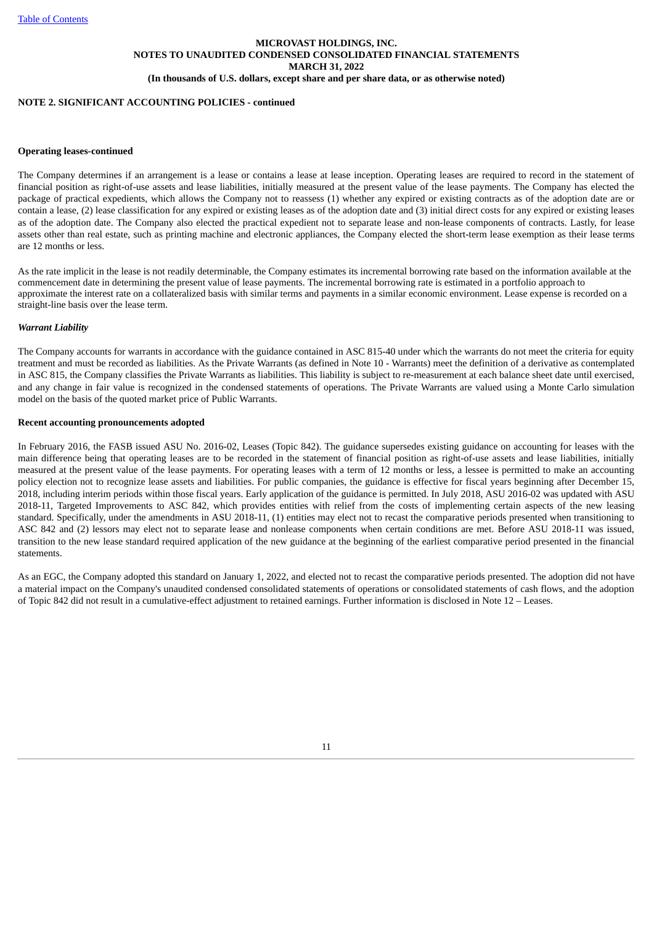## **NOTE 2. SIGNIFICANT ACCOUNTING POLICIES - continued**

### **Operating leases-continued**

The Company determines if an arrangement is a lease or contains a lease at lease inception. Operating leases are required to record in the statement of financial position as right-of-use assets and lease liabilities, initially measured at the present value of the lease payments. The Company has elected the package of practical expedients, which allows the Company not to reassess (1) whether any expired or existing contracts as of the adoption date are or contain a lease, (2) lease classification for any expired or existing leases as of the adoption date and (3) initial direct costs for any expired or existing leases as of the adoption date. The Company also elected the practical expedient not to separate lease and non-lease components of contracts. Lastly, for lease assets other than real estate, such as printing machine and electronic appliances, the Company elected the short-term lease exemption as their lease terms are 12 months or less.

As the rate implicit in the lease is not readily determinable, the Company estimates its incremental borrowing rate based on the information available at the commencement date in determining the present value of lease payments. The incremental borrowing rate is estimated in a portfolio approach to approximate the interest rate on a collateralized basis with similar terms and payments in a similar economic environment. Lease expense is recorded on a straight-line basis over the lease term.

### *Warrant Liability*

The Company accounts for warrants in accordance with the guidance contained in ASC 815-40 under which the warrants do not meet the criteria for equity treatment and must be recorded as liabilities. As the Private Warrants (as defined in Note 10 - Warrants) meet the definition of a derivative as contemplated in ASC 815, the Company classifies the Private Warrants as liabilities. This liability is subject to re-measurement at each balance sheet date until exercised, and any change in fair value is recognized in the condensed statements of operations. The Private Warrants are valued using a Monte Carlo simulation model on the basis of the quoted market price of Public Warrants.

### **Recent accounting pronouncements adopted**

In February 2016, the FASB issued ASU No. 2016-02, Leases (Topic 842). The guidance supersedes existing guidance on accounting for leases with the main difference being that operating leases are to be recorded in the statement of financial position as right-of-use assets and lease liabilities, initially measured at the present value of the lease payments. For operating leases with a term of 12 months or less, a lessee is permitted to make an accounting policy election not to recognize lease assets and liabilities. For public companies, the guidance is effective for fiscal years beginning after December 15, 2018, including interim periods within those fiscal years. Early application of the guidance is permitted. In July 2018, ASU 2016-02 was updated with ASU 2018-11, Targeted Improvements to ASC 842, which provides entities with relief from the costs of implementing certain aspects of the new leasing standard. Specifically, under the amendments in ASU 2018-11, (1) entities may elect not to recast the comparative periods presented when transitioning to ASC 842 and (2) lessors may elect not to separate lease and nonlease components when certain conditions are met. Before ASU 2018-11 was issued, transition to the new lease standard required application of the new guidance at the beginning of the earliest comparative period presented in the financial statements.

As an EGC, the Company adopted this standard on January 1, 2022, and elected not to recast the comparative periods presented. The adoption did not have a material impact on the Company's unaudited condensed consolidated statements of operations or consolidated statements of cash flows, and the adoption of Topic 842 did not result in a cumulative-effect adjustment to retained earnings. Further information is disclosed in Note 12 – Leases.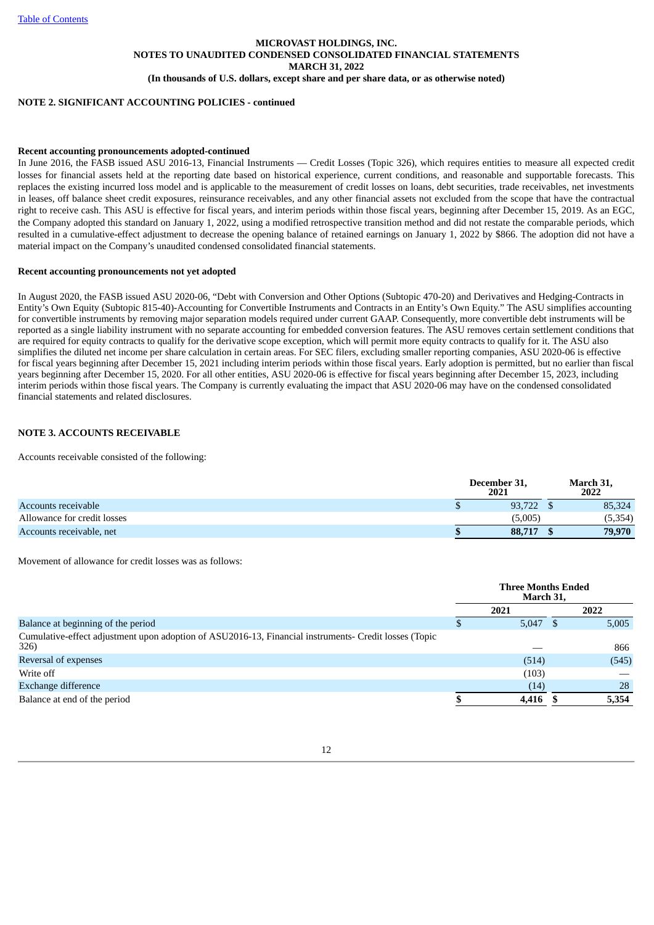## **NOTE 2. SIGNIFICANT ACCOUNTING POLICIES - continued**

#### **Recent accounting pronouncements adopted-continued**

In June 2016, the FASB issued ASU 2016-13, Financial Instruments — Credit Losses (Topic 326), which requires entities to measure all expected credit losses for financial assets held at the reporting date based on historical experience, current conditions, and reasonable and supportable forecasts. This replaces the existing incurred loss model and is applicable to the measurement of credit losses on loans, debt securities, trade receivables, net investments in leases, off balance sheet credit exposures, reinsurance receivables, and any other financial assets not excluded from the scope that have the contractual right to receive cash. This ASU is effective for fiscal years, and interim periods within those fiscal years, beginning after December 15, 2019. As an EGC, the Company adopted this standard on January 1, 2022, using a modified retrospective transition method and did not restate the comparable periods, which resulted in a cumulative-effect adjustment to decrease the opening balance of retained earnings on January 1, 2022 by \$866. The adoption did not have a material impact on the Company's unaudited condensed consolidated financial statements.

### **Recent accounting pronouncements not yet adopted**

In August 2020, the FASB issued ASU 2020-06, "Debt with Conversion and Other Options (Subtopic 470-20) and Derivatives and Hedging-Contracts in Entity's Own Equity (Subtopic 815-40)-Accounting for Convertible Instruments and Contracts in an Entity's Own Equity." The ASU simplifies accounting for convertible instruments by removing major separation models required under current GAAP. Consequently, more convertible debt instruments will be reported as a single liability instrument with no separate accounting for embedded conversion features. The ASU removes certain settlement conditions that are required for equity contracts to qualify for the derivative scope exception, which will permit more equity contracts to qualify for it. The ASU also simplifies the diluted net income per share calculation in certain areas. For SEC filers, excluding smaller reporting companies, ASU 2020-06 is effective for fiscal years beginning after December 15, 2021 including interim periods within those fiscal years. Early adoption is permitted, but no earlier than fiscal years beginning after December 15, 2020. For all other entities, ASU 2020-06 is effective for fiscal years beginning after December 15, 2023, including interim periods within those fiscal years. The Company is currently evaluating the impact that ASU 2020-06 may have on the condensed consolidated financial statements and related disclosures.

### **NOTE 3. ACCOUNTS RECEIVABLE**

Accounts receivable consisted of the following:

|                             | December 31,<br>2021 | March 31,<br>2022 |
|-----------------------------|----------------------|-------------------|
| Accounts receivable         | 93,722               | 85,324            |
| Allowance for credit losses | (5.005)              | (5,354)           |
| Accounts receivable, net    | 88,717               | 79,970            |

Movement of allowance for credit losses was as follows:

|                                                                                                               | <b>Three Months Ended</b><br>March 31, |       |  |       |
|---------------------------------------------------------------------------------------------------------------|----------------------------------------|-------|--|-------|
|                                                                                                               |                                        | 2021  |  | 2022  |
| Balance at beginning of the period                                                                            | ۵D                                     | 5.047 |  | 5,005 |
| Cumulative-effect adjustment upon adoption of ASU2016-13, Financial instruments- Credit losses (Topic<br>326) |                                        |       |  | 866   |
| Reversal of expenses                                                                                          |                                        | (514) |  | (545) |
| Write off                                                                                                     |                                        | (103) |  |       |
| Exchange difference                                                                                           |                                        | (14)  |  | 28    |
| Balance at end of the period                                                                                  |                                        | 4,416 |  | 5,354 |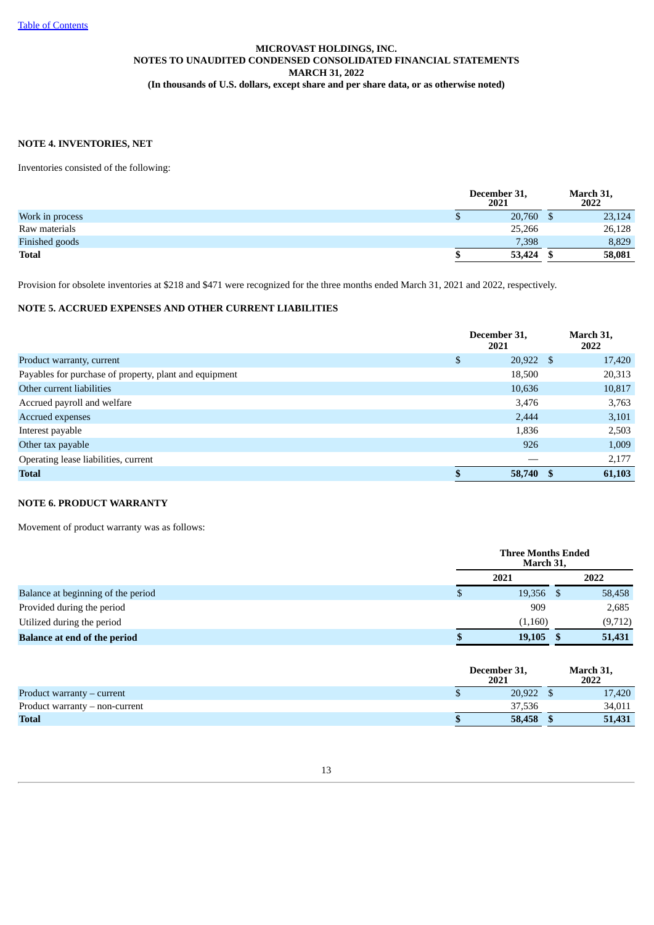## **NOTE 4. INVENTORIES, NET**

Inventories consisted of the following:

|                 |   | December 31,<br>2021 | March 31,<br>2022 |
|-----------------|---|----------------------|-------------------|
| Work in process | D | 20,760               | 23,124            |
| Raw materials   |   | 25,266               | 26,128            |
| Finished goods  |   | 7,398                | 8,829             |
| <b>Total</b>    |   | 53,424               | 58,081            |

Provision for obsolete inventories at \$218 and \$471 were recognized for the three months ended March 31, 2021 and 2022, respectively.

# **NOTE 5. ACCRUED EXPENSES AND OTHER CURRENT LIABILITIES**

|                                                        | December 31,<br>2021 | March 31,<br>2022 |
|--------------------------------------------------------|----------------------|-------------------|
| Product warranty, current                              | \$<br>$20,922$ \$    | 17,420            |
| Payables for purchase of property, plant and equipment | 18,500               | 20,313            |
| Other current liabilities                              | 10,636               | 10,817            |
| Accrued payroll and welfare                            | 3,476                | 3,763             |
| <b>Accrued expenses</b>                                | 2,444                | 3,101             |
| Interest payable                                       | 1,836                | 2,503             |
| Other tax payable                                      | 926                  | 1,009             |
| Operating lease liabilities, current                   |                      | 2,177             |
| <b>Total</b>                                           | 58,740 \$            | 61,103            |

## **NOTE 6. PRODUCT WARRANTY**

Movement of product warranty was as follows:

|                                     |   | <b>Three Months Ended</b><br>March 31, |      |         |
|-------------------------------------|---|----------------------------------------|------|---------|
|                                     |   | 2021                                   |      | 2022    |
| Balance at beginning of the period  | S | 19,356                                 | - \$ | 58,458  |
| Provided during the period          |   | 909                                    |      | 2,685   |
| Utilized during the period          |   | (1,160)                                |      | (9,712) |
| <b>Balance at end of the period</b> |   | 19,105                                 |      | 51,431  |

|                                  |   | December 31,<br>2021 | March 31,<br>2022 |
|----------------------------------|---|----------------------|-------------------|
| Product warranty – current       | ω | 20,922               | 17,420            |
| Product warranty $-$ non-current |   | 37,536               | 34,011            |
| <b>Total</b>                     |   | 58,458               | 51,431            |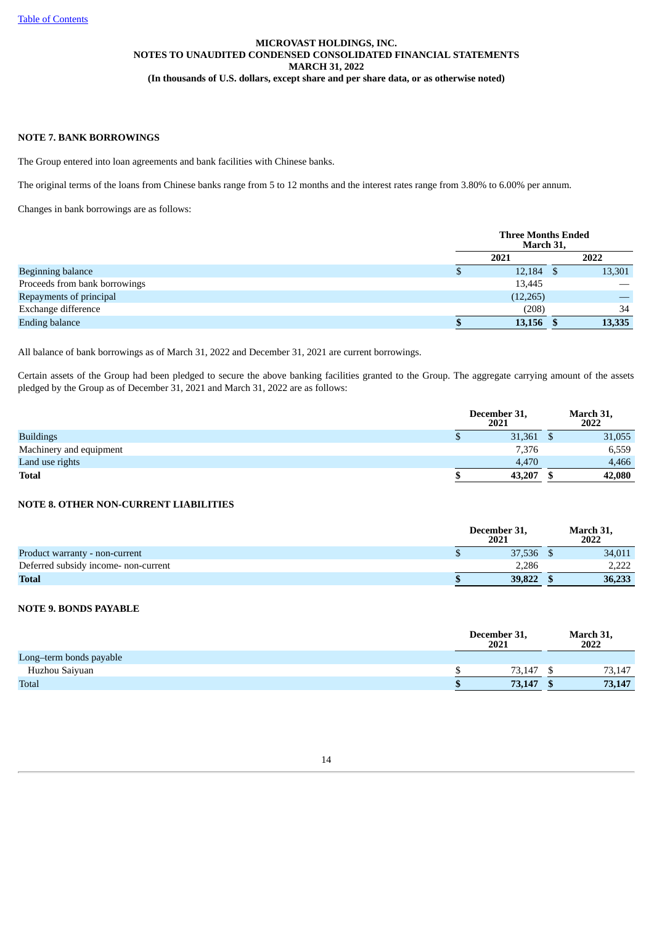## **NOTE 7. BANK BORROWINGS**

The Group entered into loan agreements and bank facilities with Chinese banks.

The original terms of the loans from Chinese banks range from 5 to 12 months and the interest rates range from 3.80% to 6.00% per annum.

Changes in bank borrowings are as follows:

|                               | <b>Three Months Ended</b><br>March 31, |        |
|-------------------------------|----------------------------------------|--------|
|                               | 2021                                   | 2022   |
| Beginning balance             | 12,184                                 | 13,301 |
| Proceeds from bank borrowings | 13,445                                 |        |
| Repayments of principal       | (12,265)                               |        |
| Exchange difference           | (208)                                  | 34     |
| <b>Ending balance</b>         | 13,156                                 | 13,335 |

All balance of bank borrowings as of March 31, 2022 and December 31, 2021 are current borrowings.

Certain assets of the Group had been pledged to secure the above banking facilities granted to the Group. The aggregate carrying amount of the assets pledged by the Group as of December 31, 2021 and March 31, 2022 are as follows:

|                         | December 31,<br>2021 | March 31,<br>2022 |
|-------------------------|----------------------|-------------------|
| <b>Buildings</b>        | 31,361               | 31,055            |
| Machinery and equipment | 7,376                | 6,559             |
| Land use rights         | 4.470                | 4,466             |
| <b>Total</b>            | 43,207               | 42,080            |

## **NOTE 8. OTHER NON-CURRENT LIABILITIES**

|                                      | December 31,<br>2021 | March 31.<br>2022 |
|--------------------------------------|----------------------|-------------------|
| Product warranty - non-current       | 37,536               | 34.011            |
| Deferred subsidy income- non-current | 2.286                | 2.222             |
| <b>Total</b>                         | 39,822               | 36,233            |

# **NOTE 9. BONDS PAYABLE**

|                         | December 31,<br>2021 | March 31,<br>2022 |        |
|-------------------------|----------------------|-------------------|--------|
| Long-term bonds payable |                      |                   |        |
| Huzhou Saiyuan          | 73.147               |                   | 73,147 |
| <b>Total</b>            | 73,147               |                   | 73,147 |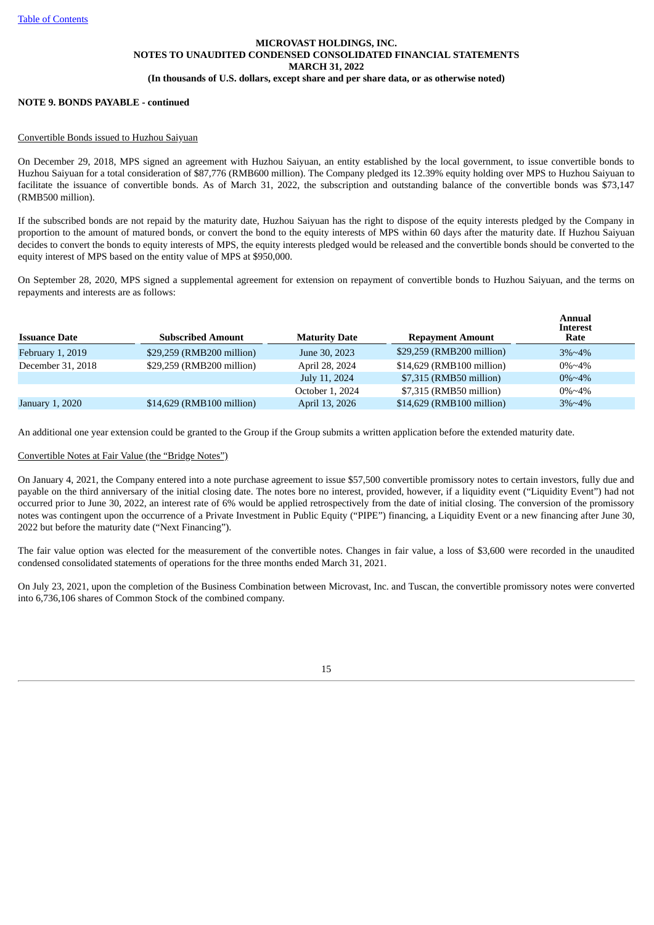# **NOTE 9. BONDS PAYABLE - continued**

## Convertible Bonds issued to Huzhou Saiyuan

On December 29, 2018, MPS signed an agreement with Huzhou Saiyuan, an entity established by the local government, to issue convertible bonds to Huzhou Saiyuan for a total consideration of \$87,776 (RMB600 million). The Company pledged its 12.39% equity holding over MPS to Huzhou Saiyuan to facilitate the issuance of convertible bonds. As of March 31, 2022, the subscription and outstanding balance of the convertible bonds was \$73,147 (RMB500 million).

If the subscribed bonds are not repaid by the maturity date, Huzhou Saiyuan has the right to dispose of the equity interests pledged by the Company in proportion to the amount of matured bonds, or convert the bond to the equity interests of MPS within 60 days after the maturity date. If Huzhou Saiyuan decides to convert the bonds to equity interests of MPS, the equity interests pledged would be released and the convertible bonds should be converted to the equity interest of MPS based on the entity value of MPS at \$950,000.

On September 28, 2020, MPS signed a supplemental agreement for extension on repayment of convertible bonds to Huzhou Saiyuan, and the terms on repayments and interests are as follows:

| <b>Issuance Date</b>    | <b>Subscribed Amount</b>  | <b>Maturity Date</b> | <b>Repayment Amount</b>   | Annual<br><b>Interest</b><br>Rate |
|-------------------------|---------------------------|----------------------|---------------------------|-----------------------------------|
| <b>February 1, 2019</b> | \$29,259 (RMB200 million) | June 30, 2023        | \$29,259 (RMB200 million) | $3\% \sim 4\%$                    |
| December 31, 2018       | \$29,259 (RMB200 million) | April 28, 2024       | \$14,629 (RMB100 million) | $0\% \sim 4\%$                    |
|                         |                           | July 11, 2024        | $$7,315$ (RMB50 million)  | $0\% \sim 4\%$                    |
|                         |                           | October 1, 2024      | \$7,315 (RMB50 million)   | $0\% \sim 4\%$                    |
| January 1, 2020         | \$14,629 (RMB100 million) | April 13, 2026       | \$14,629 (RMB100 million) | $3\% \sim 4\%$                    |

An additional one year extension could be granted to the Group if the Group submits a written application before the extended maturity date.

### Convertible Notes at Fair Value (the "Bridge Notes")

On January 4, 2021, the Company entered into a note purchase agreement to issue \$57,500 convertible promissory notes to certain investors, fully due and payable on the third anniversary of the initial closing date. The notes bore no interest, provided, however, if a liquidity event ("Liquidity Event") had not occurred prior to June 30, 2022, an interest rate of 6% would be applied retrospectively from the date of initial closing. The conversion of the promissory notes was contingent upon the occurrence of a Private Investment in Public Equity ("PIPE") financing, a Liquidity Event or a new financing after June 30, 2022 but before the maturity date ("Next Financing").

The fair value option was elected for the measurement of the convertible notes. Changes in fair value, a loss of \$3,600 were recorded in the unaudited condensed consolidated statements of operations for the three months ended March 31, 2021.

On July 23, 2021, upon the completion of the Business Combination between Microvast, Inc. and Tuscan, the convertible promissory notes were converted into 6,736,106 shares of Common Stock of the combined company.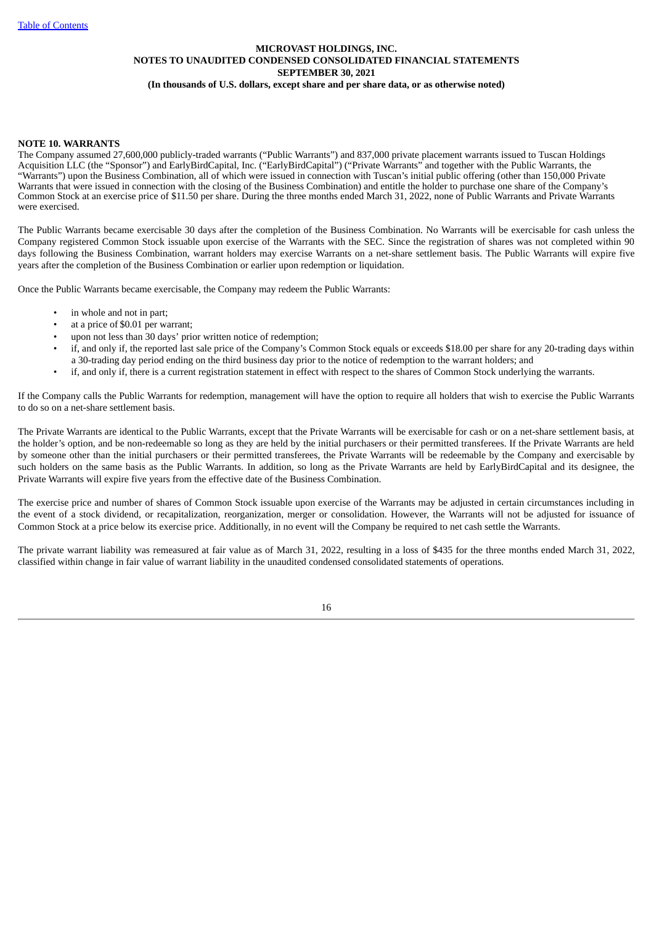#### **NOTE 10. WARRANTS**

The Company assumed 27,600,000 publicly-traded warrants ("Public Warrants") and 837,000 private placement warrants issued to Tuscan Holdings Acquisition LLC (the "Sponsor") and EarlyBirdCapital, Inc. ("EarlyBirdCapital") ("Private Warrants" and together with the Public Warrants, the "Warrants") upon the Business Combination, all of which were issued in connection with Tuscan's initial public offering (other than 150,000 Private Warrants that were issued in connection with the closing of the Business Combination) and entitle the holder to purchase one share of the Company's Common Stock at an exercise price of \$11.50 per share. During the three months ended March 31, 2022, none of Public Warrants and Private Warrants were exercised.

The Public Warrants became exercisable 30 days after the completion of the Business Combination. No Warrants will be exercisable for cash unless the Company registered Common Stock issuable upon exercise of the Warrants with the SEC. Since the registration of shares was not completed within 90 days following the Business Combination, warrant holders may exercise Warrants on a net-share settlement basis. The Public Warrants will expire five years after the completion of the Business Combination or earlier upon redemption or liquidation.

Once the Public Warrants became exercisable, the Company may redeem the Public Warrants:

- in whole and not in part;
- at a price of \$0.01 per warrant;
- upon not less than 30 days' prior written notice of redemption;
- if, and only if, the reported last sale price of the Company's Common Stock equals or exceeds \$18.00 per share for any 20-trading days within a 30-trading day period ending on the third business day prior to the notice of redemption to the warrant holders; and
- if, and only if, there is a current registration statement in effect with respect to the shares of Common Stock underlying the warrants.

If the Company calls the Public Warrants for redemption, management will have the option to require all holders that wish to exercise the Public Warrants to do so on a net-share settlement basis.

The Private Warrants are identical to the Public Warrants, except that the Private Warrants will be exercisable for cash or on a net-share settlement basis, at the holder's option, and be non-redeemable so long as they are held by the initial purchasers or their permitted transferees. If the Private Warrants are held by someone other than the initial purchasers or their permitted transferees, the Private Warrants will be redeemable by the Company and exercisable by such holders on the same basis as the Public Warrants. In addition, so long as the Private Warrants are held by EarlyBirdCapital and its designee, the Private Warrants will expire five years from the effective date of the Business Combination.

The exercise price and number of shares of Common Stock issuable upon exercise of the Warrants may be adjusted in certain circumstances including in the event of a stock dividend, or recapitalization, reorganization, merger or consolidation. However, the Warrants will not be adjusted for issuance of Common Stock at a price below its exercise price. Additionally, in no event will the Company be required to net cash settle the Warrants.

The private warrant liability was remeasured at fair value as of March 31, 2022, resulting in a loss of \$435 for the three months ended March 31, 2022, classified within change in fair value of warrant liability in the unaudited condensed consolidated statements of operations.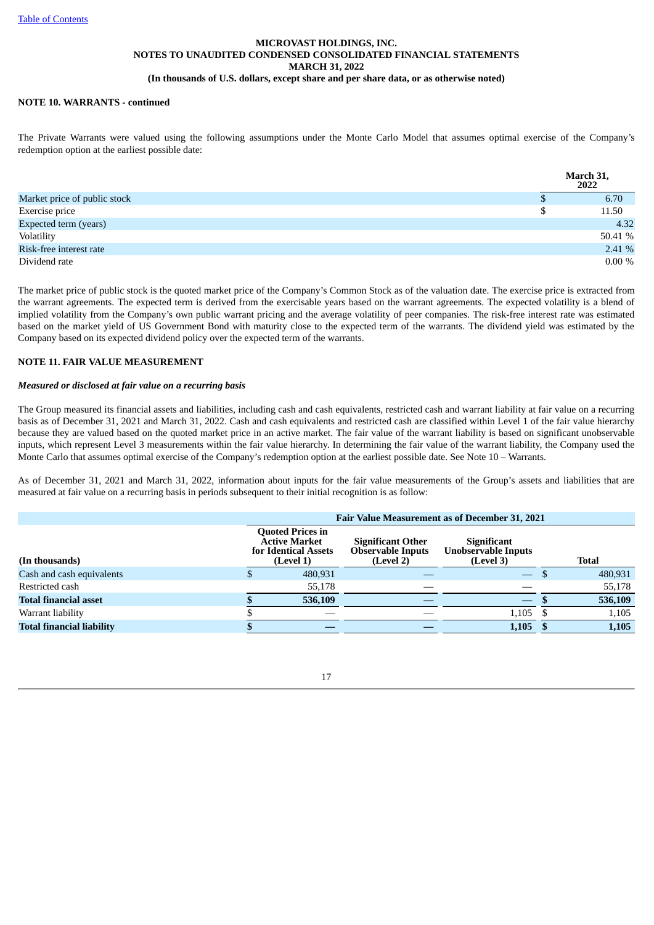# **NOTE 10. WARRANTS - continued**

The Private Warrants were valued using the following assumptions under the Monte Carlo Model that assumes optimal exercise of the Company's redemption option at the earliest possible date:

|                              |   | March 31,<br>2022 |
|------------------------------|---|-------------------|
| Market price of public stock |   | 6.70              |
| Exercise price               | S | 11.50             |
| Expected term (years)        |   | 4.32              |
| Volatility                   |   | 50.41 %           |
| Risk-free interest rate      |   | 2.41 %            |
| Dividend rate                |   | $0.00 \%$         |

The market price of public stock is the quoted market price of the Company's Common Stock as of the valuation date. The exercise price is extracted from the warrant agreements. The expected term is derived from the exercisable years based on the warrant agreements. The expected volatility is a blend of implied volatility from the Company's own public warrant pricing and the average volatility of peer companies. The risk-free interest rate was estimated based on the market yield of US Government Bond with maturity close to the expected term of the warrants. The dividend yield was estimated by the Company based on its expected dividend policy over the expected term of the warrants.

## **NOTE 11. FAIR VALUE MEASUREMENT**

#### *Measured or disclosed at fair value on a recurring basis*

The Group measured its financial assets and liabilities, including cash and cash equivalents, restricted cash and warrant liability at fair value on a recurring basis as of December 31, 2021 and March 31, 2022. Cash and cash equivalents and restricted cash are classified within Level 1 of the fair value hierarchy because they are valued based on the quoted market price in an active market. The fair value of the warrant liability is based on significant unobservable inputs, which represent Level 3 measurements within the fair value hierarchy. In determining the fair value of the warrant liability, the Company used the Monte Carlo that assumes optimal exercise of the Company's redemption option at the earliest possible date. See Note 10 – Warrants.

As of December 31, 2021 and March 31, 2022, information about inputs for the fair value measurements of the Group's assets and liabilities that are measured at fair value on a recurring basis in periods subsequent to their initial recognition is as follow:

|                                  | <b>Fair Value Measurement as of December 31, 2021</b> |                                                                                      |                                                                   |                                                               |  |              |
|----------------------------------|-------------------------------------------------------|--------------------------------------------------------------------------------------|-------------------------------------------------------------------|---------------------------------------------------------------|--|--------------|
| (In thousands)                   |                                                       | <b>Quoted Prices in</b><br><b>Active Market</b><br>for Identical Assets<br>(Level 1) | <b>Significant Other</b><br><b>Observable Inputs</b><br>(Level 2) | <b>Significant</b><br><b>Unobservable Inputs</b><br>(Level 3) |  | <b>Total</b> |
| Cash and cash equivalents        |                                                       | 480,931                                                                              |                                                                   | $\overline{\phantom{m}}$                                      |  | 480,931      |
| Restricted cash                  |                                                       | 55,178                                                                               |                                                                   |                                                               |  | 55,178       |
| <b>Total financial asset</b>     |                                                       | 536,109                                                                              |                                                                   | $\overline{\phantom{0}}$                                      |  | 536,109      |
| Warrant liability                |                                                       |                                                                                      |                                                                   | 1,105                                                         |  | 1,105        |
| <b>Total financial liability</b> |                                                       |                                                                                      |                                                                   | $1,105$ \$                                                    |  | 1,105        |

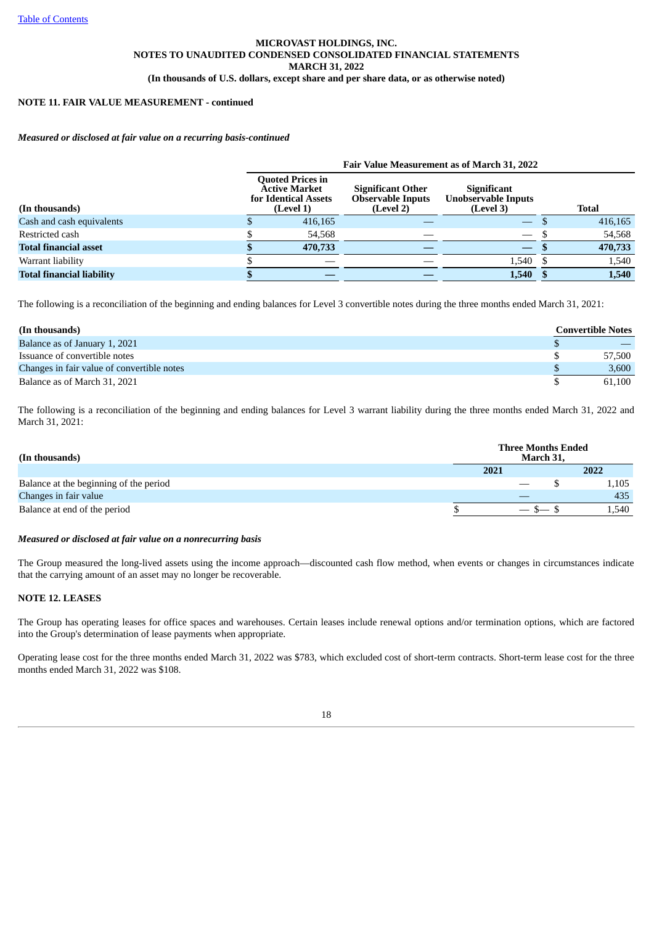## **NOTE 11. FAIR VALUE MEASUREMENT - continued**

## *Measured or disclosed at fair value on a recurring basis-continued*

|                                  | Fair Value Measurement as of March 31, 2022 |                                                                                      |                                                                   |                                                               |  |              |
|----------------------------------|---------------------------------------------|--------------------------------------------------------------------------------------|-------------------------------------------------------------------|---------------------------------------------------------------|--|--------------|
| (In thousands)                   |                                             | <b>Quoted Prices in</b><br><b>Active Market</b><br>for Identical Assets<br>(Level 1) | <b>Significant Other</b><br><b>Observable Inputs</b><br>(Level 2) | <b>Significant</b><br><b>Unobservable Inputs</b><br>(Level 3) |  | <b>Total</b> |
| Cash and cash equivalents        |                                             | 416,165                                                                              |                                                                   | $\overbrace{\phantom{13333}}$                                 |  | 416,165      |
| Restricted cash                  |                                             | 54,568                                                                               |                                                                   | $\overbrace{\hspace{25mm}}^{}$                                |  | 54,568       |
| <b>Total financial asset</b>     |                                             | 470,733                                                                              |                                                                   |                                                               |  | 470,733      |
| Warrant liability                |                                             |                                                                                      |                                                                   | 1,540                                                         |  | 1,540        |
| <b>Total financial liability</b> |                                             |                                                                                      |                                                                   | 1,540                                                         |  | 1,540        |

The following is a reconciliation of the beginning and ending balances for Level 3 convertible notes during the three months ended March 31, 2021:

| (In thousands)                             | <b>Convertible Notes</b> |
|--------------------------------------------|--------------------------|
| Balance as of January 1, 2021              |                          |
| Issuance of convertible notes              | 57,500                   |
| Changes in fair value of convertible notes | 3,600                    |
| Balance as of March 31, 2021               | 61.100                   |

The following is a reconciliation of the beginning and ending balances for Level 3 warrant liability during the three months ended March 31, 2022 and March 31, 2021:

| (In thousands)                         | <b>Three Months Ended</b><br>March 31, |  |       |
|----------------------------------------|----------------------------------------|--|-------|
|                                        | 2021                                   |  | 2022  |
| Balance at the beginning of the period |                                        |  | 1,105 |
| Changes in fair value                  |                                        |  | 435   |
| Balance at end of the period           | $-$ S $-$ S                            |  | 1,540 |

#### *Measured or disclosed at fair value on a nonrecurring basis*

The Group measured the long-lived assets using the income approach—discounted cash flow method, when events or changes in circumstances indicate that the carrying amount of an asset may no longer be recoverable.

## **NOTE 12. LEASES**

The Group has operating leases for office spaces and warehouses. Certain leases include renewal options and/or termination options, which are factored into the Group's determination of lease payments when appropriate.

Operating lease cost for the three months ended March 31, 2022 was \$783, which excluded cost of short-term contracts. Short-term lease cost for the three months ended March 31, 2022 was \$108.

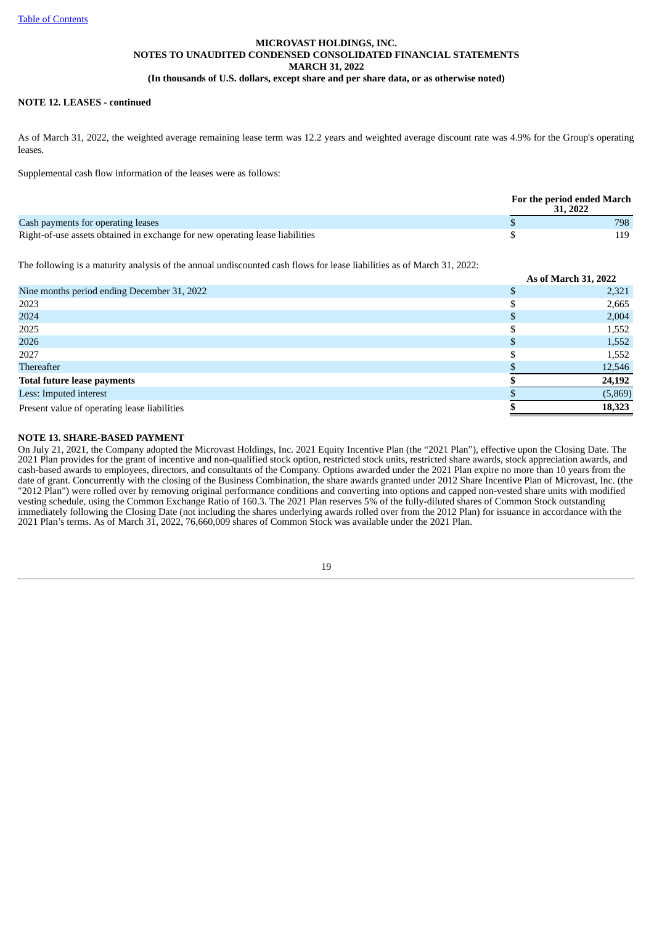## **NOTE 12. LEASES - continued**

As of March 31, 2022, the weighted average remaining lease term was 12.2 years and weighted average discount rate was 4.9% for the Group's operating leases.

Supplemental cash flow information of the leases were as follows:

|                                                                              | For the period ended March<br>31, 2022 |     |
|------------------------------------------------------------------------------|----------------------------------------|-----|
| Cash payments for operating leases                                           |                                        | 798 |
| Right-of-use assets obtained in exchange for new operating lease liabilities |                                        | 119 |

The following is a maturity analysis of the annual undiscounted cash flows for lease liabilities as of March 31, 2022:

|                                              | As of March 31, 2022 |
|----------------------------------------------|----------------------|
| Nine months period ending December 31, 2022  | 2,321                |
| 2023                                         | 2,665                |
| 2024                                         | 2,004                |
| 2025                                         | 1,552                |
| 2026                                         | 1,552                |
| 2027                                         | 1,552                |
| Thereafter                                   | 12,546               |
| <b>Total future lease payments</b>           | 24,192               |
| Less: Imputed interest                       | (5,869)              |
| Present value of operating lease liabilities | 18,323               |

### **NOTE 13. SHARE-BASED PAYMENT**

On July 21, 2021, the Company adopted the Microvast Holdings, Inc. 2021 Equity Incentive Plan (the "2021 Plan"), effective upon the Closing Date. The 2021 Plan provides for the grant of incentive and non-qualified stock option, restricted stock units, restricted share awards, stock appreciation awards, and cash-based awards to employees, directors, and consultants of the Company. Options awarded under the 2021 Plan expire no more than 10 years from the date of grant. Concurrently with the closing of the Business Combination, the share awards granted under 2012 Share Incentive Plan of Microvast, Inc. (the "2012 Plan") were rolled over by removing original performance conditions and converting into options and capped non-vested share units with modified vesting schedule, using the Common Exchange Ratio of 160.3. The 2021 Plan reserves 5% of the fully-diluted shares of Common Stock outstanding immediately following the Closing Date (not including the shares underlying awards rolled over from the 2012 Plan) for issuance in accordance with the 2021 Plan's terms. As of March 31, 2022, 76,660,009 shares of Common Stock was available under the 2021 Plan.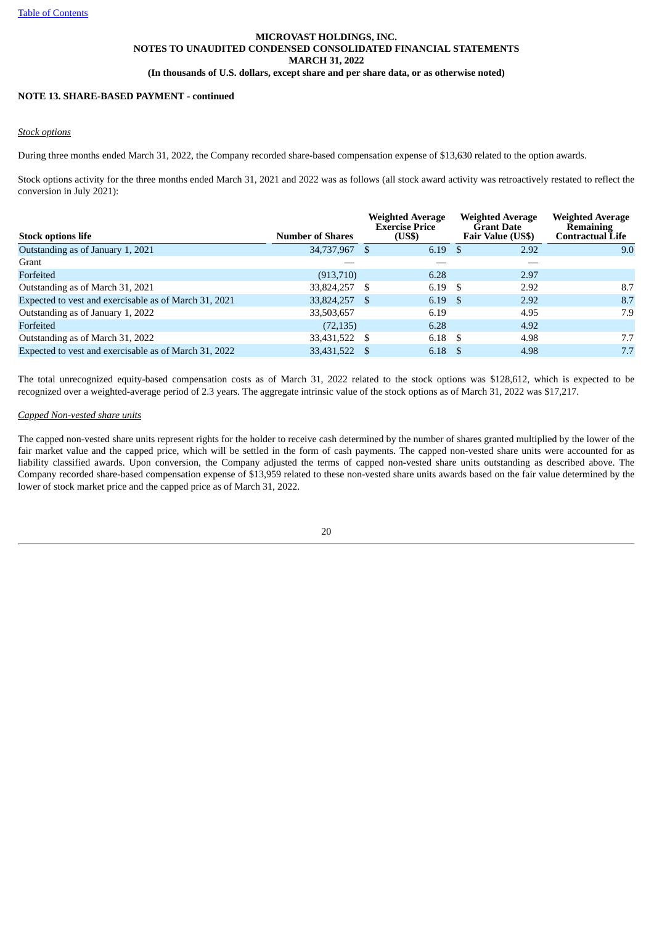## **NOTE 13. SHARE-BASED PAYMENT - continued**

#### *Stock options*

During three months ended March 31, 2022, the Company recorded share-based compensation expense of \$13,630 related to the option awards.

Stock options activity for the three months ended March 31, 2021 and 2022 was as follows (all stock award activity was retroactively restated to reflect the conversion in July 2021):

| <b>Stock options life</b>                             | <b>Number of Shares</b> |      | <b>Weighted Average</b><br><b>Exercise Price</b><br>(US\$) |      | <b>Weighted Average</b><br><b>Grant Date</b><br><b>Fair Value (US\$)</b> | <b>Weighted Average</b><br><b>Remaining</b><br><b>Contractual Life</b> |
|-------------------------------------------------------|-------------------------|------|------------------------------------------------------------|------|--------------------------------------------------------------------------|------------------------------------------------------------------------|
| Outstanding as of January 1, 2021                     | 34,737,967              | \$.  | 6.19                                                       | - \$ | 2.92                                                                     | 9.0                                                                    |
| Grant                                                 |                         |      |                                                            |      |                                                                          |                                                                        |
| Forfeited                                             | (913,710)               |      | 6.28                                                       |      | 2.97                                                                     |                                                                        |
| Outstanding as of March 31, 2021                      | 33,824,257              | -S   | 6.19                                                       | - S  | 2.92                                                                     | 8.7                                                                    |
| Expected to vest and exercisable as of March 31, 2021 | 33,824,257              | -S   | 6.19                                                       | - S  | 2.92                                                                     | 8.7                                                                    |
| Outstanding as of January 1, 2022                     | 33,503,657              |      | 6.19                                                       |      | 4.95                                                                     | 7.9                                                                    |
| Forfeited                                             | (72, 135)               |      | 6.28                                                       |      | 4.92                                                                     |                                                                        |
| Outstanding as of March 31, 2022                      | 33,431,522              | - \$ | 6.18                                                       | - \$ | 4.98                                                                     | 7.7                                                                    |
| Expected to vest and exercisable as of March 31, 2022 | 33,431,522              |      | 6.18                                                       | - \$ | 4.98                                                                     | 7.7                                                                    |

The total unrecognized equity-based compensation costs as of March 31, 2022 related to the stock options was \$128,612, which is expected to be recognized over a weighted-average period of 2.3 years. The aggregate intrinsic value of the stock options as of March 31, 2022 was \$17,217.

### *Capped Non-vested share units*

The capped non-vested share units represent rights for the holder to receive cash determined by the number of shares granted multiplied by the lower of the fair market value and the capped price, which will be settled in the form of cash payments. The capped non-vested share units were accounted for as liability classified awards. Upon conversion, the Company adjusted the terms of capped non-vested share units outstanding as described above. The Company recorded share-based compensation expense of \$13,959 related to these non-vested share units awards based on the fair value determined by the lower of stock market price and the capped price as of March 31, 2022.

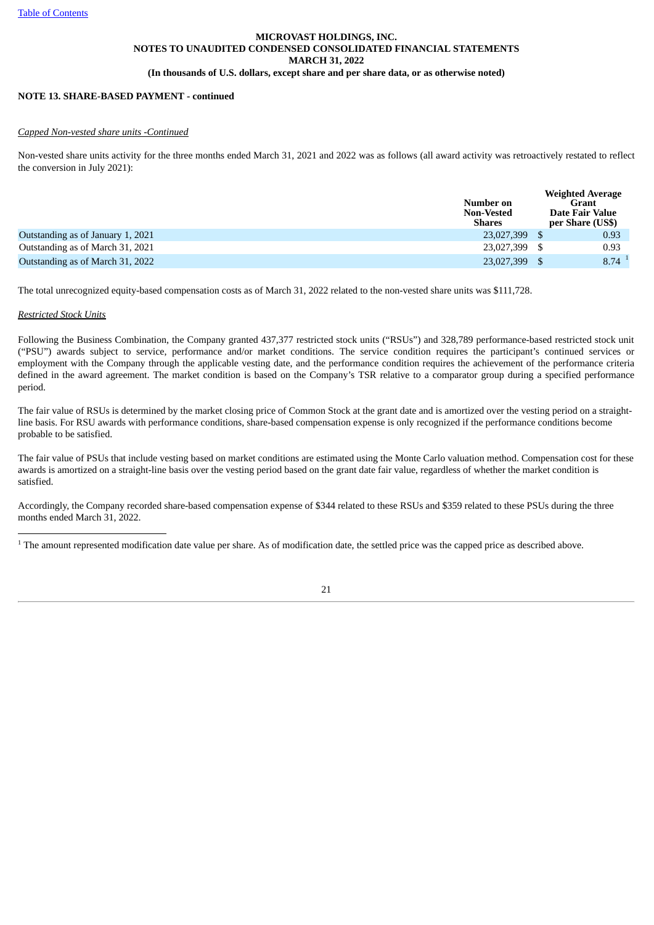## **NOTE 13. SHARE-BASED PAYMENT - continued**

### *Capped Non-vested share units -Continued*

Non-vested share units activity for the three months ended March 31, 2021 and 2022 was as follows (all award activity was retroactively restated to reflect the conversion in July 2021):

|                                   | Number on<br><b>Non-Vested</b><br><b>Shares</b> | <b>Weighted Average</b><br>Grant<br>Date Fair Value<br>per Share (US\$) |
|-----------------------------------|-------------------------------------------------|-------------------------------------------------------------------------|
| Outstanding as of January 1, 2021 | 23,027,399 \$                                   | 0.93                                                                    |
| Outstanding as of March 31, 2021  | 23.027.399 \$                                   | 0.93                                                                    |
| Outstanding as of March 31, 2022  | 23,027,399 \$                                   | 8.74                                                                    |

The total unrecognized equity-based compensation costs as of March 31, 2022 related to the non-vested share units was \$111,728.

### *Restricted Stock Units*

Following the Business Combination, the Company granted 437,377 restricted stock units ("RSUs") and 328,789 performance-based restricted stock unit ("PSU") awards subject to service, performance and/or market conditions. The service condition requires the participant's continued services or employment with the Company through the applicable vesting date, and the performance condition requires the achievement of the performance criteria defined in the award agreement. The market condition is based on the Company's TSR relative to a comparator group during a specified performance period.

The fair value of RSUs is determined by the market closing price of Common Stock at the grant date and is amortized over the vesting period on a straightline basis. For RSU awards with performance conditions, share-based compensation expense is only recognized if the performance conditions become probable to be satisfied.

The fair value of PSUs that include vesting based on market conditions are estimated using the Monte Carlo valuation method. Compensation cost for these awards is amortized on a straight-line basis over the vesting period based on the grant date fair value, regardless of whether the market condition is satisfied.

Accordingly, the Company recorded share-based compensation expense of \$344 related to these RSUs and \$359 related to these PSUs during the three months ended March 31, 2022.

 $1$ <sup>1</sup> The amount represented modification date value per share. As of modification date, the settled price was the capped price as described above.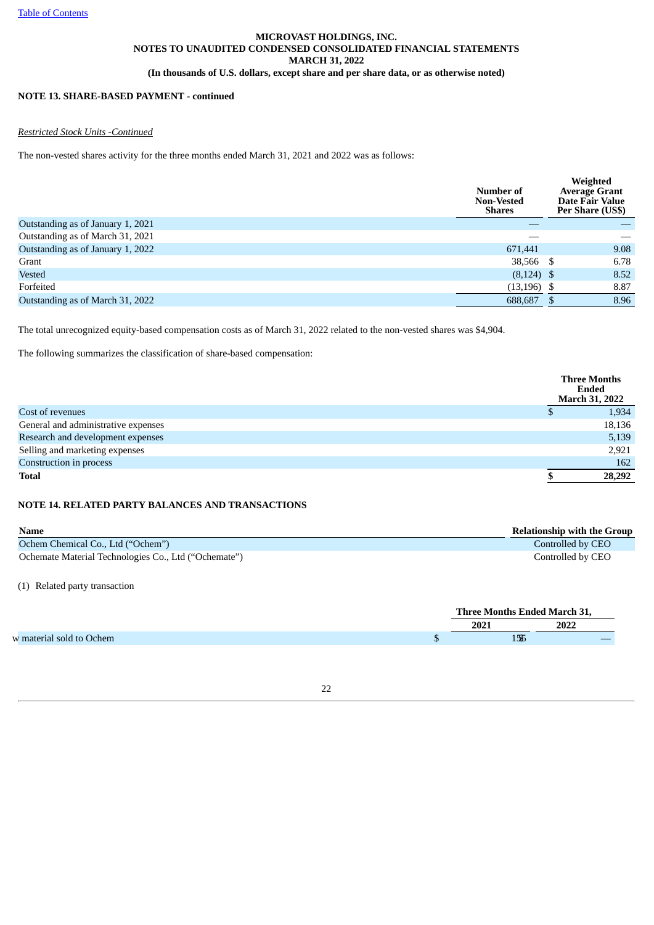## **NOTE 13. SHARE-BASED PAYMENT - continued**

### *Restricted Stock Units -Continued*

The non-vested shares activity for the three months ended March 31, 2021 and 2022 was as follows:

|                                   | Number of<br>Non-Vested<br><b>Shares</b> | Weighted<br><b>Average Grant</b><br>Date Fair Value<br>Per Share (US\$) |
|-----------------------------------|------------------------------------------|-------------------------------------------------------------------------|
| Outstanding as of January 1, 2021 |                                          |                                                                         |
| Outstanding as of March 31, 2021  |                                          |                                                                         |
| Outstanding as of January 1, 2022 | 671,441                                  | 9.08                                                                    |
| Grant                             | 38,566 \$                                | 6.78                                                                    |
| Vested                            | $(8,124)$ \$                             | 8.52                                                                    |
| Forfeited                         | $(13, 196)$ \$                           | 8.87                                                                    |
| Outstanding as of March 31, 2022  | 688,687                                  | 8.96                                                                    |
|                                   |                                          |                                                                         |

The total unrecognized equity-based compensation costs as of March 31, 2022 related to the non-vested shares was \$4,904.

The following summarizes the classification of share-based compensation:

|                                     |   | <b>Three Months</b><br>Ended<br><b>March 31, 2022</b> |
|-------------------------------------|---|-------------------------------------------------------|
| Cost of revenues                    | w | 1,934                                                 |
| General and administrative expenses |   | 18,136                                                |
| Research and development expenses   |   | 5,139                                                 |
| Selling and marketing expenses      |   | 2,921                                                 |
| Construction in process             |   | 162                                                   |
| <b>Total</b>                        |   | 28,292                                                |

## **NOTE 14. RELATED PARTY BALANCES AND TRANSACTIONS**

| Name                                                 | Relationship with the Group |
|------------------------------------------------------|-----------------------------|
| Ochem Chemical Co., Ltd ("Ochem")                    | Controlled by CEO           |
| Ochemate Material Technologies Co., Ltd ("Ochemate") | Controlled by CEO           |

(1) Related party transaction

|                          | Three Months Ended March 31. |      |  |
|--------------------------|------------------------------|------|--|
|                          | 2021                         | 2022 |  |
| w material sold to Ochem | $-10$                        |      |  |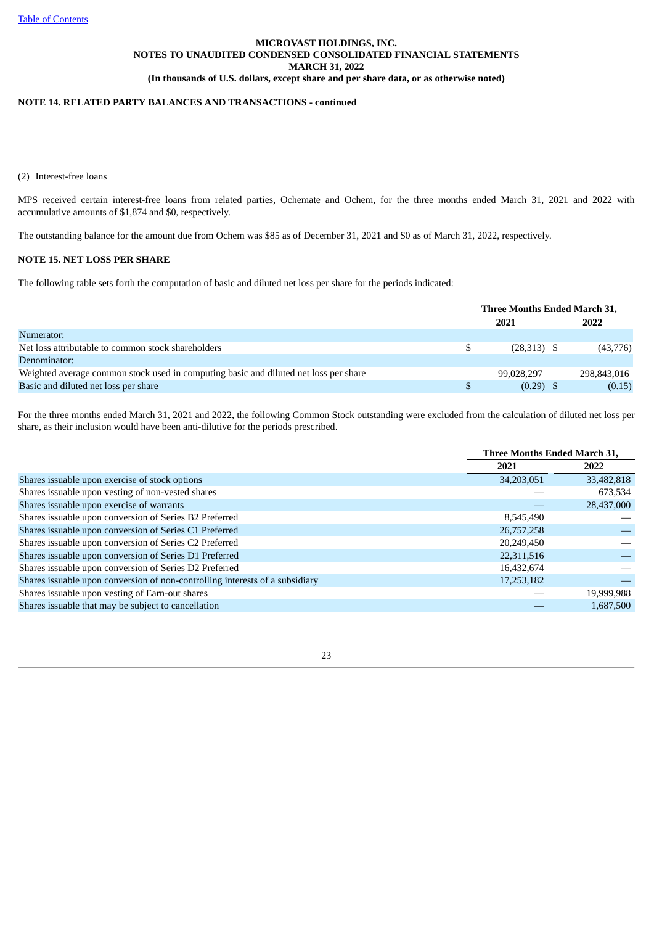## **NOTE 14. RELATED PARTY BALANCES AND TRANSACTIONS - continued**

## (2) Interest-free loans

MPS received certain interest-free loans from related parties, Ochemate and Ochem, for the three months ended March 31, 2021 and 2022 with accumulative amounts of \$1,874 and \$0, respectively.

The outstanding balance for the amount due from Ochem was \$85 as of December 31, 2021 and \$0 as of March 31, 2022, respectively.

## **NOTE 15. NET LOSS PER SHARE**

The following table sets forth the computation of basic and diluted net loss per share for the periods indicated:

|                                                                                      | Three Months Ended March 31, |               |             |
|--------------------------------------------------------------------------------------|------------------------------|---------------|-------------|
|                                                                                      |                              | 2021          | 2022        |
| Numerator:                                                                           |                              |               |             |
| Net loss attributable to common stock shareholders                                   |                              | $(28,313)$ \$ | (43,776)    |
| Denominator:                                                                         |                              |               |             |
| Weighted average common stock used in computing basic and diluted net loss per share |                              | 99.028.297    | 298,843,016 |
| Basic and diluted net loss per share                                                 | <b>S</b>                     | $(0.29)$ \$   | (0.15)      |

For the three months ended March 31, 2021 and 2022, the following Common Stock outstanding were excluded from the calculation of diluted net loss per share, as their inclusion would have been anti-dilutive for the periods prescribed.

|                                                                                            | <b>Three Months Ended March 31,</b> |  |
|--------------------------------------------------------------------------------------------|-------------------------------------|--|
| 2021<br>2022                                                                               |                                     |  |
| Shares issuable upon exercise of stock options<br>34,203,051                               | 33,482,818                          |  |
| Shares issuable upon vesting of non-vested shares                                          | 673,534                             |  |
| Shares issuable upon exercise of warrants                                                  | 28,437,000                          |  |
| Shares issuable upon conversion of Series B2 Preferred<br>8,545,490                        |                                     |  |
| Shares issuable upon conversion of Series C1 Preferred<br>26,757,258                       |                                     |  |
| Shares issuable upon conversion of Series C2 Preferred<br>20,249,450                       |                                     |  |
| Shares issuable upon conversion of Series D1 Preferred<br>22,311,516                       |                                     |  |
| Shares issuable upon conversion of Series D2 Preferred<br>16,432,674                       |                                     |  |
| Shares issuable upon conversion of non-controlling interests of a subsidiary<br>17,253,182 |                                     |  |
| Shares issuable upon vesting of Earn-out shares                                            | 19,999,988                          |  |
| Shares issuable that may be subject to cancellation                                        | 1,687,500                           |  |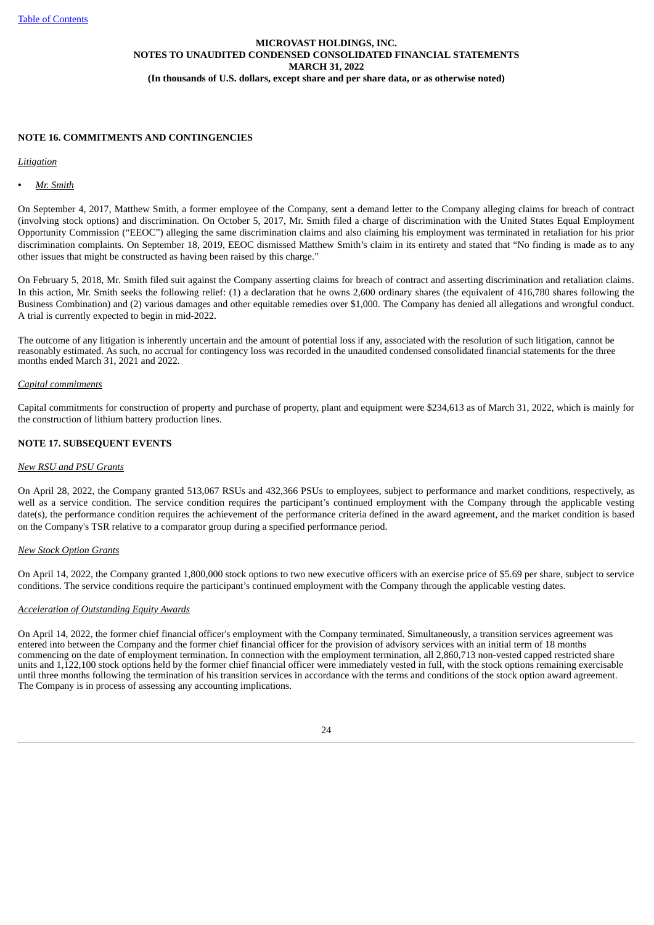### **NOTE 16. COMMITMENTS AND CONTINGENCIES**

#### *Litigation*

### • *Mr. Smith*

On September 4, 2017, Matthew Smith, a former employee of the Company, sent a demand letter to the Company alleging claims for breach of contract (involving stock options) and discrimination. On October 5, 2017, Mr. Smith filed a charge of discrimination with the United States Equal Employment Opportunity Commission ("EEOC") alleging the same discrimination claims and also claiming his employment was terminated in retaliation for his prior discrimination complaints. On September 18, 2019, EEOC dismissed Matthew Smith's claim in its entirety and stated that "No finding is made as to any other issues that might be constructed as having been raised by this charge."

On February 5, 2018, Mr. Smith filed suit against the Company asserting claims for breach of contract and asserting discrimination and retaliation claims. In this action, Mr. Smith seeks the following relief: (1) a declaration that he owns 2,600 ordinary shares (the equivalent of 416,780 shares following the Business Combination) and (2) various damages and other equitable remedies over \$1,000. The Company has denied all allegations and wrongful conduct. A trial is currently expected to begin in mid-2022.

The outcome of any litigation is inherently uncertain and the amount of potential loss if any, associated with the resolution of such litigation, cannot be reasonably estimated. As such, no accrual for contingency loss was recorded in the unaudited condensed consolidated financial statements for the three months ended March 31, 2021 and 2022.

#### *Capital commitments*

Capital commitments for construction of property and purchase of property, plant and equipment were \$234,613 as of March 31, 2022, which is mainly for the construction of lithium battery production lines.

#### **NOTE 17. SUBSEQUENT EVENTS**

#### *New RSU and PSU Grants*

On April 28, 2022, the Company granted 513,067 RSUs and 432,366 PSUs to employees, subject to performance and market conditions, respectively, as well as a service condition. The service condition requires the participant's continued employment with the Company through the applicable vesting date(s), the performance condition requires the achievement of the performance criteria defined in the award agreement, and the market condition is based on the Company's TSR relative to a comparator group during a specified performance period.

#### *New Stock Option Grants*

On April 14, 2022, the Company granted 1,800,000 stock options to two new executive officers with an exercise price of \$5.69 per share, subject to service conditions. The service conditions require the participant's continued employment with the Company through the applicable vesting dates.

#### *Acceleration of Outstanding Equity Awards*

<span id="page-27-0"></span>On April 14, 2022, the former chief financial officer's employment with the Company terminated. Simultaneously, a transition services agreement was entered into between the Company and the former chief financial officer for the provision of advisory services with an initial term of 18 months commencing on the date of employment termination. In connection with the employment termination, all 2,860,713 non-vested capped restricted share units and 1,122,100 stock options held by the former chief financial officer were immediately vested in full, with the stock options remaining exercisable until three months following the termination of his transition services in accordance with the terms and conditions of the stock option award agreement. The Company is in process of assessing any accounting implications.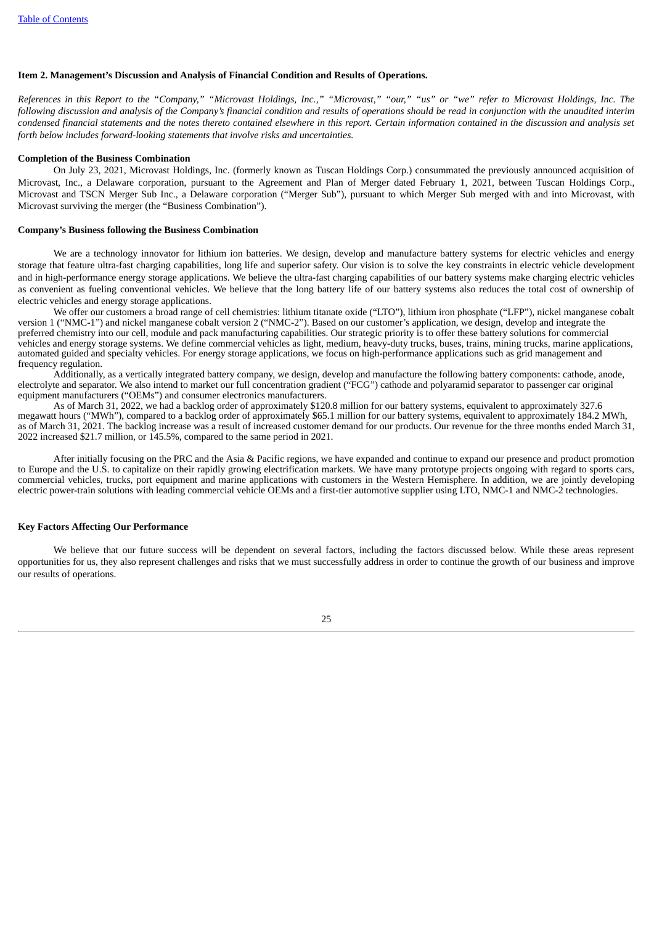#### **Item 2. Management's Discussion and Analysis of Financial Condition and Results of Operations.**

References in this Report to the "Company," "Microvast Holdings, Inc.," "Microvast," "our," "us" or "we" refer to Microvast Holdings, Inc. The following discussion and analysis of the Company's financial condition and results of operations should be read in conjunction with the unaudited interim condensed financial statements and the notes thereto contained elsewhere in this report. Certain information contained in the discussion and analysis set *forth below includes forward-looking statements that involve risks and uncertainties.*

#### **Completion of the Business Combination**

On July 23, 2021, Microvast Holdings, Inc. (formerly known as Tuscan Holdings Corp.) consummated the previously announced acquisition of Microvast, Inc., a Delaware corporation, pursuant to the Agreement and Plan of Merger dated February 1, 2021, between Tuscan Holdings Corp., Microvast and TSCN Merger Sub Inc., a Delaware corporation ("Merger Sub"), pursuant to which Merger Sub merged with and into Microvast, with Microvast surviving the merger (the "Business Combination").

#### **Company's Business following the Business Combination**

We are a technology innovator for lithium ion batteries. We design, develop and manufacture battery systems for electric vehicles and energy storage that feature ultra-fast charging capabilities, long life and superior safety. Our vision is to solve the key constraints in electric vehicle development and in high-performance energy storage applications. We believe the ultra-fast charging capabilities of our battery systems make charging electric vehicles as convenient as fueling conventional vehicles. We believe that the long battery life of our battery systems also reduces the total cost of ownership of electric vehicles and energy storage applications.

We offer our customers a broad range of cell chemistries: lithium titanate oxide ("LTO"), lithium iron phosphate ("LFP"), nickel manganese cobalt version 1 ("NMC-1") and nickel manganese cobalt version 2 ("NMC-2"). Based on our customer's application, we design, develop and integrate the preferred chemistry into our cell, module and pack manufacturing capabilities. Our strategic priority is to offer these battery solutions for commercial vehicles and energy storage systems. We define commercial vehicles as light, medium, heavy-duty trucks, buses, trains, mining trucks, marine applications, automated guided and specialty vehicles. For energy storage applications, we focus on high-performance applications such as grid management and frequency regulation.

Additionally, as a vertically integrated battery company, we design, develop and manufacture the following battery components: cathode, anode, electrolyte and separator. We also intend to market our full concentration gradient ("FCG") cathode and polyaramid separator to passenger car original equipment manufacturers ("OEMs") and consumer electronics manufacturers.

As of March 31, 2022, we had a backlog order of approximately \$120.8 million for our battery systems, equivalent to approximately 327.6 megawatt hours ("MWh"), compared to a backlog order of approximately \$65.1 million for our battery systems, equivalent to approximately 184.2 MWh, as of March 31, 2021. The backlog increase was a result of increased customer demand for our products. Our revenue for the three months ended March 31, 2022 increased \$21.7 million, or 145.5%, compared to the same period in 2021.

After initially focusing on the PRC and the Asia & Pacific regions, we have expanded and continue to expand our presence and product promotion to Europe and the U.S. to capitalize on their rapidly growing electrification markets. We have many prototype projects ongoing with regard to sports cars, commercial vehicles, trucks, port equipment and marine applications with customers in the Western Hemisphere. In addition, we are jointly developing electric power-train solutions with leading commercial vehicle OEMs and a first-tier automotive supplier using LTO, NMC-1 and NMC-2 technologies.

### **Key Factors Affecting Our Performance**

We believe that our future success will be dependent on several factors, including the factors discussed below. While these areas represent opportunities for us, they also represent challenges and risks that we must successfully address in order to continue the growth of our business and improve our results of operations.

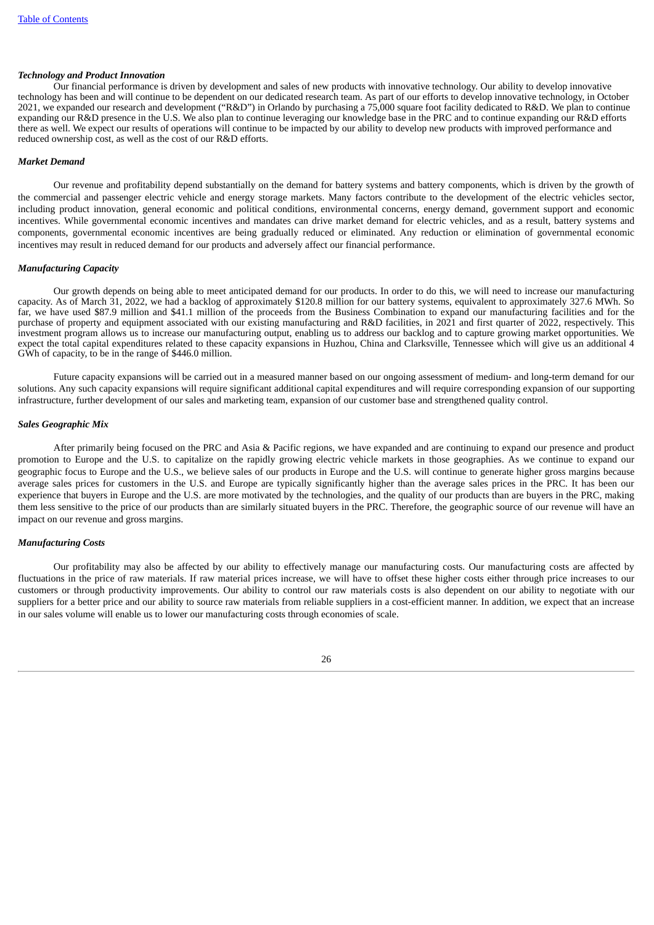#### *Technology and Product Innovation*

Our financial performance is driven by development and sales of new products with innovative technology. Our ability to develop innovative technology has been and will continue to be dependent on our dedicated research team. As part of our efforts to develop innovative technology, in October 2021, we expanded our research and development ("R&D") in Orlando by purchasing a 75,000 square foot facility dedicated to R&D. We plan to continue expanding our R&D presence in the U.S. We also plan to continue leveraging our knowledge base in the PRC and to continue expanding our R&D efforts there as well. We expect our results of operations will continue to be impacted by our ability to develop new products with improved performance and reduced ownership cost, as well as the cost of our R&D efforts.

#### *Market Demand*

Our revenue and profitability depend substantially on the demand for battery systems and battery components, which is driven by the growth of the commercial and passenger electric vehicle and energy storage markets. Many factors contribute to the development of the electric vehicles sector, including product innovation, general economic and political conditions, environmental concerns, energy demand, government support and economic incentives. While governmental economic incentives and mandates can drive market demand for electric vehicles, and as a result, battery systems and components, governmental economic incentives are being gradually reduced or eliminated. Any reduction or elimination of governmental economic incentives may result in reduced demand for our products and adversely affect our financial performance.

#### *Manufacturing Capacity*

Our growth depends on being able to meet anticipated demand for our products. In order to do this, we will need to increase our manufacturing capacity. As of March 31, 2022, we had a backlog of approximately \$120.8 million for our battery systems, equivalent to approximately 327.6 MWh. So far, we have used \$87.9 million and \$41.1 million of the proceeds from the Business Combination to expand our manufacturing facilities and for the purchase of property and equipment associated with our existing manufacturing and R&D facilities, in 2021 and first quarter of 2022, respectively. This investment program allows us to increase our manufacturing output, enabling us to address our backlog and to capture growing market opportunities. We expect the total capital expenditures related to these capacity expansions in Huzhou, China and Clarksville, Tennessee which will give us an additional 4 GWh of capacity, to be in the range of \$446.0 million.

Future capacity expansions will be carried out in a measured manner based on our ongoing assessment of medium- and long-term demand for our solutions. Any such capacity expansions will require significant additional capital expenditures and will require corresponding expansion of our supporting infrastructure, further development of our sales and marketing team, expansion of our customer base and strengthened quality control.

#### *Sales Geographic Mix*

After primarily being focused on the PRC and Asia & Pacific regions, we have expanded and are continuing to expand our presence and product promotion to Europe and the U.S. to capitalize on the rapidly growing electric vehicle markets in those geographies. As we continue to expand our geographic focus to Europe and the U.S., we believe sales of our products in Europe and the U.S. will continue to generate higher gross margins because average sales prices for customers in the U.S. and Europe are typically significantly higher than the average sales prices in the PRC. It has been our experience that buyers in Europe and the U.S. are more motivated by the technologies, and the quality of our products than are buyers in the PRC, making them less sensitive to the price of our products than are similarly situated buyers in the PRC. Therefore, the geographic source of our revenue will have an impact on our revenue and gross margins.

#### *Manufacturing Costs*

Our profitability may also be affected by our ability to effectively manage our manufacturing costs. Our manufacturing costs are affected by fluctuations in the price of raw materials. If raw material prices increase, we will have to offset these higher costs either through price increases to our customers or through productivity improvements. Our ability to control our raw materials costs is also dependent on our ability to negotiate with our suppliers for a better price and our ability to source raw materials from reliable suppliers in a cost-efficient manner. In addition, we expect that an increase in our sales volume will enable us to lower our manufacturing costs through economies of scale.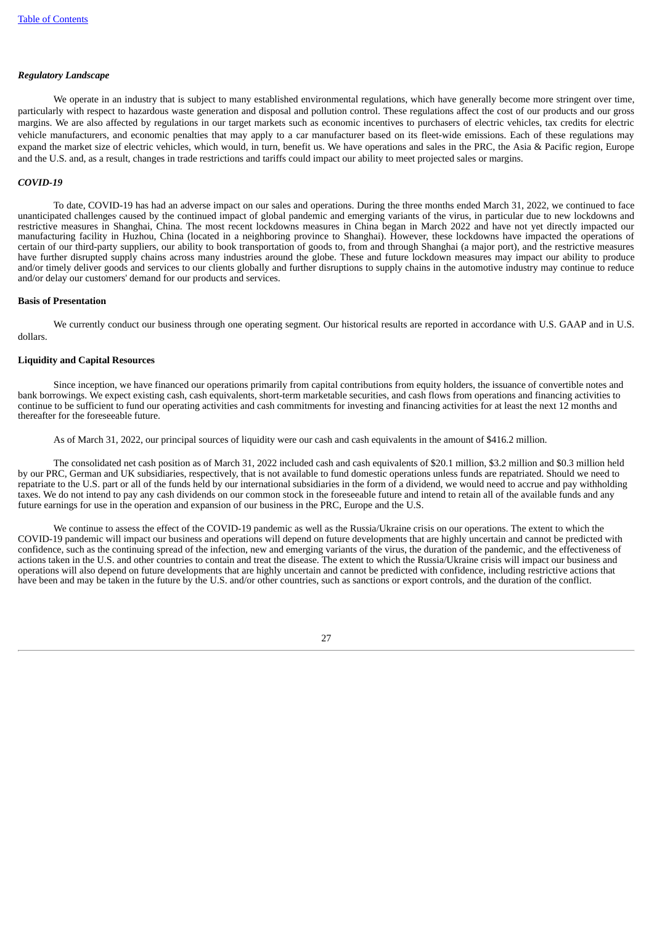#### *Regulatory Landscape*

We operate in an industry that is subject to many established environmental regulations, which have generally become more stringent over time, particularly with respect to hazardous waste generation and disposal and pollution control. These regulations affect the cost of our products and our gross margins. We are also affected by regulations in our target markets such as economic incentives to purchasers of electric vehicles, tax credits for electric vehicle manufacturers, and economic penalties that may apply to a car manufacturer based on its fleet-wide emissions. Each of these regulations may expand the market size of electric vehicles, which would, in turn, benefit us. We have operations and sales in the PRC, the Asia & Pacific region, Europe and the U.S. and, as a result, changes in trade restrictions and tariffs could impact our ability to meet projected sales or margins.

#### *COVID-19*

To date, COVID-19 has had an adverse impact on our sales and operations. During the three months ended March 31, 2022, we continued to face unanticipated challenges caused by the continued impact of global pandemic and emerging variants of the virus, in particular due to new lockdowns and restrictive measures in Shanghai, China. The most recent lockdowns measures in China began in March 2022 and have not yet directly impacted our manufacturing facility in Huzhou, China (located in a neighboring province to Shanghai). However, these lockdowns have impacted the operations of certain of our third-party suppliers, our ability to book transportation of goods to, from and through Shanghai (a major port), and the restrictive measures have further disrupted supply chains across many industries around the globe. These and future lockdown measures may impact our ability to produce and/or timely deliver goods and services to our clients globally and further disruptions to supply chains in the automotive industry may continue to reduce and/or delay our customers' demand for our products and services.

#### **Basis of Presentation**

We currently conduct our business through one operating segment. Our historical results are reported in accordance with U.S. GAAP and in U.S. dollars.

#### **Liquidity and Capital Resources**

Since inception, we have financed our operations primarily from capital contributions from equity holders, the issuance of convertible notes and bank borrowings. We expect existing cash, cash equivalents, short-term marketable securities, and cash flows from operations and financing activities to continue to be sufficient to fund our operating activities and cash commitments for investing and financing activities for at least the next 12 months and thereafter for the foreseeable future.

As of March 31, 2022, our principal sources of liquidity were our cash and cash equivalents in the amount of \$416.2 million.

The consolidated net cash position as of March 31, 2022 included cash and cash equivalents of \$20.1 million, \$3.2 million and \$0.3 million held by our PRC, German and UK subsidiaries, respectively, that is not available to fund domestic operations unless funds are repatriated. Should we need to repatriate to the U.S. part or all of the funds held by our international subsidiaries in the form of a dividend, we would need to accrue and pay withholding taxes. We do not intend to pay any cash dividends on our common stock in the foreseeable future and intend to retain all of the available funds and any future earnings for use in the operation and expansion of our business in the PRC, Europe and the U.S.

We continue to assess the effect of the COVID-19 pandemic as well as the Russia/Ukraine crisis on our operations. The extent to which the COVID-19 pandemic will impact our business and operations will depend on future developments that are highly uncertain and cannot be predicted with confidence, such as the continuing spread of the infection, new and emerging variants of the virus, the duration of the pandemic, and the effectiveness of actions taken in the U.S. and other countries to contain and treat the disease. The extent to which the Russia/Ukraine crisis will impact our business and operations will also depend on future developments that are highly uncertain and cannot be predicted with confidence, including restrictive actions that have been and may be taken in the future by the U.S. and/or other countries, such as sanctions or export controls, and the duration of the conflict.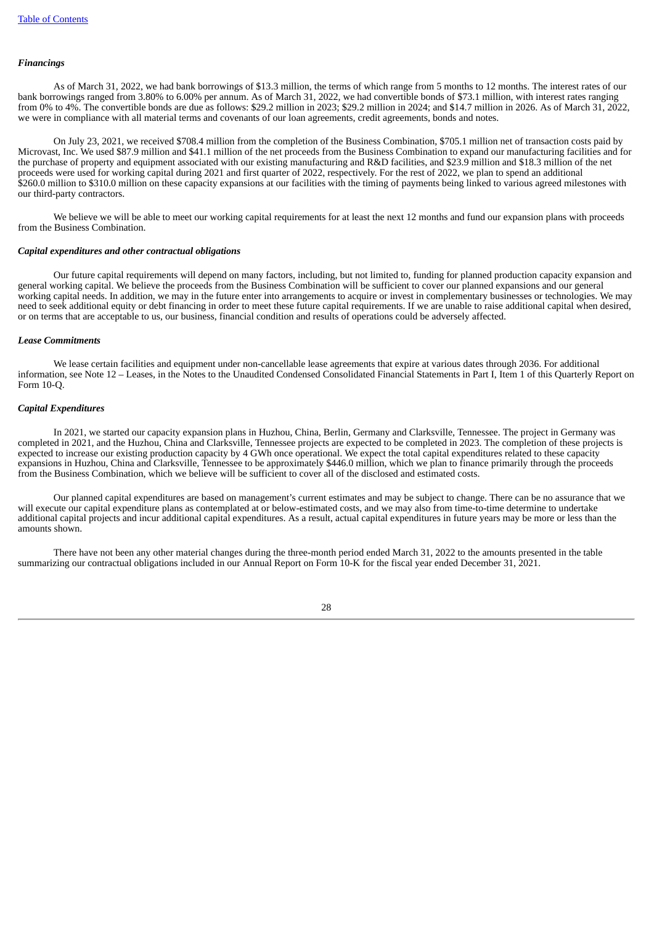#### *Financings*

As of March 31, 2022, we had bank borrowings of \$13.3 million, the terms of which range from 5 months to 12 months. The interest rates of our bank borrowings ranged from 3.80% to 6.00% per annum. As of March 31, 2022, we had convertible bonds of \$73.1 million, with interest rates ranging from 0% to 4%. The convertible bonds are due as follows: \$29.2 million in 2023; \$29.2 million in 2024; and \$14.7 million in 2026. As of March 31, 2022, we were in compliance with all material terms and covenants of our loan agreements, credit agreements, bonds and notes.

On July 23, 2021, we received \$708.4 million from the completion of the Business Combination, \$705.1 million net of transaction costs paid by Microvast, Inc. We used \$87.9 million and \$41.1 million of the net proceeds from the Business Combination to expand our manufacturing facilities and for the purchase of property and equipment associated with our existing manufacturing and R&D facilities, and \$23.9 million and \$18.3 million of the net proceeds were used for working capital during 2021 and first quarter of 2022, respectively. For the rest of 2022, we plan to spend an additional \$260.0 million to \$310.0 million on these capacity expansions at our facilities with the timing of payments being linked to various agreed milestones with our third-party contractors.

We believe we will be able to meet our working capital requirements for at least the next 12 months and fund our expansion plans with proceeds from the Business Combination.

#### *Capital expenditures and other contractual obligations*

Our future capital requirements will depend on many factors, including, but not limited to, funding for planned production capacity expansion and general working capital. We believe the proceeds from the Business Combination will be sufficient to cover our planned expansions and our general working capital needs. In addition, we may in the future enter into arrangements to acquire or invest in complementary businesses or technologies. We may need to seek additional equity or debt financing in order to meet these future capital requirements. If we are unable to raise additional capital when desired, or on terms that are acceptable to us, our business, financial condition and results of operations could be adversely affected.

#### *Lease Commitments*

We lease certain facilities and equipment under non-cancellable lease agreements that expire at various dates through 2036. For additional information, see Note 12 – Leases, in the Notes to the Unaudited Condensed Consolidated Financial Statements in Part I, Item 1 of this Quarterly Report on Form 10-Q.

### *Capital Expenditures*

In 2021, we started our capacity expansion plans in Huzhou, China, Berlin, Germany and Clarksville, Tennessee. The project in Germany was completed in 2021, and the Huzhou, China and Clarksville, Tennessee projects are expected to be completed in 2023. The completion of these projects is expected to increase our existing production capacity by 4 GWh once operational. We expect the total capital expenditures related to these capacity expansions in Huzhou, China and Clarksville, Tennessee to be approximately \$446.0 million, which we plan to finance primarily through the proceeds from the Business Combination, which we believe will be sufficient to cover all of the disclosed and estimated costs.

Our planned capital expenditures are based on management's current estimates and may be subject to change. There can be no assurance that we will execute our capital expenditure plans as contemplated at or below-estimated costs, and we may also from time-to-time determine to undertake additional capital projects and incur additional capital expenditures. As a result, actual capital expenditures in future years may be more or less than the amounts shown.

There have not been any other material changes during the three-month period ended March 31, 2022 to the amounts presented in the table summarizing our contractual obligations included in our Annual Report on Form 10-K for the fiscal year ended December 31, 2021.

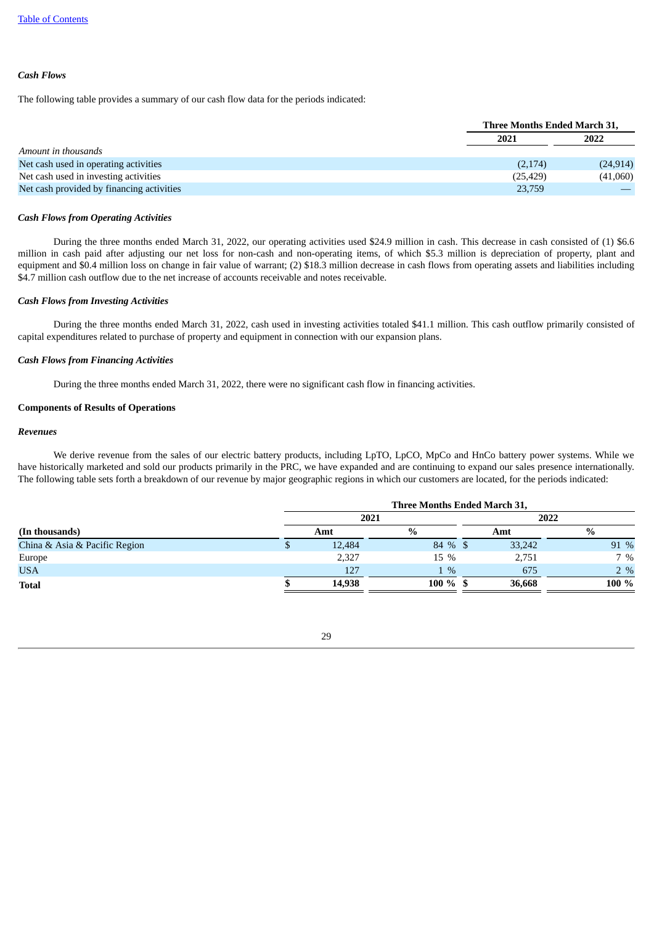### *Cash Flows*

The following table provides a summary of our cash flow data for the periods indicated:

|                                           |           | Three Months Ended March 31, |  |  |
|-------------------------------------------|-----------|------------------------------|--|--|
|                                           | 2021      | 2022                         |  |  |
| Amount in thousands                       |           |                              |  |  |
| Net cash used in operating activities     | (2,174)   | (24, 914)                    |  |  |
| Net cash used in investing activities     | (25, 429) | (41,060)                     |  |  |
| Net cash provided by financing activities | 23,759    |                              |  |  |

#### *Cash Flows from Operating Activities*

During the three months ended March 31, 2022, our operating activities used \$24.9 million in cash. This decrease in cash consisted of (1) \$6.6 million in cash paid after adjusting our net loss for non-cash and non-operating items, of which \$5.3 million is depreciation of property, plant and equipment and \$0.4 million loss on change in fair value of warrant; (2) \$18.3 million decrease in cash flows from operating assets and liabilities including \$4.7 million cash outflow due to the net increase of accounts receivable and notes receivable.

#### *Cash Flows from Investing Activities*

During the three months ended March 31, 2022, cash used in investing activities totaled \$41.1 million. This cash outflow primarily consisted of capital expenditures related to purchase of property and equipment in connection with our expansion plans.

### *Cash Flows from Financing Activities*

During the three months ended March 31, 2022, there were no significant cash flow in financing activities.

## **Components of Results of Operations**

### *Revenues*

We derive revenue from the sales of our electric battery products, including LpTO, LpCO, MpCo and HnCo battery power systems. While we have historically marketed and sold our products primarily in the PRC, we have expanded and are continuing to expand our sales presence internationally. The following table sets forth a breakdown of our revenue by major geographic regions in which our customers are located, for the periods indicated:

|                               |      | Three Months Ended March 31, |             |        |       |  |
|-------------------------------|------|------------------------------|-------------|--------|-------|--|
|                               | 2021 |                              |             | 2022   |       |  |
| (In thousands)                |      | Amt                          | $\%$        | Amt    | $\%$  |  |
| China & Asia & Pacific Region | Φ    | 12,484                       | 84 % \$     | 33,242 | 91 %  |  |
| Europe                        |      | 2,327                        | 15 %        | 2,751  | 7 %   |  |
| <b>USA</b>                    |      | 127                          | $1\%$       | 675    | $2\%$ |  |
| <b>Total</b>                  |      | 14,938                       | $100 \%$ \$ | 36,668 | 100 % |  |

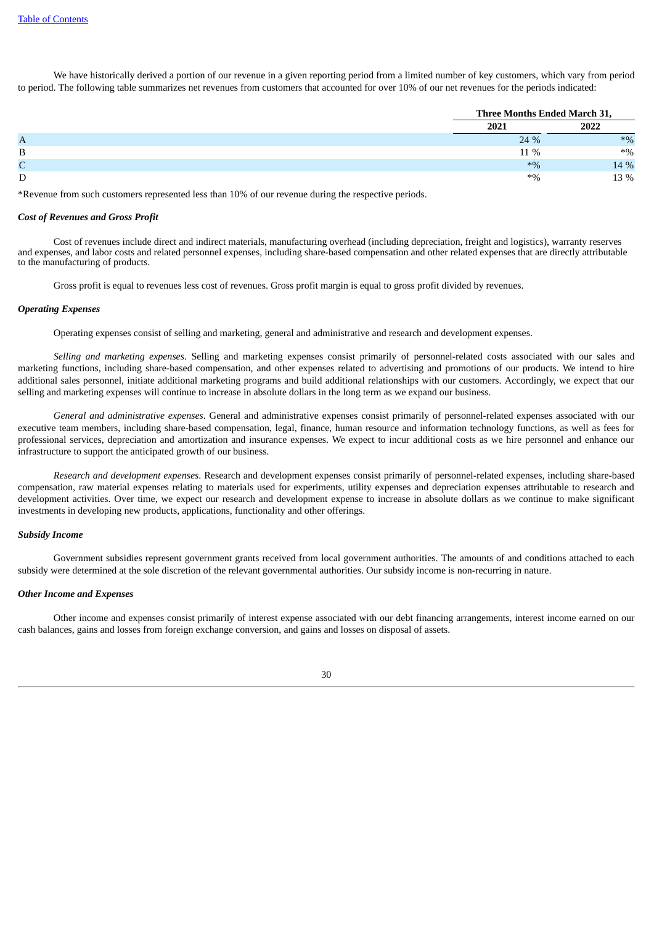We have historically derived a portion of our revenue in a given reporting period from a limited number of key customers, which vary from period to period. The following table summarizes net revenues from customers that accounted for over 10% of our net revenues for the periods indicated:

|                 |        | Three Months Ended March 31, |  |  |
|-----------------|--------|------------------------------|--|--|
|                 | 2021   | 2022                         |  |  |
| A               | 24 %   | $*9/0$                       |  |  |
| B               | 11 %   | $*9/0$                       |  |  |
| $\sqrt{ }$<br>◡ | $*9/0$ | 14 %                         |  |  |
| D               | $*9/6$ | 13 %                         |  |  |

\*Revenue from such customers represented less than 10% of our revenue during the respective periods.

#### *Cost of Revenues and Gross Profit*

Cost of revenues include direct and indirect materials, manufacturing overhead (including depreciation, freight and logistics), warranty reserves and expenses, and labor costs and related personnel expenses, including share-based compensation and other related expenses that are directly attributable to the manufacturing of products.

Gross profit is equal to revenues less cost of revenues. Gross profit margin is equal to gross profit divided by revenues.

### *Operating Expenses*

Operating expenses consist of selling and marketing, general and administrative and research and development expenses.

*Selling and marketing expenses*. Selling and marketing expenses consist primarily of personnel-related costs associated with our sales and marketing functions, including share-based compensation, and other expenses related to advertising and promotions of our products. We intend to hire additional sales personnel, initiate additional marketing programs and build additional relationships with our customers. Accordingly, we expect that our selling and marketing expenses will continue to increase in absolute dollars in the long term as we expand our business.

*General and administrative expenses*. General and administrative expenses consist primarily of personnel-related expenses associated with our executive team members, including share-based compensation, legal, finance, human resource and information technology functions, as well as fees for professional services, depreciation and amortization and insurance expenses. We expect to incur additional costs as we hire personnel and enhance our infrastructure to support the anticipated growth of our business.

*Research and development expenses*. Research and development expenses consist primarily of personnel-related expenses, including share-based compensation, raw material expenses relating to materials used for experiments, utility expenses and depreciation expenses attributable to research and development activities. Over time, we expect our research and development expense to increase in absolute dollars as we continue to make significant investments in developing new products, applications, functionality and other offerings.

### *Subsidy Income*

Government subsidies represent government grants received from local government authorities. The amounts of and conditions attached to each subsidy were determined at the sole discretion of the relevant governmental authorities. Our subsidy income is non-recurring in nature.

#### *Other Income and Expenses*

Other income and expenses consist primarily of interest expense associated with our debt financing arrangements, interest income earned on our cash balances, gains and losses from foreign exchange conversion, and gains and losses on disposal of assets.

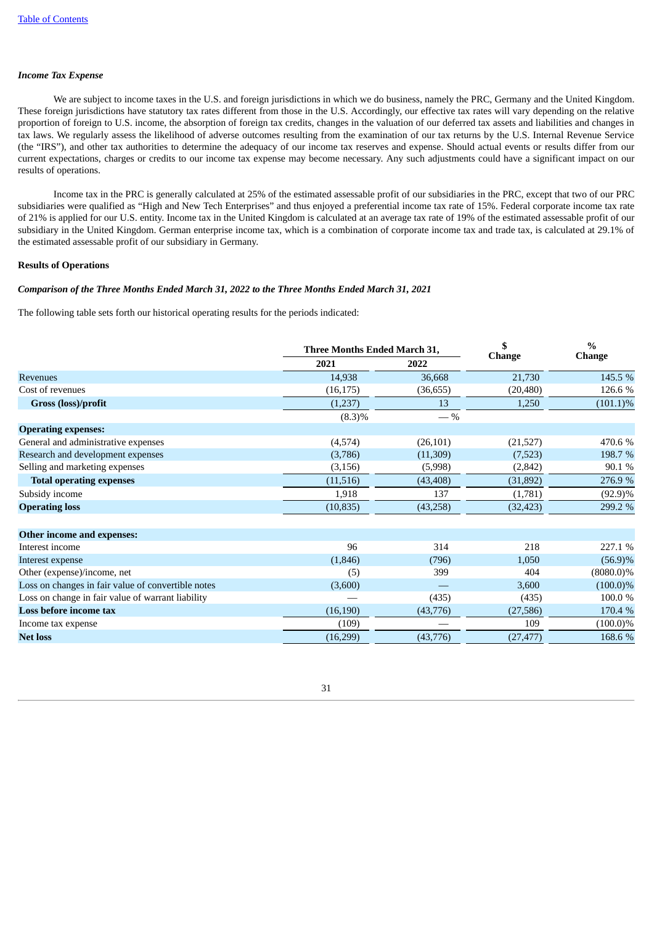### *Income Tax Expense*

We are subject to income taxes in the U.S. and foreign jurisdictions in which we do business, namely the PRC, Germany and the United Kingdom. These foreign jurisdictions have statutory tax rates different from those in the U.S. Accordingly, our effective tax rates will vary depending on the relative proportion of foreign to U.S. income, the absorption of foreign tax credits, changes in the valuation of our deferred tax assets and liabilities and changes in tax laws. We regularly assess the likelihood of adverse outcomes resulting from the examination of our tax returns by the U.S. Internal Revenue Service (the "IRS"), and other tax authorities to determine the adequacy of our income tax reserves and expense. Should actual events or results differ from our current expectations, charges or credits to our income tax expense may become necessary. Any such adjustments could have a significant impact on our results of operations.

Income tax in the PRC is generally calculated at 25% of the estimated assessable profit of our subsidiaries in the PRC, except that two of our PRC subsidiaries were qualified as "High and New Tech Enterprises" and thus enjoyed a preferential income tax rate of 15%. Federal corporate income tax rate of 21% is applied for our U.S. entity. Income tax in the United Kingdom is calculated at an average tax rate of 19% of the estimated assessable profit of our subsidiary in the United Kingdom. German enterprise income tax, which is a combination of corporate income tax and trade tax, is calculated at 29.1% of the estimated assessable profit of our subsidiary in Germany.

### **Results of Operations**

#### *Comparison of the Three Months Ended March 31, 2022 to the Three Months Ended March 31, 2021*

The following table sets forth our historical operating results for the periods indicated:

|                                                    | <b>Three Months Ended March 31,</b> |           | \$            | $\frac{0}{0}$<br><b>Change</b> |  |
|----------------------------------------------------|-------------------------------------|-----------|---------------|--------------------------------|--|
|                                                    | 2021                                | 2022      | <b>Change</b> |                                |  |
| <b>Revenues</b>                                    | 14,938                              | 36,668    | 21,730        | 145.5 %                        |  |
| Cost of revenues                                   | (16, 175)                           | (36, 655) | (20, 480)     | 126.6 %                        |  |
| Gross (loss)/profit                                | (1,237)                             | 13        | 1,250         | $(101.1)\%$                    |  |
|                                                    | $(8.3)\%$                           | $-$ %     |               |                                |  |
| <b>Operating expenses:</b>                         |                                     |           |               |                                |  |
| General and administrative expenses                | (4,574)                             | (26, 101) | (21,527)      | 470.6%                         |  |
| Research and development expenses                  | (3,786)                             | (11, 309) | (7,523)       | 198.7 %                        |  |
| Selling and marketing expenses                     | (3, 156)                            | (5,998)   | (2, 842)      | 90.1 %                         |  |
| <b>Total operating expenses</b>                    | (11, 516)                           | (43, 408) | (31, 892)     | 276.9 %                        |  |
| Subsidy income                                     | 1,918                               | 137       | (1,781)       | $(92.9)\%$                     |  |
| <b>Operating loss</b>                              | (10, 835)                           | (43,258)  | (32, 423)     | 299.2 %                        |  |
| Other income and expenses:                         |                                     |           |               |                                |  |
| Interest income                                    | 96                                  | 314       | 218           | 227.1 %                        |  |
| Interest expense                                   | (1,846)                             | (796)     | 1,050         | $(56.9)\%$                     |  |
| Other (expense)/income, net                        | (5)                                 | 399       | 404           | $(8080.0)\%$                   |  |
| Loss on changes in fair value of convertible notes | (3,600)                             |           | 3,600         | $(100.0)\%$                    |  |
| Loss on change in fair value of warrant liability  |                                     | (435)     | (435)         | 100.0%                         |  |
| Loss before income tax                             | (16, 190)                           | (43,776)  | (27, 586)     | 170.4 %                        |  |
| Income tax expense                                 | (109)                               |           | 109           | $(100.0)\%$                    |  |
| <b>Net loss</b>                                    | (16, 299)                           | (43, 776) | (27, 477)     | 168.6 %                        |  |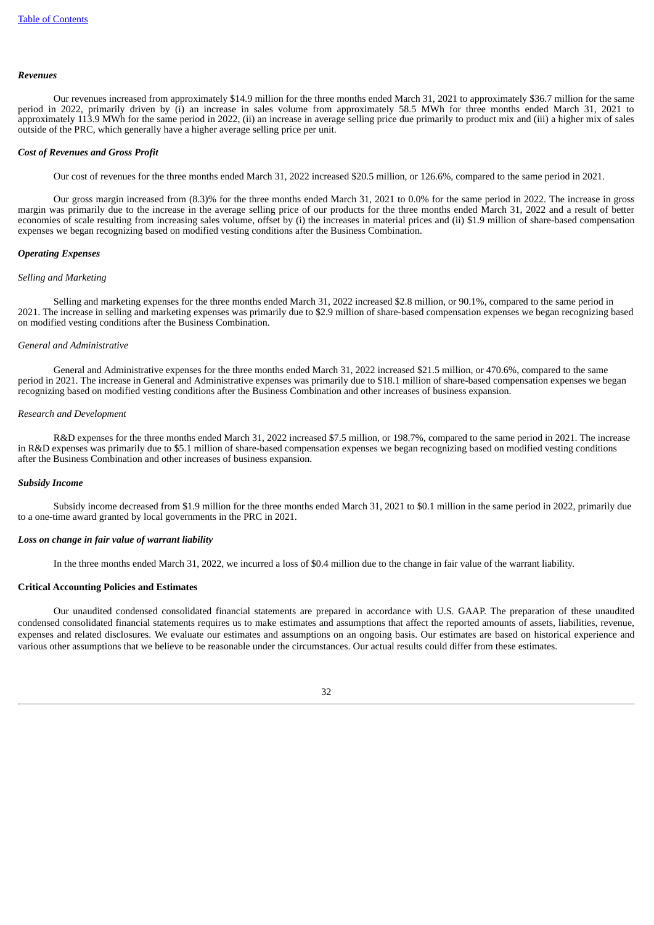#### *Revenues*

Our revenues increased from approximately \$14.9 million for the three months ended March 31, 2021 to approximately \$36.7 million for the same period in 2022, primarily driven by (i) an increase in sales volume from approximately 58.5 MWh for three months ended March 31, 2021 to approximately 113.9 MWh for the same period in 2022, (ii) an increase in average selling price due primarily to product mix and (iii) a higher mix of sales outside of the PRC, which generally have a higher average selling price per unit.

#### *Cost of Revenues and Gross Profit*

Our cost of revenues for the three months ended March 31, 2022 increased \$20.5 million, or 126.6%, compared to the same period in 2021.

Our gross margin increased from (8.3)% for the three months ended March 31, 2021 to 0.0% for the same period in 2022. The increase in gross margin was primarily due to the increase in the average selling price of our products for the three months ended March 31, 2022 and a result of better economies of scale resulting from increasing sales volume, offset by (i) the increases in material prices and (ii) \$1.9 million of share-based compensation expenses we began recognizing based on modified vesting conditions after the Business Combination.

### *Operating Expenses*

#### *Selling and Marketing*

Selling and marketing expenses for the three months ended March 31, 2022 increased \$2.8 million, or 90.1%, compared to the same period in 2021. The increase in selling and marketing expenses was primarily due to \$2.9 million of share-based compensation expenses we began recognizing based on modified vesting conditions after the Business Combination.

#### *General and Administrative*

General and Administrative expenses for the three months ended March 31, 2022 increased \$21.5 million, or 470.6%, compared to the same period in 2021. The increase in General and Administrative expenses was primarily due to \$18.1 million of share-based compensation expenses we began recognizing based on modified vesting conditions after the Business Combination and other increases of business expansion.

#### *Research and Development*

R&D expenses for the three months ended March 31, 2022 increased \$7.5 million, or 198.7%, compared to the same period in 2021. The increase in R&D expenses was primarily due to \$5.1 million of share-based compensation expenses we began recognizing based on modified vesting conditions after the Business Combination and other increases of business expansion.

#### *Subsidy Income*

Subsidy income decreased from \$1.9 million for the three months ended March 31, 2021 to \$0.1 million in the same period in 2022, primarily due to a one-time award granted by local governments in the PRC in 2021.

#### *Loss on change in fair value of warrant liability*

In the three months ended March 31, 2022, we incurred a loss of \$0.4 million due to the change in fair value of the warrant liability.

#### **Critical Accounting Policies and Estimates**

Our unaudited condensed consolidated financial statements are prepared in accordance with U.S. GAAP. The preparation of these unaudited condensed consolidated financial statements requires us to make estimates and assumptions that affect the reported amounts of assets, liabilities, revenue, expenses and related disclosures. We evaluate our estimates and assumptions on an ongoing basis. Our estimates are based on historical experience and various other assumptions that we believe to be reasonable under the circumstances. Our actual results could differ from these estimates.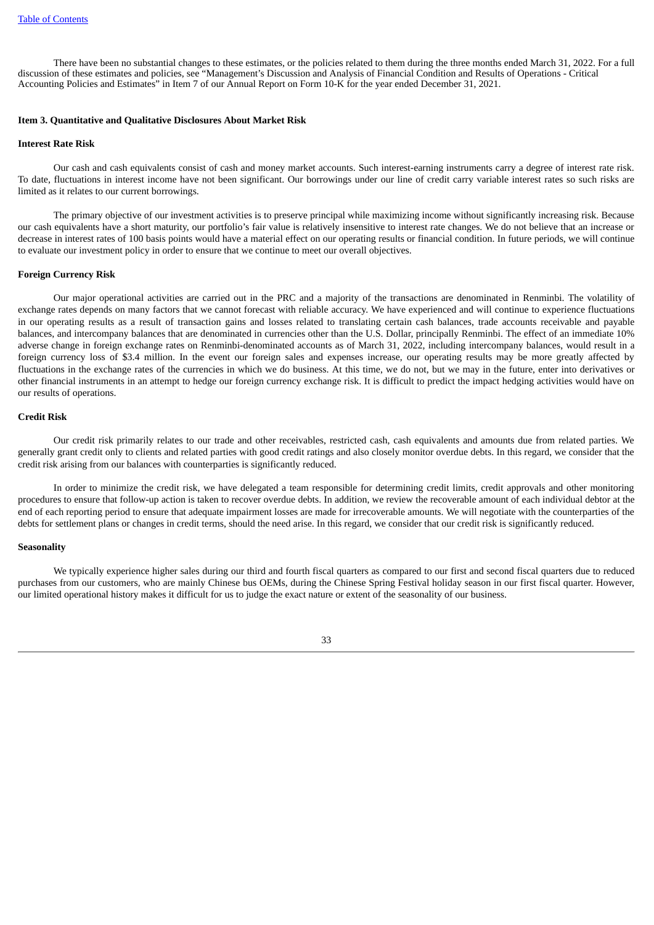There have been no substantial changes to these estimates, or the policies related to them during the three months ended March 31, 2022. For a full discussion of these estimates and policies, see "Management's Discussion and Analysis of Financial Condition and Results of Operations - Critical Accounting Policies and Estimates" in Item 7 of our Annual Report on Form 10-K for the year ended December 31, 2021.

### <span id="page-36-0"></span>**Item 3. Quantitative and Qualitative Disclosures About Market Risk**

#### **Interest Rate Risk**

Our cash and cash equivalents consist of cash and money market accounts. Such interest-earning instruments carry a degree of interest rate risk. To date, fluctuations in interest income have not been significant. Our borrowings under our line of credit carry variable interest rates so such risks are limited as it relates to our current borrowings.

The primary objective of our investment activities is to preserve principal while maximizing income without significantly increasing risk. Because our cash equivalents have a short maturity, our portfolio's fair value is relatively insensitive to interest rate changes. We do not believe that an increase or decrease in interest rates of 100 basis points would have a material effect on our operating results or financial condition. In future periods, we will continue to evaluate our investment policy in order to ensure that we continue to meet our overall objectives.

### **Foreign Currency Risk**

Our major operational activities are carried out in the PRC and a majority of the transactions are denominated in Renminbi. The volatility of exchange rates depends on many factors that we cannot forecast with reliable accuracy. We have experienced and will continue to experience fluctuations in our operating results as a result of transaction gains and losses related to translating certain cash balances, trade accounts receivable and payable balances, and intercompany balances that are denominated in currencies other than the U.S. Dollar, principally Renminbi. The effect of an immediate 10% adverse change in foreign exchange rates on Renminbi-denominated accounts as of March 31, 2022, including intercompany balances, would result in a foreign currency loss of \$3.4 million. In the event our foreign sales and expenses increase, our operating results may be more greatly affected by fluctuations in the exchange rates of the currencies in which we do business. At this time, we do not, but we may in the future, enter into derivatives or other financial instruments in an attempt to hedge our foreign currency exchange risk. It is difficult to predict the impact hedging activities would have on our results of operations.

## **Credit Risk**

Our credit risk primarily relates to our trade and other receivables, restricted cash, cash equivalents and amounts due from related parties. We generally grant credit only to clients and related parties with good credit ratings and also closely monitor overdue debts. In this regard, we consider that the credit risk arising from our balances with counterparties is significantly reduced.

In order to minimize the credit risk, we have delegated a team responsible for determining credit limits, credit approvals and other monitoring procedures to ensure that follow-up action is taken to recover overdue debts. In addition, we review the recoverable amount of each individual debtor at the end of each reporting period to ensure that adequate impairment losses are made for irrecoverable amounts. We will negotiate with the counterparties of the debts for settlement plans or changes in credit terms, should the need arise. In this regard, we consider that our credit risk is significantly reduced.

### **Seasonality**

<span id="page-36-1"></span>We typically experience higher sales during our third and fourth fiscal quarters as compared to our first and second fiscal quarters due to reduced purchases from our customers, who are mainly Chinese bus OEMs, during the Chinese Spring Festival holiday season in our first fiscal quarter. However, our limited operational history makes it difficult for us to judge the exact nature or extent of the seasonality of our business.

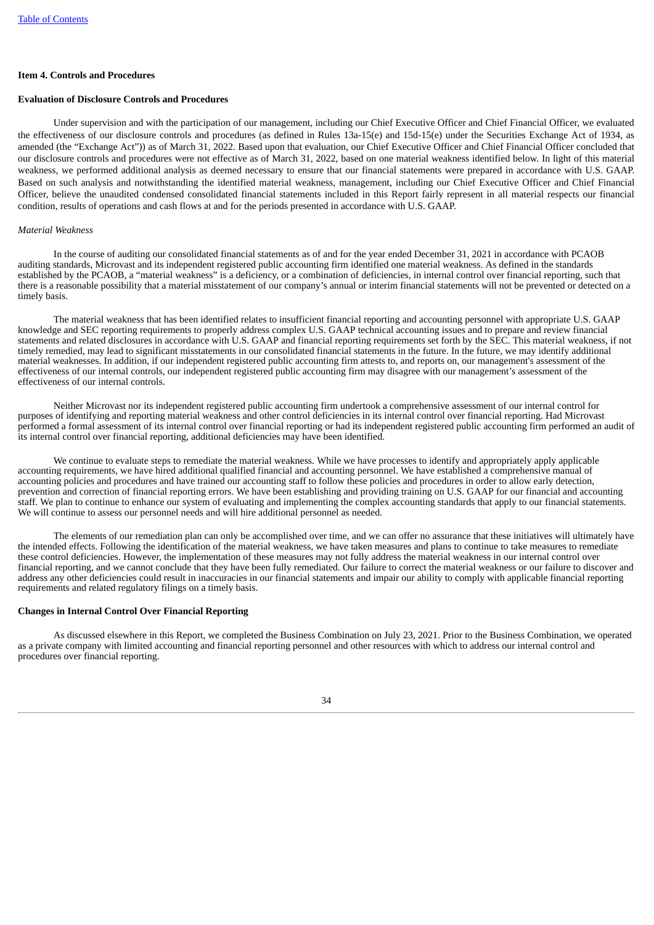#### **Item 4. Controls and Procedures**

### **Evaluation of Disclosure Controls and Procedures**

Under supervision and with the participation of our management, including our Chief Executive Officer and Chief Financial Officer, we evaluated the effectiveness of our disclosure controls and procedures (as defined in Rules 13a-15(e) and 15d-15(e) under the Securities Exchange Act of 1934, as amended (the "Exchange Act")) as of March 31, 2022. Based upon that evaluation, our Chief Executive Officer and Chief Financial Officer concluded that our disclosure controls and procedures were not effective as of March 31, 2022, based on one material weakness identified below. In light of this material weakness, we performed additional analysis as deemed necessary to ensure that our financial statements were prepared in accordance with U.S. GAAP. Based on such analysis and notwithstanding the identified material weakness, management, including our Chief Executive Officer and Chief Financial Officer, believe the unaudited condensed consolidated financial statements included in this Report fairly represent in all material respects our financial condition, results of operations and cash flows at and for the periods presented in accordance with U.S. GAAP.

#### *Material Weakness*

In the course of auditing our consolidated financial statements as of and for the year ended December 31, 2021 in accordance with PCAOB auditing standards, Microvast and its independent registered public accounting firm identified one material weakness. As defined in the standards established by the PCAOB, a "material weakness" is a deficiency, or a combination of deficiencies, in internal control over financial reporting, such that there is a reasonable possibility that a material misstatement of our company's annual or interim financial statements will not be prevented or detected on a timely basis.

The material weakness that has been identified relates to insufficient financial reporting and accounting personnel with appropriate U.S. GAAP knowledge and SEC reporting requirements to properly address complex U.S. GAAP technical accounting issues and to prepare and review financial statements and related disclosures in accordance with U.S. GAAP and financial reporting requirements set forth by the SEC. This material weakness, if not timely remedied, may lead to significant misstatements in our consolidated financial statements in the future. In the future, we may identify additional material weaknesses. In addition, if our independent registered public accounting firm attests to, and reports on, our management's assessment of the effectiveness of our internal controls, our independent registered public accounting firm may disagree with our management's assessment of the effectiveness of our internal controls.

Neither Microvast nor its independent registered public accounting firm undertook a comprehensive assessment of our internal control for purposes of identifying and reporting material weakness and other control deficiencies in its internal control over financial reporting. Had Microvast performed a formal assessment of its internal control over financial reporting or had its independent registered public accounting firm performed an audit of its internal control over financial reporting, additional deficiencies may have been identified.

We continue to evaluate steps to remediate the material weakness. While we have processes to identify and appropriately apply applicable accounting requirements, we have hired additional qualified financial and accounting personnel. We have established a comprehensive manual of accounting policies and procedures and have trained our accounting staff to follow these policies and procedures in order to allow early detection, prevention and correction of financial reporting errors. We have been establishing and providing training on U.S. GAAP for our financial and accounting staff. We plan to continue to enhance our system of evaluating and implementing the complex accounting standards that apply to our financial statements. We will continue to assess our personnel needs and will hire additional personnel as needed.

The elements of our remediation plan can only be accomplished over time, and we can offer no assurance that these initiatives will ultimately have the intended effects. Following the identification of the material weakness, we have taken measures and plans to continue to take measures to remediate these control deficiencies. However, the implementation of these measures may not fully address the material weakness in our internal control over financial reporting, and we cannot conclude that they have been fully remediated. Our failure to correct the material weakness or our failure to discover and address any other deficiencies could result in inaccuracies in our financial statements and impair our ability to comply with applicable financial reporting requirements and related regulatory filings on a timely basis.

#### **Changes in Internal Control Over Financial Reporting**

As discussed elsewhere in this Report, we completed the Business Combination on July 23, 2021. Prior to the Business Combination, we operated as a private company with limited accounting and financial reporting personnel and other resources with which to address our internal control and procedures over financial reporting.

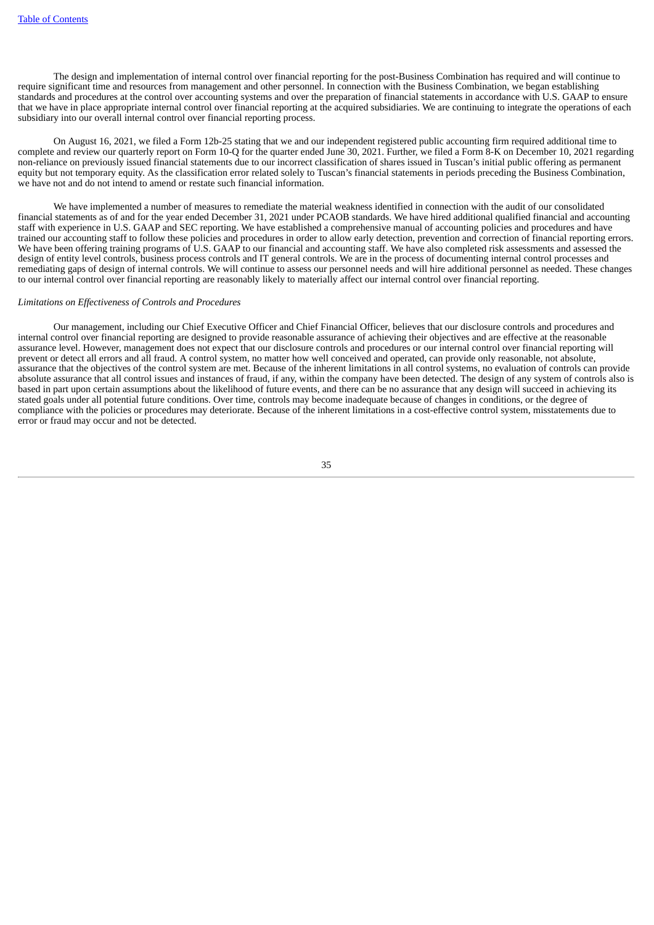The design and implementation of internal control over financial reporting for the post-Business Combination has required and will continue to require significant time and resources from management and other personnel. In connection with the Business Combination, we began establishing standards and procedures at the control over accounting systems and over the preparation of financial statements in accordance with U.S. GAAP to ensure that we have in place appropriate internal control over financial reporting at the acquired subsidiaries. We are continuing to integrate the operations of each subsidiary into our overall internal control over financial reporting process.

On August 16, 2021, we filed a Form 12b-25 stating that we and our independent registered public accounting firm required additional time to complete and review our quarterly report on Form 10-Q for the quarter ended June 30, 2021. Further, we filed a Form 8-K on December 10, 2021 regarding non-reliance on previously issued financial statements due to our incorrect classification of shares issued in Tuscan's initial public offering as permanent equity but not temporary equity. As the classification error related solely to Tuscan's financial statements in periods preceding the Business Combination, we have not and do not intend to amend or restate such financial information.

We have implemented a number of measures to remediate the material weakness identified in connection with the audit of our consolidated financial statements as of and for the year ended December 31, 2021 under PCAOB standards. We have hired additional qualified financial and accounting staff with experience in U.S. GAAP and SEC reporting. We have established a comprehensive manual of accounting policies and procedures and have trained our accounting staff to follow these policies and procedures in order to allow early detection, prevention and correction of financial reporting errors. We have been offering training programs of U.S. GAAP to our financial and accounting staff. We have also completed risk assessments and assessed the design of entity level controls, business process controls and IT general controls. We are in the process of documenting internal control processes and remediating gaps of design of internal controls. We will continue to assess our personnel needs and will hire additional personnel as needed. These changes to our internal control over financial reporting are reasonably likely to materially affect our internal control over financial reporting.

### *Limitations on Effectiveness of Controls and Procedures*

<span id="page-38-0"></span>Our management, including our Chief Executive Officer and Chief Financial Officer, believes that our disclosure controls and procedures and internal control over financial reporting are designed to provide reasonable assurance of achieving their objectives and are effective at the reasonable assurance level. However, management does not expect that our disclosure controls and procedures or our internal control over financial reporting will prevent or detect all errors and all fraud. A control system, no matter how well conceived and operated, can provide only reasonable, not absolute, assurance that the objectives of the control system are met. Because of the inherent limitations in all control systems, no evaluation of controls can provide absolute assurance that all control issues and instances of fraud, if any, within the company have been detected. The design of any system of controls also is based in part upon certain assumptions about the likelihood of future events, and there can be no assurance that any design will succeed in achieving its stated goals under all potential future conditions. Over time, controls may become inadequate because of changes in conditions, or the degree of compliance with the policies or procedures may deteriorate. Because of the inherent limitations in a cost-effective control system, misstatements due to error or fraud may occur and not be detected.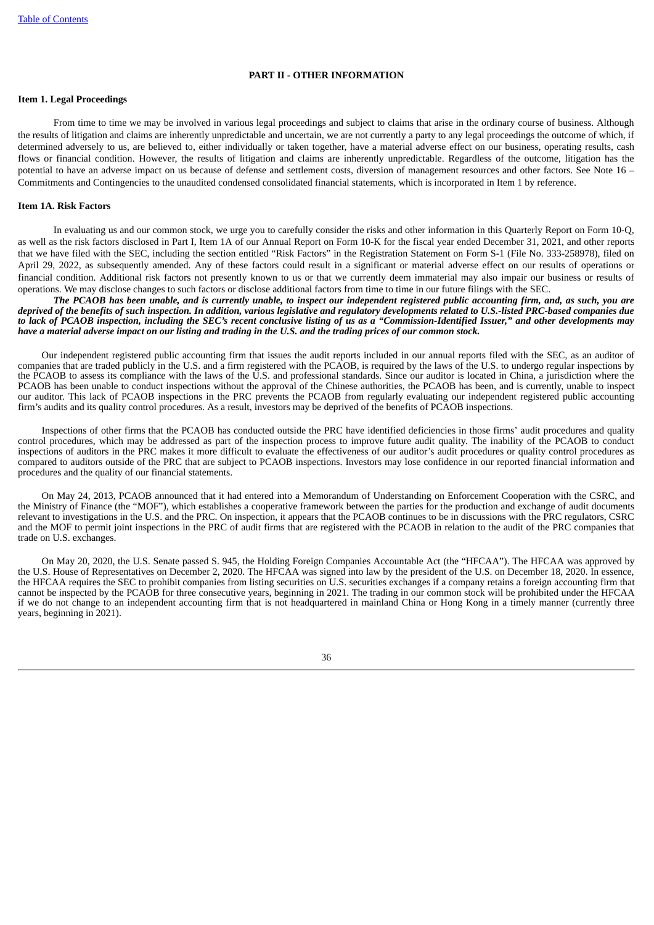#### **PART II - OTHER INFORMATION**

#### <span id="page-39-0"></span>**Item 1. Legal Proceedings**

From time to time we may be involved in various legal proceedings and subject to claims that arise in the ordinary course of business. Although the results of litigation and claims are inherently unpredictable and uncertain, we are not currently a party to any legal proceedings the outcome of which, if determined adversely to us, are believed to, either individually or taken together, have a material adverse effect on our business, operating results, cash flows or financial condition. However, the results of litigation and claims are inherently unpredictable. Regardless of the outcome, litigation has the potential to have an adverse impact on us because of defense and settlement costs, diversion of management resources and other factors. See Note 16 – Commitments and Contingencies to the unaudited condensed consolidated financial statements, which is incorporated in Item 1 by reference.

#### <span id="page-39-1"></span>**Item 1A. Risk Factors**

In evaluating us and our common stock, we urge you to carefully consider the risks and other information in this Quarterly Report on Form 10-Q, as well as the risk factors disclosed in Part I, Item 1A of our Annual Report on Form 10-K for the fiscal year ended December 31, 2021, and other reports that we have filed with the SEC, including the section entitled "Risk Factors" in the Registration Statement on Form S-1 (File No. 333-258978), filed on April 29, 2022, as subsequently amended. Any of these factors could result in a significant or material adverse effect on our results of operations or financial condition. Additional risk factors not presently known to us or that we currently deem immaterial may also impair our business or results of operations. We may disclose changes to such factors or disclose additional factors from time to time in our future filings with the SEC.

The PCAOB has been unable, and is currently unable, to inspect our independent registered public accounting firm, and, as such, you are deprived of the benefits of such inspection. In addition, various legislative and regulatory developments related to U.S.-listed PRC-based companies due to lack of PCAOB inspection, including the SEC's recent conclusive listing of us as a "Commission-Identified Issuer," and other developments may have a material adverse impact on our listing and trading in the U.S. and the trading prices of our common stock.

Our independent registered public accounting firm that issues the audit reports included in our annual reports filed with the SEC, as an auditor of companies that are traded publicly in the U.S. and a firm registered with the PCAOB, is required by the laws of the U.S. to undergo regular inspections by the PCAOB to assess its compliance with the laws of the U.S. and professional standards. Since our auditor is located in China, a jurisdiction where the PCAOB has been unable to conduct inspections without the approval of the Chinese authorities, the PCAOB has been, and is currently, unable to inspect our auditor. This lack of PCAOB inspections in the PRC prevents the PCAOB from regularly evaluating our independent registered public accounting firm's audits and its quality control procedures. As a result, investors may be deprived of the benefits of PCAOB inspections.

Inspections of other firms that the PCAOB has conducted outside the PRC have identified deficiencies in those firms' audit procedures and quality control procedures, which may be addressed as part of the inspection process to improve future audit quality. The inability of the PCAOB to conduct inspections of auditors in the PRC makes it more difficult to evaluate the effectiveness of our auditor's audit procedures or quality control procedures as compared to auditors outside of the PRC that are subject to PCAOB inspections. Investors may lose confidence in our reported financial information and procedures and the quality of our financial statements.

On May 24, 2013, PCAOB announced that it had entered into a Memorandum of Understanding on Enforcement Cooperation with the CSRC, and the Ministry of Finance (the "MOF"), which establishes a cooperative framework between the parties for the production and exchange of audit documents relevant to investigations in the U.S. and the PRC. On inspection, it appears that the PCAOB continues to be in discussions with the PRC regulators, CSRC and the MOF to permit joint inspections in the PRC of audit firms that are registered with the PCAOB in relation to the audit of the PRC companies that trade on U.S. exchanges.

On May 20, 2020, the U.S. Senate passed S. 945, the Holding Foreign Companies Accountable Act (the "HFCAA"). The HFCAA was approved by the U.S. House of Representatives on December 2, 2020. The HFCAA was signed into law by the president of the U.S. on December 18, 2020. In essence, the HFCAA requires the SEC to prohibit companies from listing securities on U.S. securities exchanges if a company retains a foreign accounting firm that cannot be inspected by the PCAOB for three consecutive years, beginning in 2021. The trading in our common stock will be prohibited under the HFCAA if we do not change to an independent accounting firm that is not headquartered in mainland China or Hong Kong in a timely manner (currently three years, beginning in 2021).

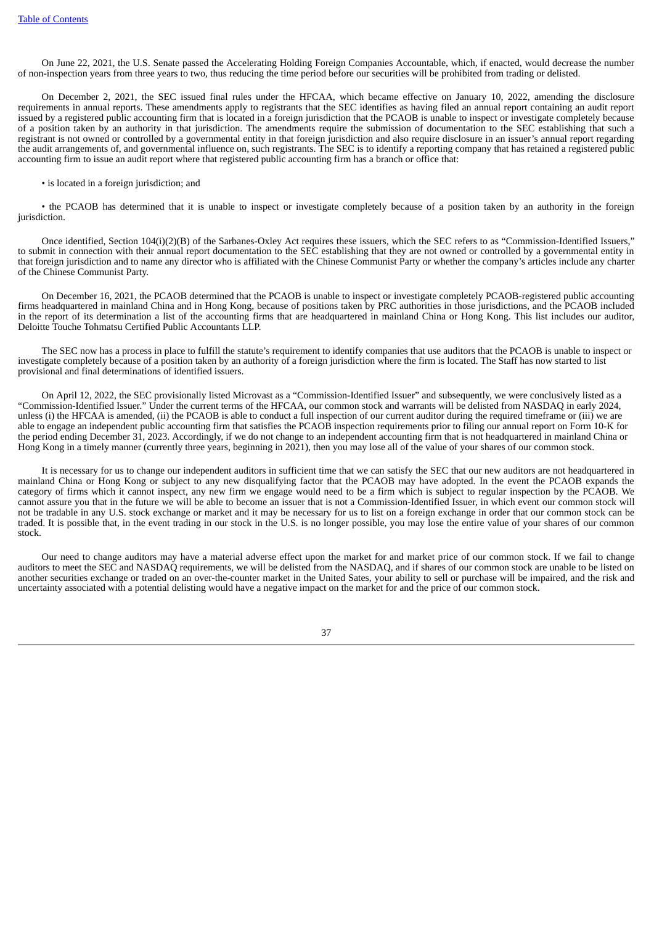On June 22, 2021, the U.S. Senate passed the Accelerating Holding Foreign Companies Accountable, which, if enacted, would decrease the number of non-inspection years from three years to two, thus reducing the time period before our securities will be prohibited from trading or delisted.

On December 2, 2021, the SEC issued final rules under the HFCAA, which became effective on January 10, 2022, amending the disclosure requirements in annual reports. These amendments apply to registrants that the SEC identifies as having filed an annual report containing an audit report issued by a registered public accounting firm that is located in a foreign jurisdiction that the PCAOB is unable to inspect or investigate completely because of a position taken by an authority in that jurisdiction. The amendments require the submission of documentation to the SEC establishing that such a registrant is not owned or controlled by a governmental entity in that foreign jurisdiction and also require disclosure in an issuer's annual report regarding the audit arrangements of, and governmental influence on, such registrants. The SEC is to identify a reporting company that has retained a registered public accounting firm to issue an audit report where that registered public accounting firm has a branch or office that:

#### • is located in a foreign jurisdiction; and

• the PCAOB has determined that it is unable to inspect or investigate completely because of a position taken by an authority in the foreign jurisdiction.

Once identified, Section 104(i)(2)(B) of the Sarbanes-Oxley Act requires these issuers, which the SEC refers to as "Commission-Identified Issuers," to submit in connection with their annual report documentation to the SEC establishing that they are not owned or controlled by a governmental entity in that foreign jurisdiction and to name any director who is affiliated with the Chinese Communist Party or whether the company's articles include any charter of the Chinese Communist Party.

On December 16, 2021, the PCAOB determined that the PCAOB is unable to inspect or investigate completely PCAOB-registered public accounting firms headquartered in mainland China and in Hong Kong, because of positions taken by PRC authorities in those jurisdictions, and the PCAOB included in the report of its determination a list of the accounting firms that are headquartered in mainland China or Hong Kong. This list includes our auditor, Deloitte Touche Tohmatsu Certified Public Accountants LLP.

The SEC now has a process in place to fulfill the statute's requirement to identify companies that use auditors that the PCAOB is unable to inspect or investigate completely because of a position taken by an authority of a foreign jurisdiction where the firm is located. The Staff has now started to list provisional and final determinations of identified issuers.

On April 12, 2022, the SEC provisionally listed Microvast as a "Commission-Identified Issuer" and subsequently, we were conclusively listed as a "Commission-Identified Issuer." Under the current terms of the HFCAA, our common stock and warrants will be delisted from NASDAQ in early 2024, unless (i) the HFCAA is amended, (ii) the PCAOB is able to conduct a full inspection of our current auditor during the required timeframe or (iii) we are able to engage an independent public accounting firm that satisfies the PCAOB inspection requirements prior to filing our annual report on Form 10-K for the period ending December 31, 2023. Accordingly, if we do not change to an independent accounting firm that is not headquartered in mainland China or Hong Kong in a timely manner (currently three years, beginning in 2021), then you may lose all of the value of your shares of our common stock.

It is necessary for us to change our independent auditors in sufficient time that we can satisfy the SEC that our new auditors are not headquartered in mainland China or Hong Kong or subject to any new disqualifying factor that the PCAOB may have adopted. In the event the PCAOB expands the category of firms which it cannot inspect, any new firm we engage would need to be a firm which is subject to regular inspection by the PCAOB. We cannot assure you that in the future we will be able to become an issuer that is not a Commission-Identified Issuer, in which event our common stock will not be tradable in any U.S. stock exchange or market and it may be necessary for us to list on a foreign exchange in order that our common stock can be traded. It is possible that, in the event trading in our stock in the U.S. is no longer possible, you may lose the entire value of your shares of our common stock.

Our need to change auditors may have a material adverse effect upon the market for and market price of our common stock. If we fail to change auditors to meet the SEC and NASDAQ requirements, we will be delisted from the NASDAQ, and if shares of our common stock are unable to be listed on another securities exchange or traded on an over-the-counter market in the United Sates, your ability to sell or purchase will be impaired, and the risk and uncertainty associated with a potential delisting would have a negative impact on the market for and the price of our common stock.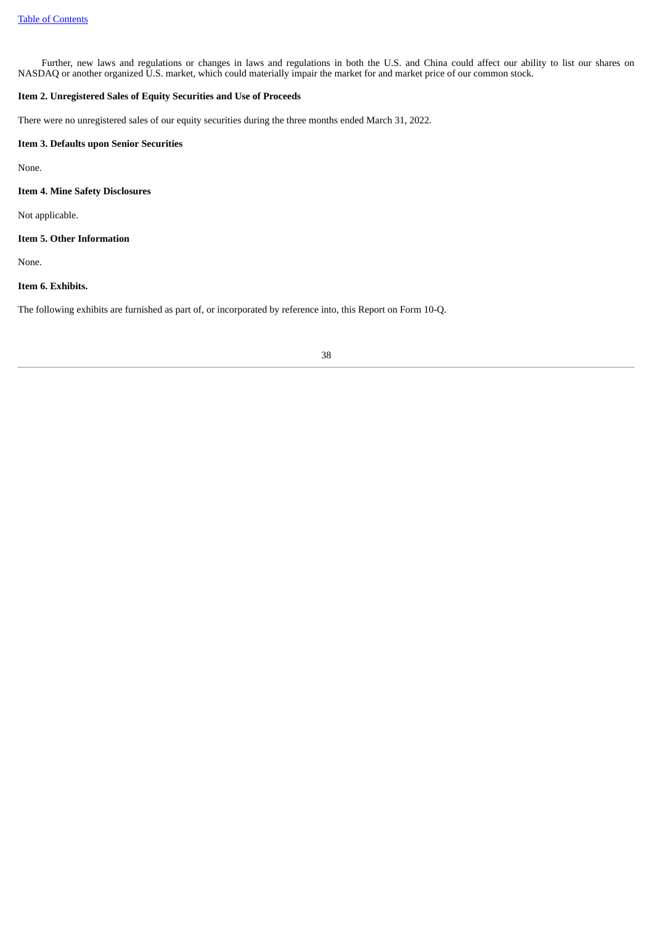Further, new laws and regulations or changes in laws and regulations in both the U.S. and China could affect our ability to list our shares on NASDAQ or another organized U.S. market, which could materially impair the market for and market price of our common stock.

## <span id="page-41-0"></span>**Item 2. Unregistered Sales of Equity Securities and Use of Proceeds**

<span id="page-41-1"></span>There were no unregistered sales of our equity securities during the three months ended March 31, 2022.

#### **Item 3. Defaults upon Senior Securities**

<span id="page-41-2"></span>None.

### **Item 4. Mine Safety Disclosures**

<span id="page-41-3"></span>Not applicable.

## **Item 5. Other Information**

None.

## <span id="page-41-4"></span>**Item 6. Exhibits.**

The following exhibits are furnished as part of, or incorporated by reference into, this Report on Form 10-Q.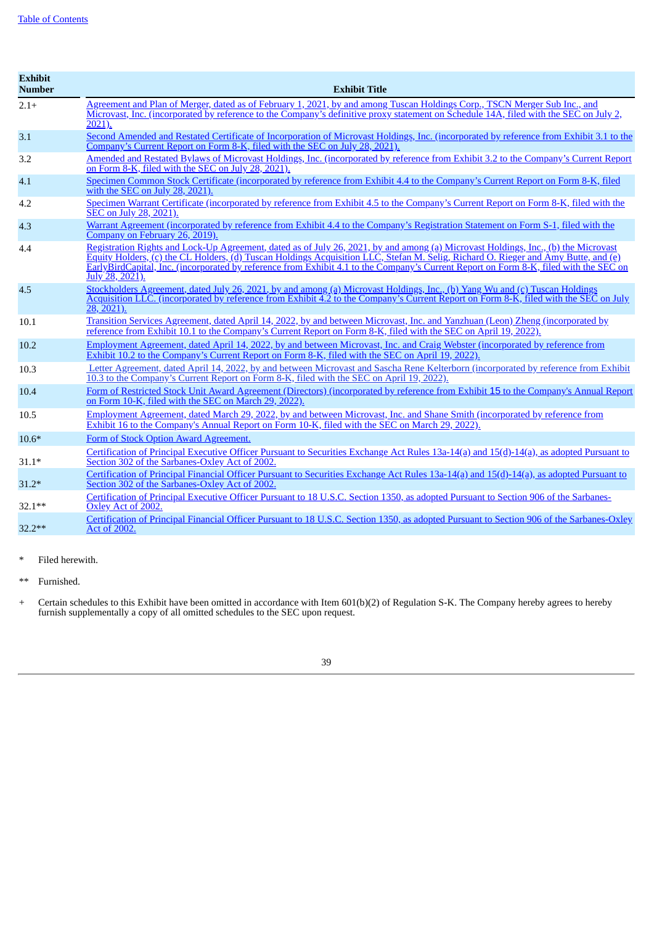| <b>Exhibit</b><br><b>Number</b> | <b>Exhibit Title</b>                                                                                                                                                                                                                                                                                                                                                                                                                              |
|---------------------------------|---------------------------------------------------------------------------------------------------------------------------------------------------------------------------------------------------------------------------------------------------------------------------------------------------------------------------------------------------------------------------------------------------------------------------------------------------|
| $2.1+$                          | Agreement and Plan of Merger, dated as of February 1, 2021, by and among Tuscan Holdings Corp., TSCN Merger Sub Inc., and<br>Microvast, Inc. (incorporated by reference to the Company's definitive proxy statement on Schedule 14A, filed with the SEC on July 2,<br>2021).                                                                                                                                                                      |
| 3.1                             | Second Amended and Restated Certificate of Incorporation of Microvast Holdings, Inc. (incorporated by reference from Exhibit 3.1 to the<br>Company's Current Report on Form 8-K, filed with the SEC on July 28, 2021).                                                                                                                                                                                                                            |
| 3.2                             | Amended and Restated Bylaws of Microvast Holdings, Inc. (incorporated by reference from Exhibit 3.2 to the Company's Current Report<br>on Form 8-K, filed with the SEC on July 28, 2021).                                                                                                                                                                                                                                                         |
| 4.1                             | Specimen Common Stock Certificate (incorporated by reference from Exhibit 4.4 to the Company's Current Report on Form 8-K, filed<br>with the SEC on July 28, 2021).                                                                                                                                                                                                                                                                               |
| 4.2                             | Specimen Warrant Certificate (incorporated by reference from Exhibit 4.5 to the Company's Current Report on Form 8-K, filed with the<br>SEC on July 28, 2021).                                                                                                                                                                                                                                                                                    |
| 4.3                             | Warrant Agreement (incorporated by reference from Exhibit 4.4 to the Company's Registration Statement on Form S-1, filed with the<br>Company on February 26, 2019).                                                                                                                                                                                                                                                                               |
| 4.4                             | Registration Rights and Lock-Up Agreement, dated as of July 26, 2021, by and among (a) Microvast Holdings, Inc., (b) the Microvast<br>Equity Holders, (c) the CL Holders, (d) Tuscan Holdings Acquisition LLC, Stefan M. Selig, Richard O. Rieger and Amy Butte, and (e)<br>EarlyBirdCapital, Inc. (incorporated by reference from Exhibit 4.1 to the Company's Current Report on Form 8-K, filed with the SEC on<br>$\overline{July}$ 28, 2021). |
| 4.5                             | Stockholders Agreement, dated July 26, 2021, by and among (a) Microvast Holdings, Inc., (b) Yang Wu and (c) Tuscan Holdings<br>Acquisition LLC, (incorporated by reference from Exhibit 4.2 to the Company's Current Report on Form 8-K, filed with the SEC on July<br>$28, 2021$ ).                                                                                                                                                              |
| 10.1                            | Transition Services Agreement, dated April 14, 2022, by and between Microvast, Inc. and Yanzhuan (Leon) Zheng (incorporated by<br>reference from Exhibit 10.1 to the Company's Current Report on Form 8-K, filed with the SEC on April 19, 2022).                                                                                                                                                                                                 |
| 10.2                            | Employment Agreement, dated April 14, 2022, by and between Microvast, Inc. and Craig Webster (incorporated by reference from<br>Exhibit 10.2 to the Company's Current Report on Form 8-K, filed with the SEC on April 19, 2022).                                                                                                                                                                                                                  |
| 10.3                            | Letter Agreement, dated April 14, 2022, by and between Microvast and Sascha Rene Kelterborn (incorporated by reference from Exhibit<br>10.3 to the Company's Current Report on Form 8-K, filed with the SEC on April 19, 2022).                                                                                                                                                                                                                   |
| 10.4                            | Form of Restricted Stock Unit Award Agreement (Directors) (incorporated by reference from Exhibit 15 to the Company's Annual Report<br>on Form 10-K, filed with the SEC on March 29, 2022).                                                                                                                                                                                                                                                       |
| 10.5                            | Employment Agreement, dated March 29, 2022, by and between Microvast, Inc. and Shane Smith (incorporated by reference from<br>Exhibit 16 to the Company's Annual Report on Form 10-K, filed with the SEC on March 29, 2022).                                                                                                                                                                                                                      |
| $10.6*$                         | Form of Stock Option Award Agreement.                                                                                                                                                                                                                                                                                                                                                                                                             |
| $31.1*$                         | Certification of Principal Executive Officer Pursuant to Securities Exchange Act Rules 13a-14(a) and 15(d)-14(a), as adopted Pursuant to<br>Section 302 of the Sarbanes-Oxley Act of 2002.                                                                                                                                                                                                                                                        |
| $31.2*$                         | Certification of Principal Financial Officer Pursuant to Securities Exchange Act Rules 13a-14(a) and 15(d)-14(a), as adopted Pursuant to<br>Section 302 of the Sarbanes-Oxley Act of 2002.                                                                                                                                                                                                                                                        |
| $32.1**$                        | Certification of Principal Executive Officer Pursuant to 18 U.S.C. Section 1350, as adopted Pursuant to Section 906 of the Sarbanes-<br>Oxley Act of 2002.                                                                                                                                                                                                                                                                                        |
| $32.2**$                        | Certification of Principal Financial Officer Pursuant to 18 U.S.C. Section 1350, as adopted Pursuant to Section 906 of the Sarbanes-Oxley<br>Act of 2002.                                                                                                                                                                                                                                                                                         |

- \* Filed herewith.
- \*\* Furnished.
- + Certain schedules to this Exhibit have been omitted in accordance with Item 601(b)(2) of Regulation S-K. The Company hereby agrees to hereby furnish supplementally a copy of all omitted schedules to the SEC upon request.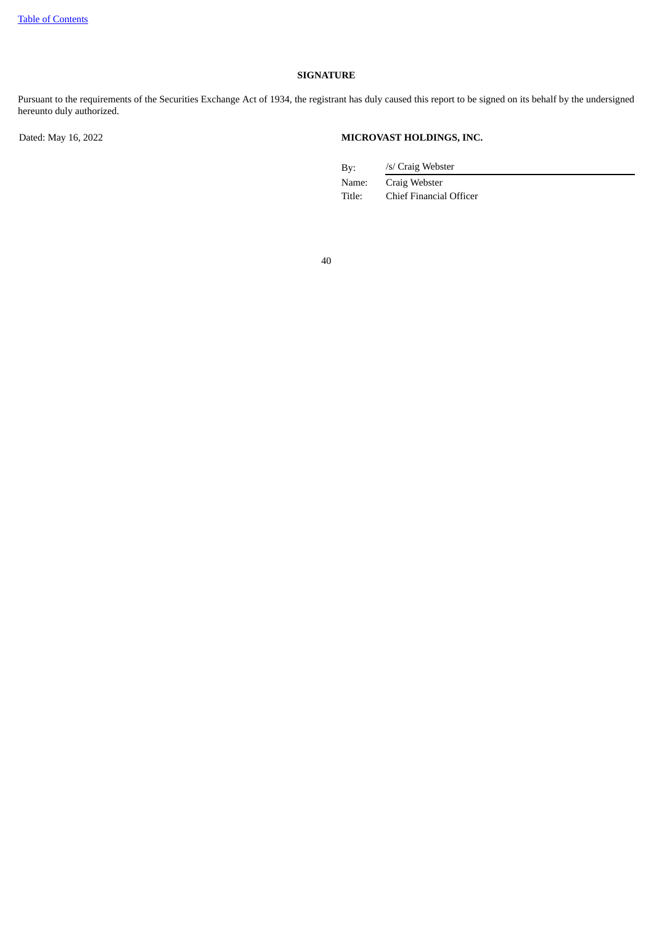# **SIGNATURE**

Pursuant to the requirements of the Securities Exchange Act of 1934, the registrant has duly caused this report to be signed on its behalf by the undersigned hereunto duly authorized.

# Dated: May 16, 2022 **MICROVAST HOLDINGS, INC.**

By: /s/ Craig Webster

Name: Craig Webster Title: Chief Financial Officer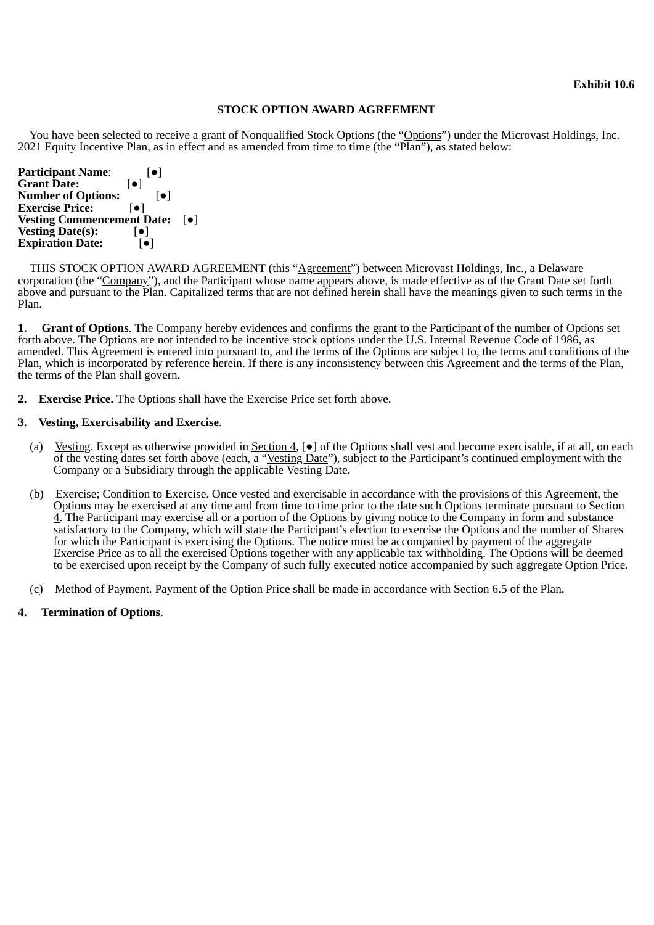# **STOCK OPTION AWARD AGREEMENT**

<span id="page-44-0"></span>You have been selected to receive a grant of Nonqualified Stock Options (the "Options") under the Microvast Holdings, Inc. 2021 Equity Incentive Plan, as in effect and as amended from time to time (the "Plan"), as stated below:

**Participant Name:**  $\begin{bmatrix} \bullet \end{bmatrix}$ **Grant Date:** [●] **Number of Options:** [●] **Exercise Price:** [●] **Vesting Commencement Date:** [●] **Vesting Date(s):** [●] **Expiration Date:** [●]

THIS STOCK OPTION AWARD AGREEMENT (this "Agreement") between Microvast Holdings, Inc., a Delaware corporation (the "Company"), and the Participant whose name appears above, is made effective as of the Grant Date set forth above and pursuant to the Plan. Capitalized terms that are not defined herein shall have the meanings given to such terms in the Plan.

**1. Grant of Options**. The Company hereby evidences and confirms the grant to the Participant of the number of Options set forth above. The Options are not intended to be incentive stock options under the U.S. Internal Revenue Code of 1986, as amended. This Agreement is entered into pursuant to, and the terms of the Options are subject to, the terms and conditions of the Plan, which is incorporated by reference herein. If there is any inconsistency between this Agreement and the terms of the Plan, the terms of the Plan shall govern.

**2. Exercise Price.** The Options shall have the Exercise Price set forth above.

# **3. Vesting, Exercisability and Exercise**.

- (a) Vesting. Except as otherwise provided in Section 4,  $[\bullet]$  of the Options shall vest and become exercisable, if at all, on each of the vesting dates set forth above (each, a "Vesting Date"), subject to the Participant's continued employment with the Company or a Subsidiary through the applicable Vesting Date.
- (b) Exercise; Condition to Exercise. Once vested and exercisable in accordance with the provisions of this Agreement, the Options may be exercised at any time and from time to time prior to the date such Options terminate pursuant to Section 4. The Participant may exercise all or a portion of the Options by giving notice to the Company in form and substance satisfactory to the Company, which will state the Participant's election to exercise the Options and the number of Shares for which the Participant is exercising the Options. The notice must be accompanied by payment of the aggregate Exercise Price as to all the exercised Options together with any applicable tax withholding. The Options will be deemed to be exercised upon receipt by the Company of such fully executed notice accompanied by such aggregate Option Price.
- (c) Method of Payment. Payment of the Option Price shall be made in accordance with Section 6.5 of the Plan.

# **4. Termination of Options**.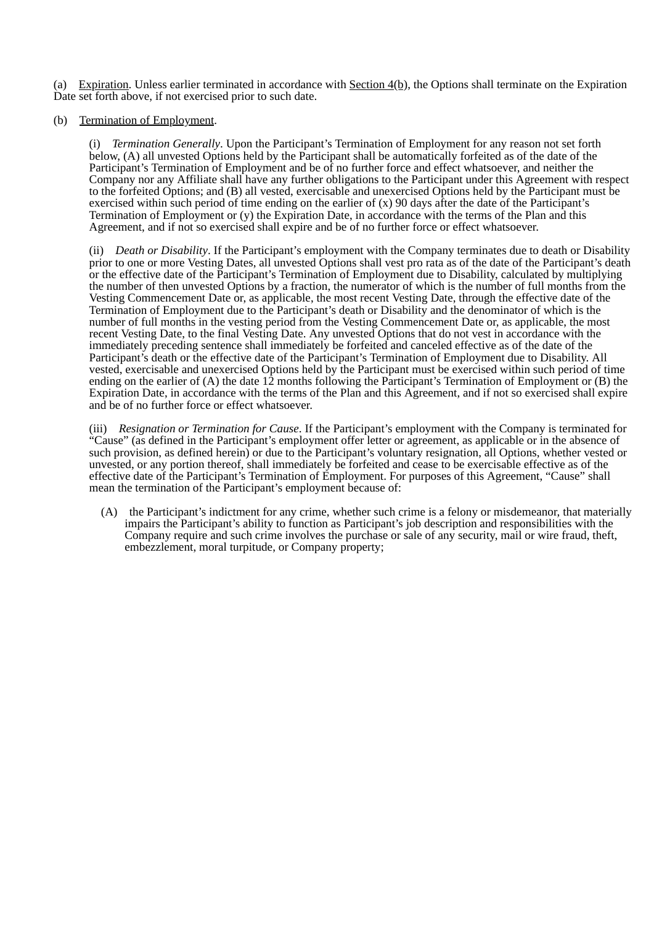(a) Expiration. Unless earlier terminated in accordance with Section  $4(b)$ , the Options shall terminate on the Expiration Date set forth above, if not exercised prior to such date.

(b) Termination of Employment.

(i) *Termination Generally*. Upon the Participant's Termination of Employment for any reason not set forth below, (A) all unvested Options held by the Participant shall be automatically forfeited as of the date of the Participant's Termination of Employment and be of no further force and effect whatsoever, and neither the Company nor any Affiliate shall have any further obligations to the Participant under this Agreement with respect to the forfeited Options; and (B) all vested, exercisable and unexercised Options held by the Participant must be exercised within such period of time ending on the earlier of (x) 90 days after the date of the Participant's Termination of Employment or (y) the Expiration Date, in accordance with the terms of the Plan and this Agreement, and if not so exercised shall expire and be of no further force or effect whatsoever.

(ii) *Death or Disability*. If the Participant's employment with the Company terminates due to death or Disability prior to one or more Vesting Dates, all unvested Options shall vest pro rata as of the date of the Participant's death or the effective date of the Participant's Termination of Employment due to Disability, calculated by multiplying the number of then unvested Options by a fraction, the numerator of which is the number of full months from the Vesting Commencement Date or, as applicable, the most recent Vesting Date, through the effective date of the Termination of Employment due to the Participant's death or Disability and the denominator of which is the number of full months in the vesting period from the Vesting Commencement Date or, as applicable, the most recent Vesting Date, to the final Vesting Date. Any unvested Options that do not vest in accordance with the immediately preceding sentence shall immediately be forfeited and canceled effective as of the date of the Participant's death or the effective date of the Participant's Termination of Employment due to Disability. All vested, exercisable and unexercised Options held by the Participant must be exercised within such period of time ending on the earlier of (A) the date 12 months following the Participant's Termination of Employment or (B) the Expiration Date, in accordance with the terms of the Plan and this Agreement, and if not so exercised shall expire and be of no further force or effect whatsoever.

(iii) *Resignation or Termination for Cause*. If the Participant's employment with the Company is terminated for "Cause" (as defined in the Participant's employment offer letter or agreement, as applicable or in the absence of such provision, as defined herein) or due to the Participant's voluntary resignation, all Options, whether vested or unvested, or any portion thereof, shall immediately be forfeited and cease to be exercisable effective as of the effective date of the Participant's Termination of Employment. For purposes of this Agreement, "Cause" shall mean the termination of the Participant's employment because of:

 (A) the Participant's indictment for any crime, whether such crime is a felony or misdemeanor, that materially impairs the Participant's ability to function as Participant's job description and responsibilities with the Company require and such crime involves the purchase or sale of any security, mail or wire fraud, theft, embezzlement, moral turpitude, or Company property;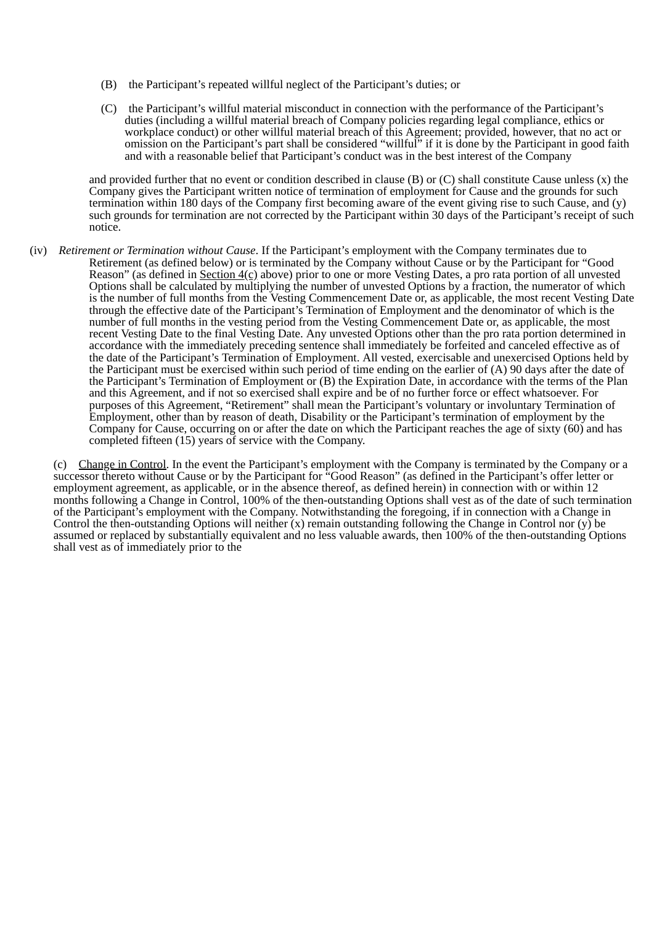- (B) the Participant's repeated willful neglect of the Participant's duties; or
- (C) the Participant's willful material misconduct in connection with the performance of the Participant's duties (including a willful material breach of Company policies regarding legal compliance, ethics or workplace conduct) or other willful material breach of this Agreement; provided, however, that no act or omission on the Participant's part shall be considered "willful" if it is done by the Participant in good faith and with a reasonable belief that Participant's conduct was in the best interest of the Company

and provided further that no event or condition described in clause (B) or  $(C)$  shall constitute Cause unless  $(x)$  the Company gives the Participant written notice of termination of employment for Cause and the grounds for such termination within 180 days of the Company first becoming aware of the event giving rise to such Cause, and (y) such grounds for termination are not corrected by the Participant within 30 days of the Participant's receipt of such notice.

 (iv) *Retirement or Termination without Cause*. If the Participant's employment with the Company terminates due to Retirement (as defined below) or is terminated by the Company without Cause or by the Participant for "Good Reason" (as defined in Section 4(c) above) prior to one or more Vesting Dates, a pro rata portion of all unvested Options shall be calculated by multiplying the number of unvested Options by a fraction, the numerator of which is the number of full months from the Vesting Commencement Date or, as applicable, the most recent Vesting Date through the effective date of the Participant's Termination of Employment and the denominator of which is the number of full months in the vesting period from the Vesting Commencement Date or, as applicable, the most recent Vesting Date to the final Vesting Date. Any unvested Options other than the pro rata portion determined in accordance with the immediately preceding sentence shall immediately be forfeited and canceled effective as of the date of the Participant's Termination of Employment. All vested, exercisable and unexercised Options held by the Participant must be exercised within such period of time ending on the earlier of (A) 90 days after the date of the Participant's Termination of Employment or (B) the Expiration Date, in accordance with the terms of the Plan and this Agreement, and if not so exercised shall expire and be of no further force or effect whatsoever. For purposes of this Agreement, "Retirement" shall mean the Participant's voluntary or involuntary Termination of Employment, other than by reason of death, Disability or the Participant's termination of employment by the Company for Cause, occurring on or after the date on which the Participant reaches the age of sixty (60) and has completed fifteen (15) years of service with the Company.

(c) Change in Control. In the event the Participant's employment with the Company is terminated by the Company or a successor thereto without Cause or by the Participant for "Good Reason" (as defined in the Participant's offer letter or employment agreement, as applicable, or in the absence thereof, as defined herein) in connection with or within 12 months following a Change in Control, 100% of the then-outstanding Options shall vest as of the date of such termination of the Participant's employment with the Company. Notwithstanding the foregoing, if in connection with a Change in Control the then-outstanding Options will neither  $(x)$  remain outstanding following the Change in Control nor  $(y)$  be assumed or replaced by substantially equivalent and no less valuable awards, then 100% of the then-outstanding Options shall vest as of immediately prior to the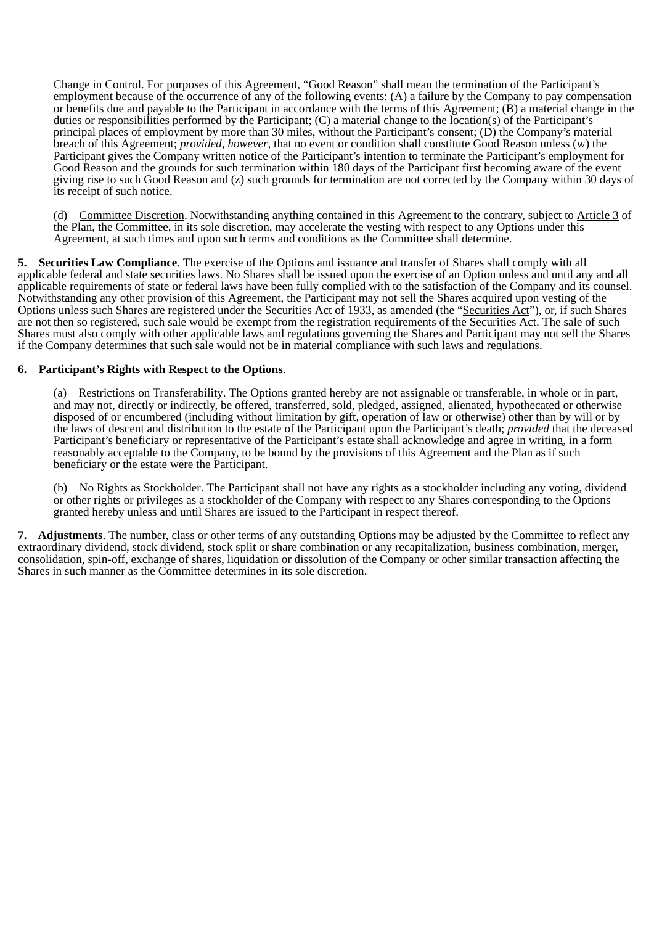Change in Control. For purposes of this Agreement, "Good Reason" shall mean the termination of the Participant's employment because of the occurrence of any of the following events: (A) a failure by the Company to pay compensation or benefits due and payable to the Participant in accordance with the terms of this Agreement; (B) a material change in the duties or responsibilities performed by the Participant; (C) a material change to the location(s) of the Participant's principal places of employment by more than 30 miles, without the Participant's consent; (D) the Company's material breach of this Agreement; *provided*, *however*, that no event or condition shall constitute Good Reason unless (w) the Participant gives the Company written notice of the Participant's intention to terminate the Participant's employment for Good Reason and the grounds for such termination within 180 days of the Participant first becoming aware of the event giving rise to such Good Reason and (z) such grounds for termination are not corrected by the Company within 30 days of its receipt of such notice.

(d) Committee Discretion. Notwithstanding anything contained in this Agreement to the contrary, subject to Article 3 of the Plan, the Committee, in its sole discretion, may accelerate the vesting with respect to any Options under this Agreement, at such times and upon such terms and conditions as the Committee shall determine.

**5. Securities Law Compliance**. The exercise of the Options and issuance and transfer of Shares shall comply with all applicable federal and state securities laws. No Shares shall be issued upon the exercise of an Option unless and until any and all applicable requirements of state or federal laws have been fully complied with to the satisfaction of the Company and its counsel. Notwithstanding any other provision of this Agreement, the Participant may not sell the Shares acquired upon vesting of the Options unless such Shares are registered under the Securities Act of 1933, as amended (the "Securities Act"), or, if such Shares are not then so registered, such sale would be exempt from the registration requirements of the Securities Act. The sale of such Shares must also comply with other applicable laws and regulations governing the Shares and Participant may not sell the Shares if the Company determines that such sale would not be in material compliance with such laws and regulations.

# **6. Participant's Rights with Respect to the Options**.

(a) Restrictions on Transferability. The Options granted hereby are not assignable or transferable, in whole or in part, and may not, directly or indirectly, be offered, transferred, sold, pledged, assigned, alienated, hypothecated or otherwise disposed of or encumbered (including without limitation by gift, operation of law or otherwise) other than by will or by the laws of descent and distribution to the estate of the Participant upon the Participant's death; *provided* that the deceased Participant's beneficiary or representative of the Participant's estate shall acknowledge and agree in writing, in a form reasonably acceptable to the Company, to be bound by the provisions of this Agreement and the Plan as if such beneficiary or the estate were the Participant.

(b) No Rights as Stockholder. The Participant shall not have any rights as a stockholder including any voting, dividend or other rights or privileges as a stockholder of the Company with respect to any Shares corresponding to the Options granted hereby unless and until Shares are issued to the Participant in respect thereof.

**7. Adjustments**. The number, class or other terms of any outstanding Options may be adjusted by the Committee to reflect any extraordinary dividend, stock dividend, stock split or share combination or any recapitalization, business combination, merger, consolidation, spin-off, exchange of shares, liquidation or dissolution of the Company or other similar transaction affecting the Shares in such manner as the Committee determines in its sole discretion.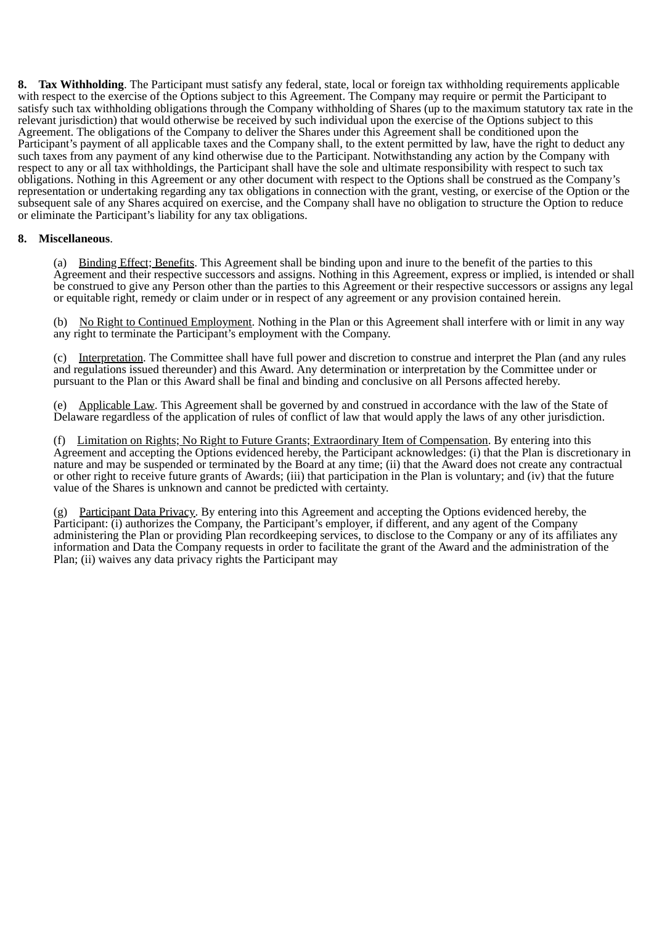**8. Tax Withholding**. The Participant must satisfy any federal, state, local or foreign tax withholding requirements applicable with respect to the exercise of the Options subject to this Agreement. The Company may require or permit the Participant to satisfy such tax withholding obligations through the Company withholding of Shares (up to the maximum statutory tax rate in the relevant jurisdiction) that would otherwise be received by such individual upon the exercise of the Options subject to this Agreement. The obligations of the Company to deliver the Shares under this Agreement shall be conditioned upon the Participant's payment of all applicable taxes and the Company shall, to the extent permitted by law, have the right to deduct any such taxes from any payment of any kind otherwise due to the Participant. Notwithstanding any action by the Company with respect to any or all tax withholdings, the Participant shall have the sole and ultimate responsibility with respect to such tax obligations. Nothing in this Agreement or any other document with respect to the Options shall be construed as the Company's representation or undertaking regarding any tax obligations in connection with the grant, vesting, or exercise of the Option or the subsequent sale of any Shares acquired on exercise, and the Company shall have no obligation to structure the Option to reduce or eliminate the Participant's liability for any tax obligations.

# **8. Miscellaneous**.

(a) Binding Effect; Benefits. This Agreement shall be binding upon and inure to the benefit of the parties to this Agreement and their respective successors and assigns. Nothing in this Agreement, express or implied, is intended or shall be construed to give any Person other than the parties to this Agreement or their respective successors or assigns any legal or equitable right, remedy or claim under or in respect of any agreement or any provision contained herein.

(b) No Right to Continued Employment. Nothing in the Plan or this Agreement shall interfere with or limit in any way any right to terminate the Participant's employment with the Company.

(c) Interpretation. The Committee shall have full power and discretion to construe and interpret the Plan (and any rules and regulations issued thereunder) and this Award. Any determination or interpretation by the Committee under or pursuant to the Plan or this Award shall be final and binding and conclusive on all Persons affected hereby.

(e) Applicable Law. This Agreement shall be governed by and construed in accordance with the law of the State of Delaware regardless of the application of rules of conflict of law that would apply the laws of any other jurisdiction.

(f) Limitation on Rights; No Right to Future Grants; Extraordinary Item of Compensation. By entering into this Agreement and accepting the Options evidenced hereby, the Participant acknowledges: (i) that the Plan is discretionary in nature and may be suspended or terminated by the Board at any time; (ii) that the Award does not create any contractual or other right to receive future grants of Awards; (iii) that participation in the Plan is voluntary; and (iv) that the future value of the Shares is unknown and cannot be predicted with certainty.

(g) Participant Data Privacy. By entering into this Agreement and accepting the Options evidenced hereby, the Participant: (i) authorizes the Company, the Participant's employer, if different, and any agent of the Company administering the Plan or providing Plan recordkeeping services, to disclose to the Company or any of its affiliates any information and Data the Company requests in order to facilitate the grant of the Award and the administration of the Plan; (ii) waives any data privacy rights the Participant may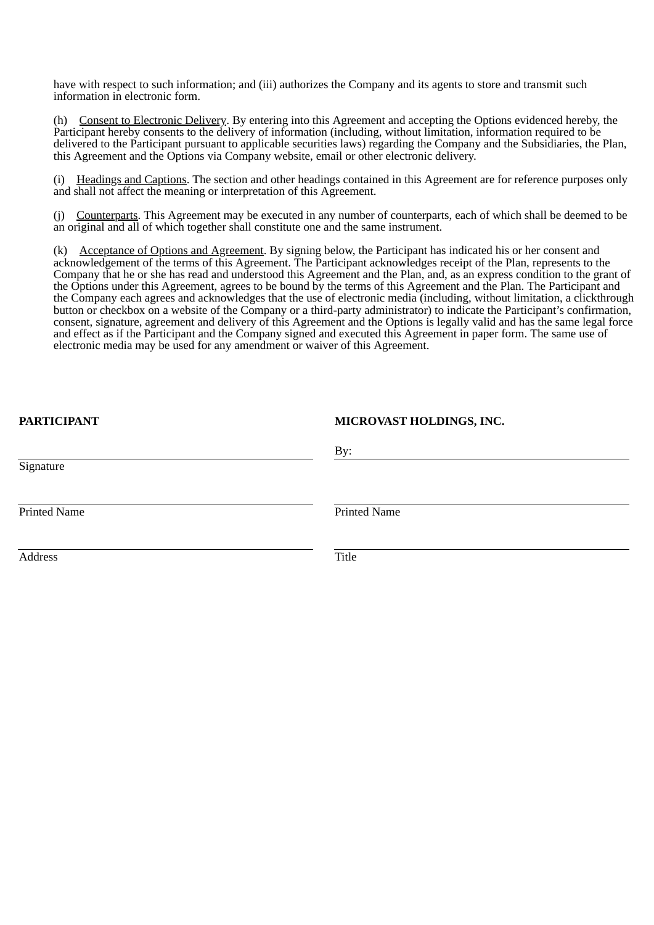have with respect to such information; and (iii) authorizes the Company and its agents to store and transmit such information in electronic form.

(h) Consent to Electronic Delivery. By entering into this Agreement and accepting the Options evidenced hereby, the Participant hereby consents to the delivery of information (including, without limitation, information required to be delivered to the Participant pursuant to applicable securities laws) regarding the Company and the Subsidiaries, the Plan, this Agreement and the Options via Company website, email or other electronic delivery.

(i) Headings and Captions. The section and other headings contained in this Agreement are for reference purposes only and shall not affect the meaning or interpretation of this Agreement.

(j) Counterparts. This Agreement may be executed in any number of counterparts, each of which shall be deemed to be an original and all of which together shall constitute one and the same instrument.

(k) Acceptance of Options and Agreement. By signing below, the Participant has indicated his or her consent and acknowledgement of the terms of this Agreement. The Participant acknowledges receipt of the Plan, represents to the Company that he or she has read and understood this Agreement and the Plan, and, as an express condition to the grant of the Options under this Agreement, agrees to be bound by the terms of this Agreement and the Plan. The Participant and the Company each agrees and acknowledges that the use of electronic media (including, without limitation, a clickthrough button or checkbox on a website of the Company or a third-party administrator) to indicate the Participant's confirmation, consent, signature, agreement and delivery of this Agreement and the Options is legally valid and has the same legal force and effect as if the Participant and the Company signed and executed this Agreement in paper form. The same use of electronic media may be used for any amendment or waiver of this Agreement.

| <b>PARTICIPANT</b>  | MICROVAST HOLDINGS, INC. |
|---------------------|--------------------------|
|                     | By:                      |
| Signature           |                          |
| <b>Printed Name</b> | <b>Printed Name</b>      |
|                     |                          |
| <b>Address</b>      | Title                    |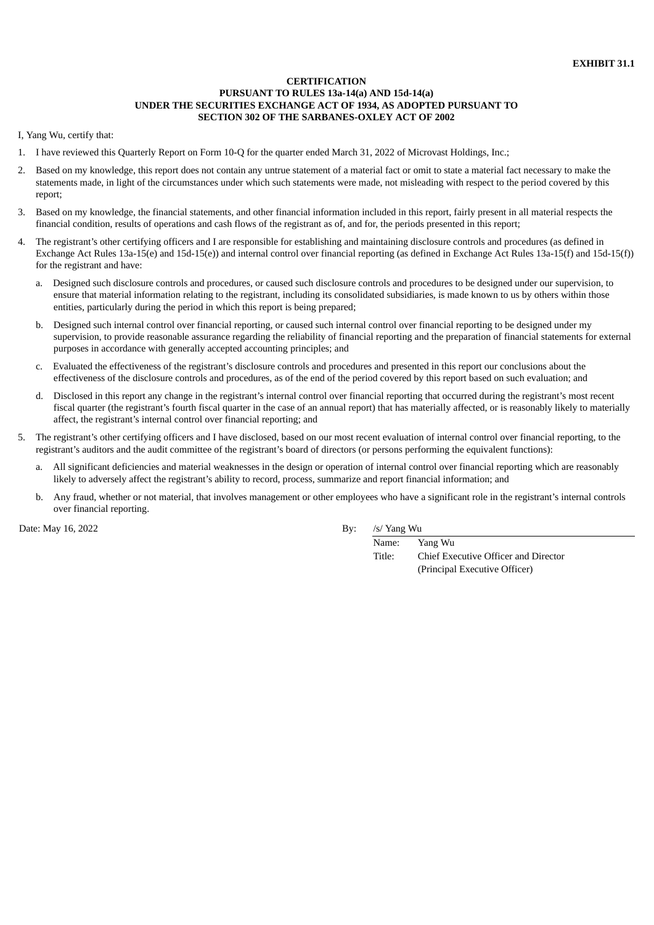## **CERTIFICATION PURSUANT TO RULES 13a-14(a) AND 15d-14(a) UNDER THE SECURITIES EXCHANGE ACT OF 1934, AS ADOPTED PURSUANT TO SECTION 302 OF THE SARBANES-OXLEY ACT OF 2002**

<span id="page-50-0"></span>I, Yang Wu, certify that:

- 1. I have reviewed this Quarterly Report on Form 10-Q for the quarter ended March 31, 2022 of Microvast Holdings, Inc.;
- 2. Based on my knowledge, this report does not contain any untrue statement of a material fact or omit to state a material fact necessary to make the statements made, in light of the circumstances under which such statements were made, not misleading with respect to the period covered by this report;
- 3. Based on my knowledge, the financial statements, and other financial information included in this report, fairly present in all material respects the financial condition, results of operations and cash flows of the registrant as of, and for, the periods presented in this report;
- 4. The registrant's other certifying officers and I are responsible for establishing and maintaining disclosure controls and procedures (as defined in Exchange Act Rules 13a-15(e) and 15d-15(e)) and internal control over financial reporting (as defined in Exchange Act Rules 13a-15(f) and 15d-15(f)) for the registrant and have:
	- a. Designed such disclosure controls and procedures, or caused such disclosure controls and procedures to be designed under our supervision, to ensure that material information relating to the registrant, including its consolidated subsidiaries, is made known to us by others within those entities, particularly during the period in which this report is being prepared;
	- b. Designed such internal control over financial reporting, or caused such internal control over financial reporting to be designed under my supervision, to provide reasonable assurance regarding the reliability of financial reporting and the preparation of financial statements for external purposes in accordance with generally accepted accounting principles; and
	- Evaluated the effectiveness of the registrant's disclosure controls and procedures and presented in this report our conclusions about the effectiveness of the disclosure controls and procedures, as of the end of the period covered by this report based on such evaluation; and
	- d. Disclosed in this report any change in the registrant's internal control over financial reporting that occurred during the registrant's most recent fiscal quarter (the registrant's fourth fiscal quarter in the case of an annual report) that has materially affected, or is reasonably likely to materially affect, the registrant's internal control over financial reporting; and
- 5. The registrant's other certifying officers and I have disclosed, based on our most recent evaluation of internal control over financial reporting, to the registrant's auditors and the audit committee of the registrant's board of directors (or persons performing the equivalent functions):
	- a. All significant deficiencies and material weaknesses in the design or operation of internal control over financial reporting which are reasonably likely to adversely affect the registrant's ability to record, process, summarize and report financial information; and
	- b. Any fraud, whether or not material, that involves management or other employees who have a significant role in the registrant's internal controls over financial reporting.

Date: May 16, 2022 By: /s/ Yang Wu

| Name:  | Yang Wu                              |
|--------|--------------------------------------|
| Title: | Chief Executive Officer and Director |
|        | (Principal Executive Officer)        |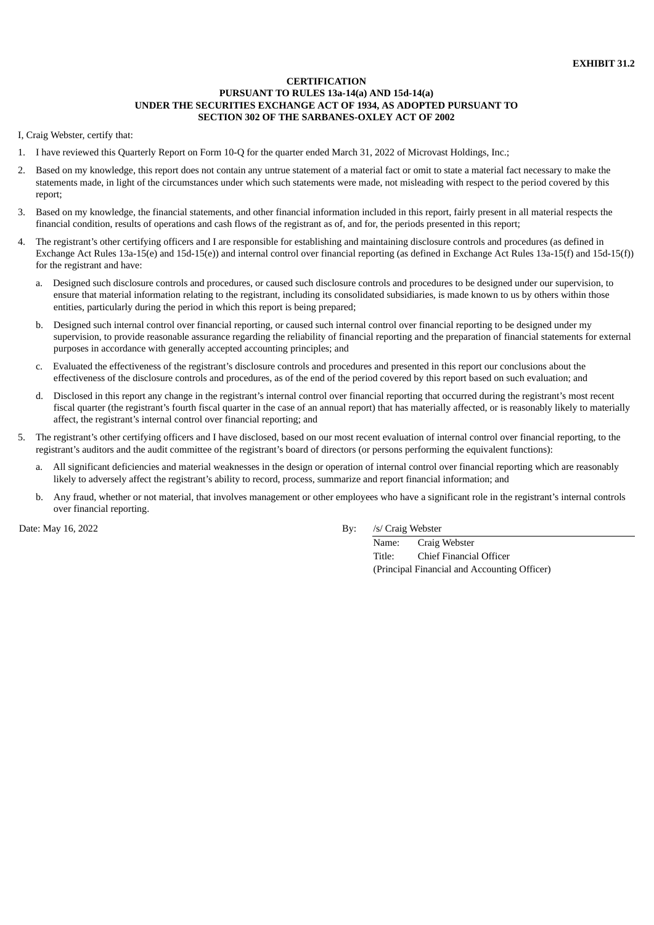## **CERTIFICATION PURSUANT TO RULES 13a-14(a) AND 15d-14(a) UNDER THE SECURITIES EXCHANGE ACT OF 1934, AS ADOPTED PURSUANT TO SECTION 302 OF THE SARBANES-OXLEY ACT OF 2002**

<span id="page-51-0"></span>I, Craig Webster, certify that:

- 1. I have reviewed this Quarterly Report on Form 10-Q for the quarter ended March 31, 2022 of Microvast Holdings, Inc.;
- 2. Based on my knowledge, this report does not contain any untrue statement of a material fact or omit to state a material fact necessary to make the statements made, in light of the circumstances under which such statements were made, not misleading with respect to the period covered by this report;
- 3. Based on my knowledge, the financial statements, and other financial information included in this report, fairly present in all material respects the financial condition, results of operations and cash flows of the registrant as of, and for, the periods presented in this report;
- 4. The registrant's other certifying officers and I are responsible for establishing and maintaining disclosure controls and procedures (as defined in Exchange Act Rules 13a-15(e) and 15d-15(e)) and internal control over financial reporting (as defined in Exchange Act Rules 13a-15(f) and 15d-15(f)) for the registrant and have:
	- a. Designed such disclosure controls and procedures, or caused such disclosure controls and procedures to be designed under our supervision, to ensure that material information relating to the registrant, including its consolidated subsidiaries, is made known to us by others within those entities, particularly during the period in which this report is being prepared;
	- b. Designed such internal control over financial reporting, or caused such internal control over financial reporting to be designed under my supervision, to provide reasonable assurance regarding the reliability of financial reporting and the preparation of financial statements for external purposes in accordance with generally accepted accounting principles; and
	- Evaluated the effectiveness of the registrant's disclosure controls and procedures and presented in this report our conclusions about the effectiveness of the disclosure controls and procedures, as of the end of the period covered by this report based on such evaluation; and
	- d. Disclosed in this report any change in the registrant's internal control over financial reporting that occurred during the registrant's most recent fiscal quarter (the registrant's fourth fiscal quarter in the case of an annual report) that has materially affected, or is reasonably likely to materially affect, the registrant's internal control over financial reporting; and
- 5. The registrant's other certifying officers and I have disclosed, based on our most recent evaluation of internal control over financial reporting, to the registrant's auditors and the audit committee of the registrant's board of directors (or persons performing the equivalent functions):
	- a. All significant deficiencies and material weaknesses in the design or operation of internal control over financial reporting which are reasonably likely to adversely affect the registrant's ability to record, process, summarize and report financial information; and
	- b. Any fraud, whether or not material, that involves management or other employees who have a significant role in the registrant's internal controls over financial reporting.

Date: May 16, 2022 By: /s/ Craig Webster

Name: Craig Webster Title: Chief Financial Officer (Principal Financial and Accounting Officer)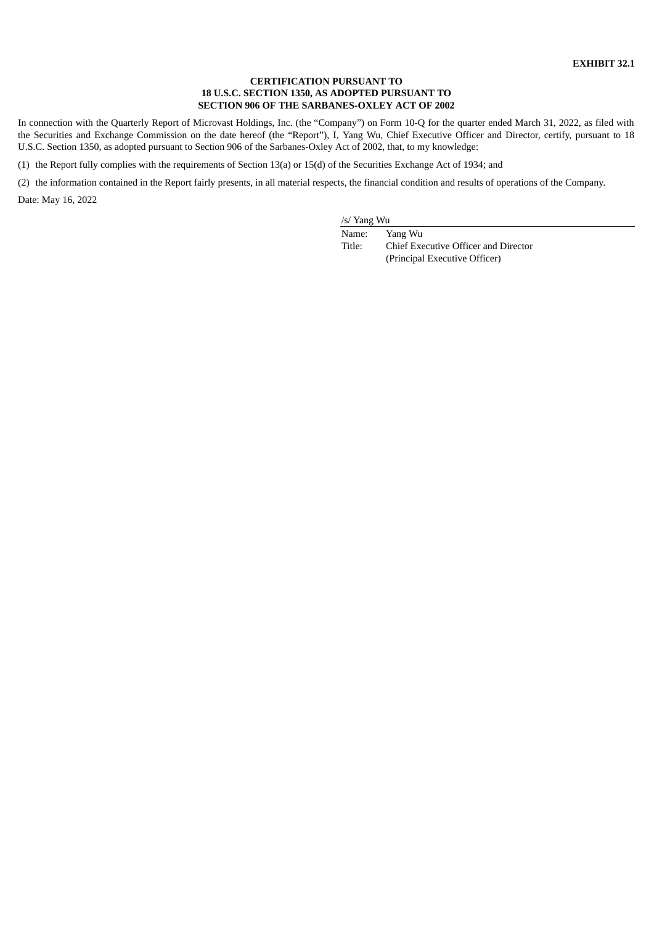### **CERTIFICATION PURSUANT TO 18 U.S.C. SECTION 1350, AS ADOPTED PURSUANT TO SECTION 906 OF THE SARBANES-OXLEY ACT OF 2002**

<span id="page-52-0"></span>In connection with the Quarterly Report of Microvast Holdings, Inc. (the "Company") on Form 10-Q for the quarter ended March 31, 2022, as filed with the Securities and Exchange Commission on the date hereof (the "Report"), I, Yang Wu, Chief Executive Officer and Director, certify, pursuant to 18 U.S.C. Section 1350, as adopted pursuant to Section 906 of the Sarbanes-Oxley Act of 2002, that, to my knowledge:

(1) the Report fully complies with the requirements of Section 13(a) or 15(d) of the Securities Exchange Act of 1934; and

(2) the information contained in the Report fairly presents, in all material respects, the financial condition and results of operations of the Company.

Date: May 16, 2022

/s/ Yang Wu

Name: Yang Wu Title: Chief Executive Officer and Director (Principal Executive Officer)